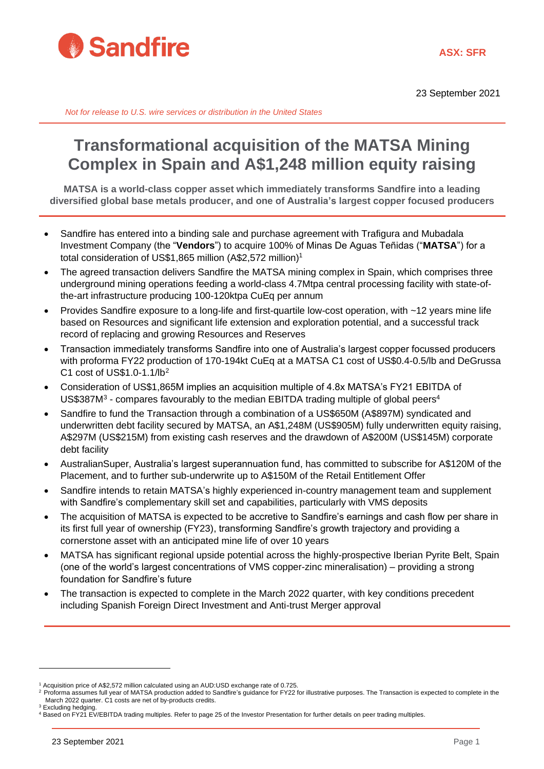

23 September 2021

*Not for release to U.S. wire services or distribution in the United States*

## **Transformational acquisition of the MATSA Mining Complex in Spain and A\$1,248 million equity raising**

**MATSA is a world-class copper asset which immediately transforms Sandfire into a leading diversified global base metals producer, and one of Australia's largest copper focused producers**

- Sandfire has entered into a binding sale and purchase agreement with Trafigura and Mubadala Investment Company (the "**Vendors**") to acquire 100% of Minas De Aguas Teñidas ("**MATSA**") for a total consideration of US\$1,865 million (A\$2,572 million)<sup>1</sup>
- The agreed transaction delivers Sandfire the MATSA mining complex in Spain, which comprises three underground mining operations feeding a world-class 4.7Mtpa central processing facility with state-ofthe-art infrastructure producing 100-120ktpa CuEq per annum
- Provides Sandfire exposure to a long-life and first-quartile low-cost operation, with ~12 years mine life based on Resources and significant life extension and exploration potential, and a successful track record of replacing and growing Resources and Reserves*<sup>1</sup>*
- Transaction immediately transforms Sandfire into one of Australia's largest copper focussed producers with proforma FY22 production of 170-194kt CuEq at a MATSA C1 cost of US\$0.4-0.5/lb and DeGrussa C1 cost of US\$1.0-1.1/lb*<sup>F</sup>* 2
- Consideration of US\$1,865M implies an acquisition multiple of 4.8x MATSA's FY21 EBITDA of US\$387M<sup>3</sup> - compares favourably to the median EBITDA trading multiple of global peers<sup>4</sup>
- Sandfire to fund the Transaction through a combination of a US\$650M (A\$897M) syndicated and underwritten debt facility secured by MATSA, an A\$1,248M (US\$905M) fully underwritten equity raising, A\$297M (US\$215M) from existing cash reserves and the drawdown of A\$200M (US\$145M) corporate debt facility
- AustralianSuper, Australia's largest superannuation fund, has committed to subscribe for A\$120M of the Placement, and to further sub-underwrite up to A\$150M of the Retail Entitlement Offer
- Sandfire intends to retain MATSA's highly experienced in-country management team and supplement with Sandfire's complementary skill set and capabilities, particularly with VMS deposits
- The acquisition of MATSA is expected to be accretive to Sandfire's earnings and cash flow per share in its first full year of ownership (FY23), transforming Sandfire's growth trajectory and providing a cornerstone asset with an anticipated mine life of over 10 years
- MATSA has significant regional upside potential across the highly-prospective Iberian Pyrite Belt, Spain (one of the world's largest concentrations of VMS copper-zinc mineralisation) – providing a strong foundation for Sandfire's future
- The transaction is expected to complete in the March 2022 quarter, with key conditions precedent including Spanish Foreign Direct Investment and Anti-trust Merger approval

<sup>1</sup> Acquisition price of A\$2,572 million calculated using an AUD:USD exchange rate of 0.725.

<sup>&</sup>lt;sup>2</sup> Proforma assumes full year of MATSA production added to Sandfire's guidance for FY22 for illustrative purposes. The Transaction is expected to complete in the March 2022 quarter. C1 costs are net of by-products credits. <sup>3</sup> Excluding hedging

<sup>4</sup> Based on FY21 EV/EBITDA trading multiples. Refer to page 25 of the Investor Presentation for further details on peer trading multiples.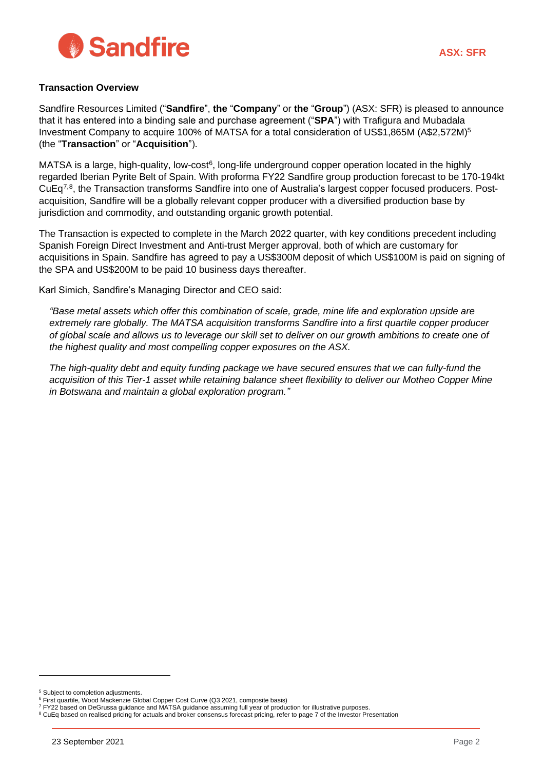

#### **Transaction Overview**

Sandfire Resources Limited ("**Sandfire**", **the** "**Company**" or **the** "**Group**") (ASX: SFR) is pleased to announce that it has entered into a binding sale and purchase agreement ("**SPA**") with Trafigura and Mubadala Investment Company to acquire 100% of MATSA for a total consideration of US\$1,865M (A\$2,572M)<sup>5</sup> (the "**Transaction**" or "**Acquisition**").

<span id="page-1-1"></span><span id="page-1-0"></span>MATSA is a large, high-quality, low-cost<sup>6</sup>, long-life underground copper operation located in the highly regarded Iberian Pyrite Belt of Spain. With proforma FY22 Sandfire group production forecast to be 170-194kt CuEq<sup>7,8</sup>, the Transaction transforms Sandfire into one of Australia's largest copper focused producers. Postacquisition, Sandfire will be a globally relevant copper producer with a diversified production base by jurisdiction and commodity, and outstanding organic growth potential.

The Transaction is expected to complete in the March 2022 quarter, with key conditions precedent including Spanish Foreign Direct Investment and Anti-trust Merger approval, both of which are customary for acquisitions in Spain. Sandfire has agreed to pay a US\$300M deposit of which US\$100M is paid on signing of the SPA and US\$200M to be paid 10 business days thereafter.

Karl Simich, Sandfire's Managing Director and CEO said:

*"Base metal assets which offer this combination of scale, grade, mine life and exploration upside are extremely rare globally. The MATSA acquisition transforms Sandfire into a first quartile copper producer of global scale and allows us to leverage our skill set to deliver on our growth ambitions to create one of the highest quality and most compelling copper exposures on the ASX.* 

*The high-quality debt and equity funding package we have secured ensures that we can fully-fund the acquisition of this Tier-1 asset while retaining balance sheet flexibility to deliver our Motheo Copper Mine in Botswana and maintain a global exploration program."*

<sup>5</sup> Subject to completion adjustments.

<sup>&</sup>lt;sup>6</sup> First quartile, Wood Mackenzie Global Copper Cost Curve (Q3 2021, composite basis)

<sup>7</sup> FY22 based on DeGrussa guidance and MATSA guidance assuming full year of production for illustrative purposes.

<sup>8</sup> CuEq based on realised pricing for actuals and broker consensus forecast pricing, refer to page 7 of the Investor Presentation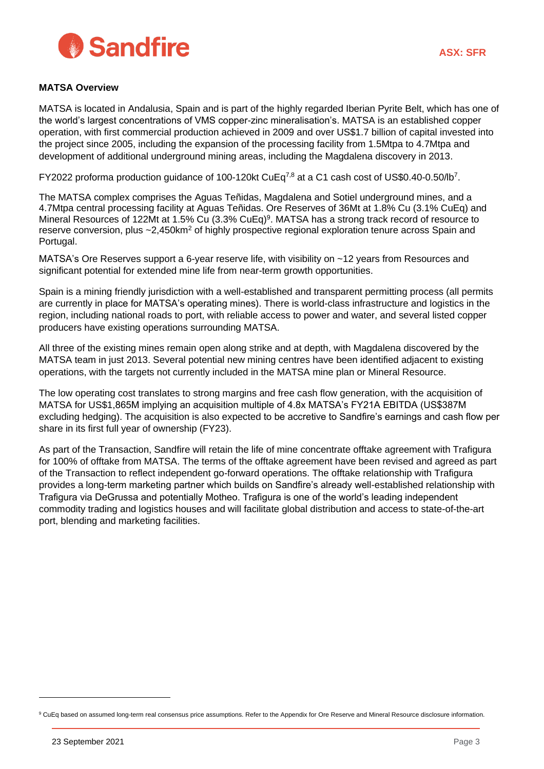

#### **MATSA Overview**

MATSA is located in Andalusia, Spain and is part of the highly regarded Iberian Pyrite Belt, which has one of the world's largest concentrations of VMS copper-zinc mineralisation's. MATSA is an established copper operation, with first commercial production achieved in 2009 and over US\$1.7 billion of capital invested into the project since 2005, including the expansion of the processing facility from 1.5Mtpa to 4.7Mtpa and development of additional underground mining areas, including the Magdalena discovery in 2013.

FY2022 proforma production guidance of 100-120kt CuEq<sup>[7](#page-1-0)[,8](#page-1-1)</sup> at a C1 cash cost of US\$0.40-0.50/l[b](#page-1-0)<sup>7</sup>.

The MATSA complex comprises the Aguas Teñidas, Magdalena and Sotiel underground mines, and a 4.7Mtpa central processing facility at Aguas Teñidas. Ore Reserves of 36Mt at 1.8% Cu (3.1% CuEq) and Mineral Resources of 122Mt at 1.5% Cu (3.3% CuEq)<sup>9</sup>. MATSA has a strong track record of resource to reserve conversion, plus ~2,450km<sup>2</sup> of highly prospective regional exploration tenure across Spain and Portugal.

MATSA's Ore Reserves support a 6-year reserve life, with visibility on ~12 years from Resources and significant potential for extended mine life from near-term growth opportunities.

Spain is a mining friendly jurisdiction with a well-established and transparent permitting process (all permits are currently in place for MATSA's operating mines). There is world-class infrastructure and logistics in the region, including national roads to port, with reliable access to power and water, and several listed copper producers have existing operations surrounding MATSA.

All three of the existing mines remain open along strike and at depth, with Magdalena discovered by the MATSA team in just 2013. Several potential new mining centres have been identified adjacent to existing operations, with the targets not currently included in the MATSA mine plan or Mineral Resource.

The low operating cost translates to strong margins and free cash flow generation, with the acquisition of MATSA for US\$1,865M implying an acquisition multiple of 4.8x MATSA's FY21A EBITDA (US\$387M excluding hedging). The acquisition is also expected to be accretive to Sandfire's earnings and cash flow per share in its first full year of ownership (FY23).

As part of the Transaction, Sandfire will retain the life of mine concentrate offtake agreement with Trafigura for 100% of offtake from MATSA. The terms of the offtake agreement have been revised and agreed as part of the Transaction to reflect independent go-forward operations. The offtake relationship with Trafigura provides a long-term marketing partner which builds on Sandfire's already well-established relationship with Trafigura via DeGrussa and potentially Motheo. Trafigura is one of the world's leading independent commodity trading and logistics houses and will facilitate global distribution and access to state-of-the-art port, blending and marketing facilities.

<sup>&</sup>lt;sup>9</sup> CuEq based on assumed long-term real consensus price assumptions. Refer to the Appendix for Ore Reserve and Mineral Resource disclosure information.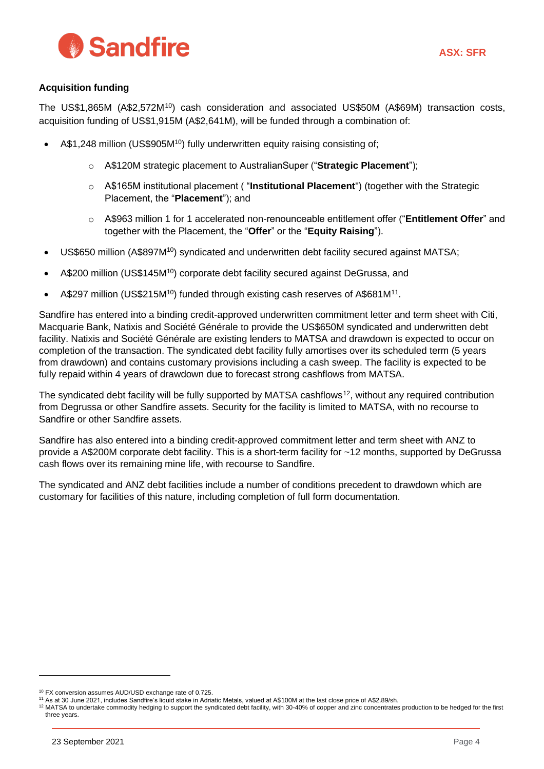

### **Acquisition funding**

<span id="page-3-0"></span>The US\$1,865M (A\$2,572M<sup>10</sup>) cash consideration and associated US\$50M (A\$69M) transaction costs, acquisition funding of US\$1,915M (A\$2,641M), will be funded through a combination of:

- A\$1,248 million (US\$905M<sup>[10](#page-3-0)</sup>) fully underwritten equity raising consisting of;
	- o A\$120M strategic placement to AustralianSuper ("**Strategic Placement**");
	- o A\$165M institutional placement ( "**Institutional Placement**") (together with the Strategic Placement, the "**Placement**"); and
	- o A\$963 million 1 for 1 accelerated non-renounceable entitlement offer ("**Entitlement Offer**" and together with the Placement, the "**Offer**" or the "**Equity Raising**").
- US\$650 million (A\$897M<sup>[10](#page-3-0)</sup>) syndicated and underwritten debt facility secured against MATSA;
- A\$200 million (US\$145M<sup>[10](#page-3-0)</sup>) corporate debt facility secured against DeGrussa, and
- A\$297 million (US\$215M<sup>[10](#page-3-0)</sup>) funded through existing cash reserves of A\$681M<sup>11</sup>.

Sandfire has entered into a binding credit-approved underwritten commitment letter and term sheet with Citi, Macquarie Bank, Natixis and Société Générale to provide the US\$650M syndicated and underwritten debt facility. Natixis and Société Générale are existing lenders to MATSA and drawdown is expected to occur on completion of the transaction. The syndicated debt facility fully amortises over its scheduled term (5 years from drawdown) and contains customary provisions including a cash sweep. The facility is expected to be fully repaid within 4 years of drawdown due to forecast strong cashflows from MATSA.

The syndicated debt facility will be fully supported by MATSA cashflows<sup>12</sup>, without any required contribution from Degrussa or other Sandfire assets. Security for the facility is limited to MATSA, with no recourse to Sandfire or other Sandfire assets.

Sandfire has also entered into a binding credit-approved commitment letter and term sheet with ANZ to provide a A\$200M corporate debt facility. This is a short-term facility for ~12 months, supported by DeGrussa cash flows over its remaining mine life, with recourse to Sandfire.

The syndicated and ANZ debt facilities include a number of conditions precedent to drawdown which are customary for facilities of this nature, including completion of full form documentation.

<sup>10</sup> FX conversion assumes AUD/USD exchange rate of 0.725.

<sup>11</sup> As at 30 June 2021, includes Sandfire's liquid stake in Adriatic Metals, valued at A\$100M at the last close price of A\$2.89/sh.

<sup>&</sup>lt;sup>12</sup> MATSA to undertake commodity hedging to support the syndicated debt facility, with 30-40% of copper and zinc concentrates production to be hedged for the first three years.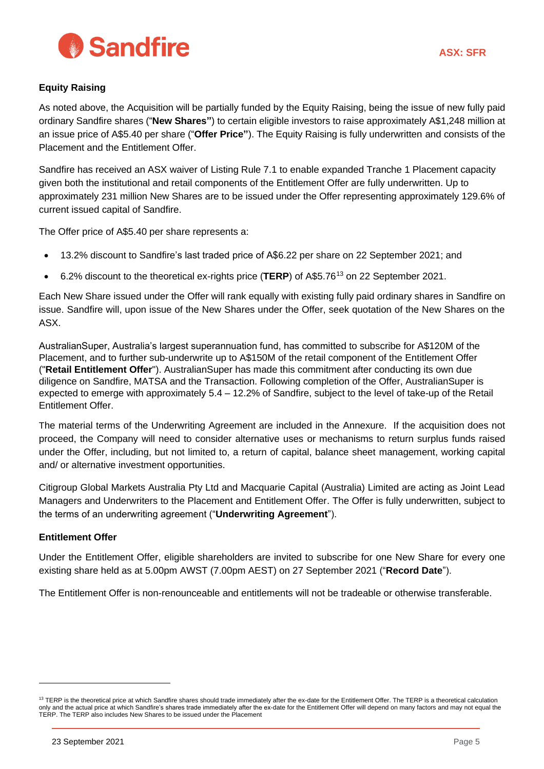

## **Equity Raising**

As noted above, the Acquisition will be partially funded by the Equity Raising, being the issue of new fully paid ordinary Sandfire shares ("**New Shares"**) to certain eligible investors to raise approximately A\$1,248 million at an issue price of A\$5.40 per share ("Offer Price"). The Equity Raising is fully underwritten and consists of the Placement and the Entitlement Offer.

Sandfire has received an ASX waiver of Listing Rule 7.1 to enable expanded Tranche 1 Placement capacity given both the institutional and retail components of the Entitlement Offer are fully underwritten. Up to approximately 231 million New Shares are to be issued under the Offer representing approximately 129.6% of current issued capital of Sandfire.

The Offer price of A\$5.40 per share represents a:

- 13.2% discount to Sandfire's last traded price of A\$6.22 per share on 22 September 2021; and
- 6.2% discount to the theoretical ex-rights price (TERP) of A\$5.76<sup>13</sup> on 22 September 2021.

Each New Share issued under the Offer will rank equally with existing fully paid ordinary shares in Sandfire on issue. Sandfire will, upon issue of the New Shares under the Offer, seek quotation of the New Shares on the ASX.

AustralianSuper, Australia's largest superannuation fund, has committed to subscribe for A\$120M of the Placement, and to further sub-underwrite up to A\$150M of the retail component of the Entitlement Offer ("**Retail Entitlement Offer**"). AustralianSuper has made this commitment after conducting its own due diligence on Sandfire, MATSA and the Transaction. Following completion of the Offer, AustralianSuper is expected to emerge with approximately 5.4 – 12.2% of Sandfire, subject to the level of take-up of the Retail Entitlement Offer.

The material terms of the Underwriting Agreement are included in the Annexure. If the acquisition does not proceed, the Company will need to consider alternative uses or mechanisms to return surplus funds raised under the Offer, including, but not limited to, a return of capital, balance sheet management, working capital and/ or alternative investment opportunities.

Citigroup Global Markets Australia Pty Ltd and Macquarie Capital (Australia) Limited are acting as Joint Lead Managers and Underwriters to the Placement and Entitlement Offer. The Offer is fully underwritten, subject to the terms of an underwriting agreement ("**Underwriting Agreement**").

## **Entitlement Offer**

Under the Entitlement Offer, eligible shareholders are invited to subscribe for one New Share for every one existing share held as at 5.00pm AWST (7.00pm AEST) on 27 September 2021 ("**Record Date**").

The Entitlement Offer is non-renounceable and entitlements will not be tradeable or otherwise transferable.

<sup>&</sup>lt;sup>13</sup> TERP is the theoretical price at which Sandfire shares should trade immediately after the ex-date for the Entitlement Offer. The TERP is a theoretical calculation only and the actual price at which Sandfire's shares trade immediately after the ex-date for the Entitlement Offer will depend on many factors and may not equal the TERP. The TERP also includes New Shares to be issued under the Placement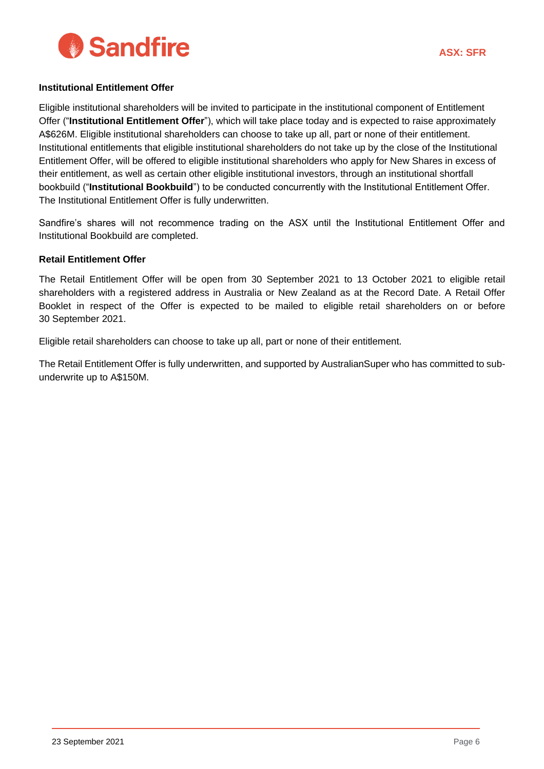

#### **Institutional Entitlement Offer**

Eligible institutional shareholders will be invited to participate in the institutional component of Entitlement Offer ("**Institutional Entitlement Offer**"), which will take place today and is expected to raise approximately A\$626M. Eligible institutional shareholders can choose to take up all, part or none of their entitlement. Institutional entitlements that eligible institutional shareholders do not take up by the close of the Institutional Entitlement Offer, will be offered to eligible institutional shareholders who apply for New Shares in excess of their entitlement, as well as certain other eligible institutional investors, through an institutional shortfall bookbuild ("**Institutional Bookbuild**") to be conducted concurrently with the Institutional Entitlement Offer. The Institutional Entitlement Offer is fully underwritten.

Sandfire's shares will not recommence trading on the ASX until the Institutional Entitlement Offer and Institutional Bookbuild are completed.

#### **Retail Entitlement Offer**

The Retail Entitlement Offer will be open from 30 September 2021 to 13 October 2021 to eligible retail shareholders with a registered address in Australia or New Zealand as at the Record Date. A Retail Offer Booklet in respect of the Offer is expected to be mailed to eligible retail shareholders on or before 30 September 2021.

Eligible retail shareholders can choose to take up all, part or none of their entitlement.

The Retail Entitlement Offer is fully underwritten, and supported by AustralianSuper who has committed to subunderwrite up to A\$150M.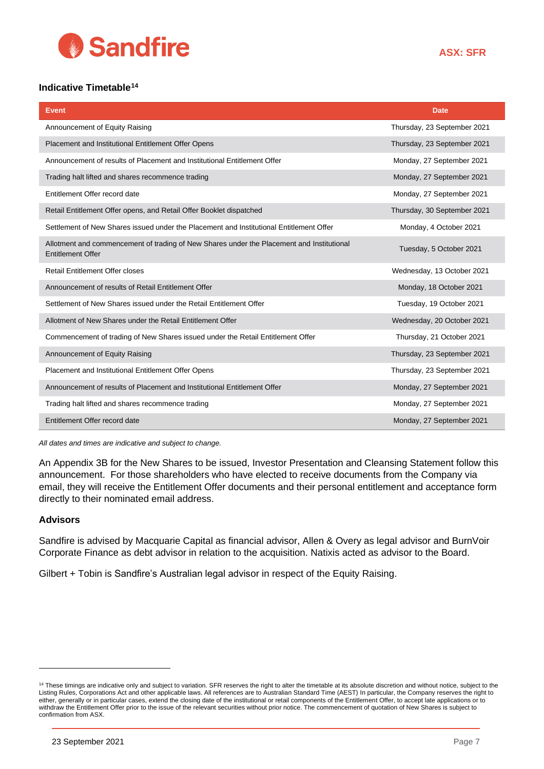

## **Indicative Timetable***16F* **14**

| <b>Event</b>                                                                                                          | <b>Date</b>                 |
|-----------------------------------------------------------------------------------------------------------------------|-----------------------------|
| Announcement of Equity Raising                                                                                        | Thursday, 23 September 2021 |
| Placement and Institutional Entitlement Offer Opens                                                                   | Thursday, 23 September 2021 |
| Announcement of results of Placement and Institutional Entitlement Offer                                              | Monday, 27 September 2021   |
| Trading halt lifted and shares recommence trading                                                                     | Monday, 27 September 2021   |
| Entitlement Offer record date                                                                                         | Monday, 27 September 2021   |
| Retail Entitlement Offer opens, and Retail Offer Booklet dispatched                                                   | Thursday, 30 September 2021 |
| Settlement of New Shares issued under the Placement and Institutional Entitlement Offer                               | Monday, 4 October 2021      |
| Allotment and commencement of trading of New Shares under the Placement and Institutional<br><b>Entitlement Offer</b> | Tuesday, 5 October 2021     |
| <b>Retail Entitlement Offer closes</b>                                                                                | Wednesday, 13 October 2021  |
| Announcement of results of Retail Entitlement Offer                                                                   | Monday, 18 October 2021     |
| Settlement of New Shares issued under the Retail Entitlement Offer                                                    | Tuesday, 19 October 2021    |
| Allotment of New Shares under the Retail Entitlement Offer                                                            | Wednesday, 20 October 2021  |
| Commencement of trading of New Shares issued under the Retail Entitlement Offer                                       | Thursday, 21 October 2021   |
| Announcement of Equity Raising                                                                                        | Thursday, 23 September 2021 |
| Placement and Institutional Entitlement Offer Opens                                                                   | Thursday, 23 September 2021 |
| Announcement of results of Placement and Institutional Entitlement Offer                                              | Monday, 27 September 2021   |
| Trading halt lifted and shares recommence trading                                                                     | Monday, 27 September 2021   |
| Entitlement Offer record date                                                                                         | Monday, 27 September 2021   |

*All dates and times are indicative and subject to change.* 

An Appendix 3B for the New Shares to be issued, Investor Presentation and Cleansing Statement follow this announcement. For those shareholders who have elected to receive documents from the Company via email, they will receive the Entitlement Offer documents and their personal entitlement and acceptance form directly to their nominated email address.

#### **Advisors**

Sandfire is advised by Macquarie Capital as financial advisor, Allen & Overy as legal advisor and BurnVoir Corporate Finance as debt advisor in relation to the acquisition. Natixis acted as advisor to the Board.

Gilbert + Tobin is Sandfire's Australian legal advisor in respect of the Equity Raising.

<sup>&</sup>lt;sup>14</sup> These timings are indicative only and subject to variation. SFR reserves the right to alter the timetable at its absolute discretion and without notice, subject to the Listing Rules, Corporations Act and other applicable laws. All references are to Australian Standard Time (AEST) In particular, the Company reserves the right to either, generally or in particular cases, extend the closing date of the institutional or retail components of the Entitlement Offer, to accept late applications or to withdraw the Entitlement Offer prior to the issue of the relevant securities without prior notice. The commencement of quotation of New Shares is subject to confirmation from ASX.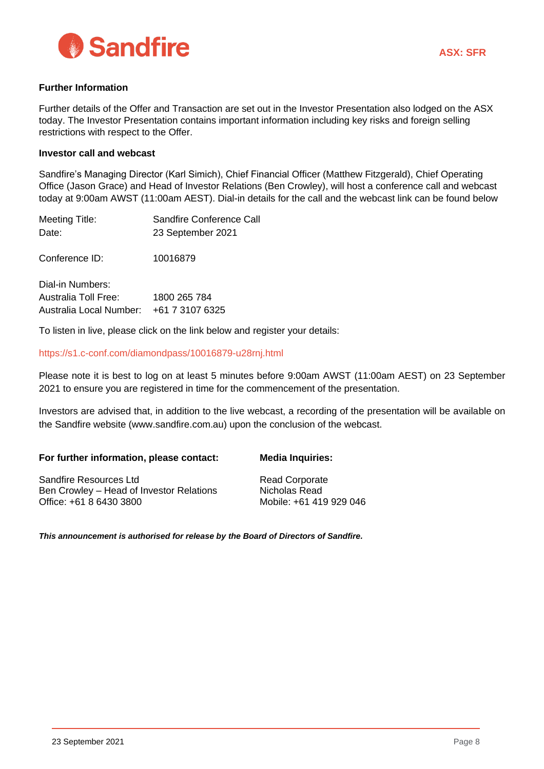

#### **Further Information**

Further details of the Offer and Transaction are set out in the Investor Presentation also lodged on the ASX today. The Investor Presentation contains important information including key risks and foreign selling restrictions with respect to the Offer.

#### **Investor call and webcast**

Sandfire's Managing Director (Karl Simich), Chief Financial Officer (Matthew Fitzgerald), Chief Operating Office (Jason Grace) and Head of Investor Relations (Ben Crowley), will host a conference call and webcast today at 9:00am AWST (11:00am AEST). Dial-in details for the call and the webcast link can be found below

| Meeting Title:                          | Sandfire Conference Call                                               |
|-----------------------------------------|------------------------------------------------------------------------|
| Date:                                   | 23 September 2021                                                      |
| Conference ID:                          | 10016879                                                               |
| Dial-in Numbers:                        |                                                                        |
| <b>Australia Toll Free:</b>             | 1800 265 784                                                           |
| Australia Local Number: +61 7 3107 6325 |                                                                        |
|                                         | 市に Madama Mar Mara - malamana - albala na diba. Mada baalann am albaam |

To listen in live, please click on the link below and register your details:

#### <https://s1.c-conf.com/diamondpass/10016879-u28rnj.html>

Please note it is best to log on at least 5 minutes before 9:00am AWST (11:00am AEST) on 23 September 2021 to ensure you are registered in time for the commencement of the presentation.

Investors are advised that, in addition to the live webcast, a recording of the presentation will be available on the Sandfire website (www.sandfire.com.au) upon the conclusion of the webcast.

| For further information, please contact: | <b>Media Inquiries:</b> |
|------------------------------------------|-------------------------|
|------------------------------------------|-------------------------|

Sandfire Resources Ltd Ben Crowley – Head of Investor Relations Office: +61 8 6430 3800

Read Corporate Nicholas Read Mobile: +61 419 929 046

*This announcement is authorised for release by the Board of Directors of Sandfire.*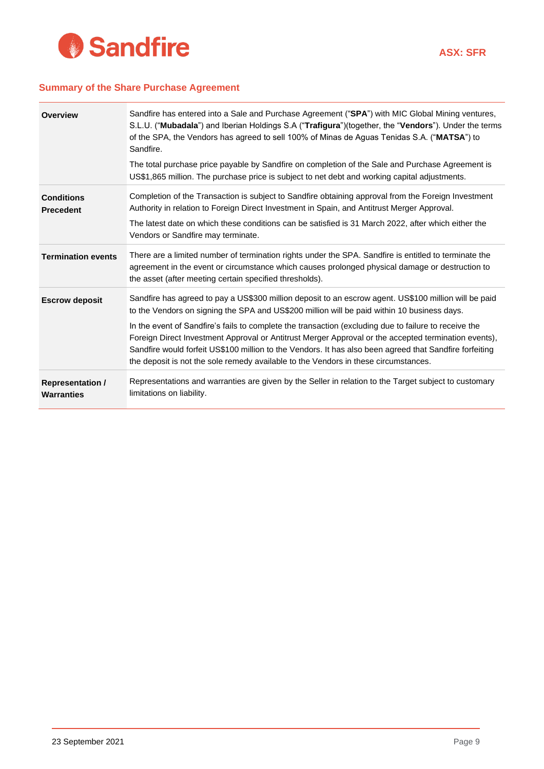

#### **Summary of the Share Purchase Agreement**

| <b>Overview</b>                              | Sandfire has entered into a Sale and Purchase Agreement ("SPA") with MIC Global Mining ventures,<br>S.L.U. ("Mubadala") and Iberian Holdings S.A ("Trafigura")(together, the "Vendors"). Under the terms<br>of the SPA, the Vendors has agreed to sell 100% of Minas de Aguas Tenidas S.A. ("MATSA") to<br>Sandfire.<br>The total purchase price payable by Sandfire on completion of the Sale and Purchase Agreement is<br>US\$1,865 million. The purchase price is subject to net debt and working capital adjustments.                                                                                               |
|----------------------------------------------|-------------------------------------------------------------------------------------------------------------------------------------------------------------------------------------------------------------------------------------------------------------------------------------------------------------------------------------------------------------------------------------------------------------------------------------------------------------------------------------------------------------------------------------------------------------------------------------------------------------------------|
| <b>Conditions</b><br><b>Precedent</b>        | Completion of the Transaction is subject to Sandfire obtaining approval from the Foreign Investment<br>Authority in relation to Foreign Direct Investment in Spain, and Antitrust Merger Approval.<br>The latest date on which these conditions can be satisfied is 31 March 2022, after which either the<br>Vendors or Sandfire may terminate.                                                                                                                                                                                                                                                                         |
| <b>Termination events</b>                    | There are a limited number of termination rights under the SPA. Sandfire is entitled to terminate the<br>agreement in the event or circumstance which causes prolonged physical damage or destruction to<br>the asset (after meeting certain specified thresholds).                                                                                                                                                                                                                                                                                                                                                     |
| <b>Escrow deposit</b>                        | Sandfire has agreed to pay a US\$300 million deposit to an escrow agent. US\$100 million will be paid<br>to the Vendors on signing the SPA and US\$200 million will be paid within 10 business days.<br>In the event of Sandfire's fails to complete the transaction (excluding due to failure to receive the<br>Foreign Direct Investment Approval or Antitrust Merger Approval or the accepted termination events),<br>Sandfire would forfeit US\$100 million to the Vendors. It has also been agreed that Sandfire forfeiting<br>the deposit is not the sole remedy available to the Vendors in these circumstances. |
| <b>Representation /</b><br><b>Warranties</b> | Representations and warranties are given by the Seller in relation to the Target subject to customary<br>limitations on liability.                                                                                                                                                                                                                                                                                                                                                                                                                                                                                      |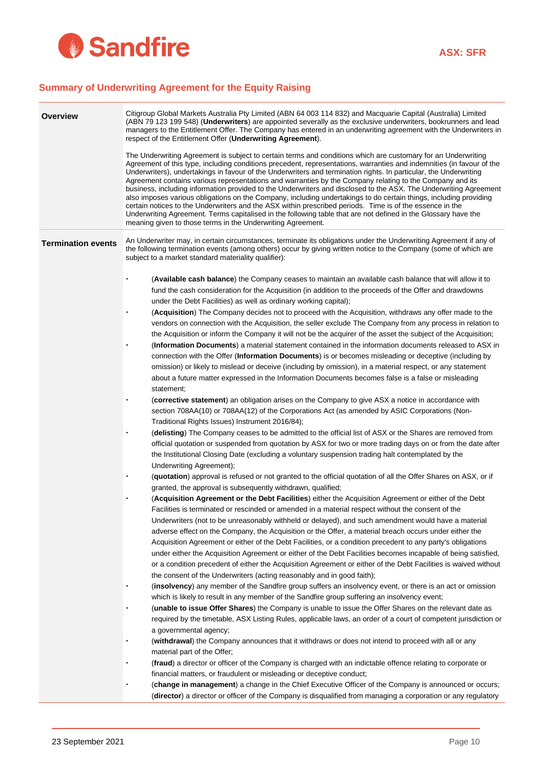

## **Summary of Underwriting Agreement for the Equity Raising**

| Overview                  | Citigroup Global Markets Australia Pty Limited (ABN 64 003 114 832) and Macquarie Capital (Australia) Limited<br>(ABN 79 123 199 548) (Underwriters) are appointed severally as the exclusive underwriters, bookrunners and lead<br>managers to the Entitlement Offer. The Company has entered in an underwriting agreement with the Underwriters in<br>respect of the Entitlement Offer (Underwriting Agreement).                                                                                                                                                                                                                                                                                                                                                                                                                                                                                                                                                                                                                                                                                                                                                                                                                                                                                                                                                                                                                                                                                                                                                                                                                                                                                                                                                                                                                                                                                                                                                                                                                                                                                                                                                                                                                                                                                                                                                                                                                                                                                                                                                                                                                                                                                                                                                                                                                                                                                                                                                                                                                                                                                                                                                                                                                                                                                                                                                                                                                                                                                                                                         |
|---------------------------|------------------------------------------------------------------------------------------------------------------------------------------------------------------------------------------------------------------------------------------------------------------------------------------------------------------------------------------------------------------------------------------------------------------------------------------------------------------------------------------------------------------------------------------------------------------------------------------------------------------------------------------------------------------------------------------------------------------------------------------------------------------------------------------------------------------------------------------------------------------------------------------------------------------------------------------------------------------------------------------------------------------------------------------------------------------------------------------------------------------------------------------------------------------------------------------------------------------------------------------------------------------------------------------------------------------------------------------------------------------------------------------------------------------------------------------------------------------------------------------------------------------------------------------------------------------------------------------------------------------------------------------------------------------------------------------------------------------------------------------------------------------------------------------------------------------------------------------------------------------------------------------------------------------------------------------------------------------------------------------------------------------------------------------------------------------------------------------------------------------------------------------------------------------------------------------------------------------------------------------------------------------------------------------------------------------------------------------------------------------------------------------------------------------------------------------------------------------------------------------------------------------------------------------------------------------------------------------------------------------------------------------------------------------------------------------------------------------------------------------------------------------------------------------------------------------------------------------------------------------------------------------------------------------------------------------------------------------------------------------------------------------------------------------------------------------------------------------------------------------------------------------------------------------------------------------------------------------------------------------------------------------------------------------------------------------------------------------------------------------------------------------------------------------------------------------------------------------------------------------------------------------------------------------------------------|
|                           | The Underwriting Agreement is subject to certain terms and conditions which are customary for an Underwriting<br>Agreement of this type, including conditions precedent, representations, warranties and indemnities (in favour of the<br>Underwriters), undertakings in favour of the Underwriters and termination rights. In particular, the Underwriting<br>Agreement contains various representations and warranties by the Company relating to the Company and its<br>business, including information provided to the Underwriters and disclosed to the ASX. The Underwriting Agreement<br>also imposes various obligations on the Company, including undertakings to do certain things, including providing<br>certain notices to the Underwriters and the ASX within prescribed periods. Time is of the essence in the<br>Underwriting Agreement. Terms capitalised in the following table that are not defined in the Glossary have the<br>meaning given to those terms in the Underwriting Agreement.                                                                                                                                                                                                                                                                                                                                                                                                                                                                                                                                                                                                                                                                                                                                                                                                                                                                                                                                                                                                                                                                                                                                                                                                                                                                                                                                                                                                                                                                                                                                                                                                                                                                                                                                                                                                                                                                                                                                                                                                                                                                                                                                                                                                                                                                                                                                                                                                                                                                                                                                             |
| <b>Termination events</b> | An Underwriter may, in certain circumstances, terminate its obligations under the Underwriting Agreement if any of<br>the following termination events (among others) occur by giving written notice to the Company (some of which are<br>subject to a market standard materiality qualifier):                                                                                                                                                                                                                                                                                                                                                                                                                                                                                                                                                                                                                                                                                                                                                                                                                                                                                                                                                                                                                                                                                                                                                                                                                                                                                                                                                                                                                                                                                                                                                                                                                                                                                                                                                                                                                                                                                                                                                                                                                                                                                                                                                                                                                                                                                                                                                                                                                                                                                                                                                                                                                                                                                                                                                                                                                                                                                                                                                                                                                                                                                                                                                                                                                                                             |
|                           | (Available cash balance) the Company ceases to maintain an available cash balance that will allow it to<br>fund the cash consideration for the Acquisition (in addition to the proceeds of the Offer and drawdowns<br>under the Debt Facilities) as well as ordinary working capital);<br>(Acquisition) The Company decides not to proceed with the Acquisition, withdraws any offer made to the<br>vendors on connection with the Acquisition, the seller exclude The Company from any process in relation to<br>the Acquisition or inform the Company it will not be the acquirer of the asset the subject of the Acquisition;<br>(Information Documents) a material statement contained in the information documents released to ASX in<br>connection with the Offer (Information Documents) is or becomes misleading or deceptive (including by<br>omission) or likely to mislead or deceive (including by omission), in a material respect, or any statement<br>about a future matter expressed in the Information Documents becomes false is a false or misleading<br>statement;<br>(corrective statement) an obligation arises on the Company to give ASX a notice in accordance with<br>section 708AA(10) or 708AA(12) of the Corporations Act (as amended by ASIC Corporations (Non-<br>Traditional Rights Issues) Instrument 2016/84);<br>(delisting) The Company ceases to be admitted to the official list of ASX or the Shares are removed from<br>official quotation or suspended from quotation by ASX for two or more trading days on or from the date after<br>the Institutional Closing Date (excluding a voluntary suspension trading halt contemplated by the<br>Underwriting Agreement);<br>(quotation) approval is refused or not granted to the official quotation of all the Offer Shares on ASX, or if<br>granted, the approval is subsequently withdrawn, qualified;<br>(Acquisition Agreement or the Debt Facilities) either the Acquisition Agreement or either of the Debt<br>Facilities is terminated or rescinded or amended in a material respect without the consent of the<br>Underwriters (not to be unreasonably withheld or delayed), and such amendment would have a material<br>adverse effect on the Company, the Acquisition or the Offer, a material breach occurs under either the<br>Acquisition Agreement or either of the Debt Facilities, or a condition precedent to any party's obligations<br>under either the Acquisition Agreement or either of the Debt Facilities becomes incapable of being satisfied,<br>or a condition precedent of either the Acquisition Agreement or either of the Debt Facilities is waived without<br>the consent of the Underwriters (acting reasonably and in good faith);<br>(insolvency) any member of the Sandfire group suffers an insolvency event, or there is an act or omission<br>which is likely to result in any member of the Sandfire group suffering an insolvency event;<br>(unable to issue Offer Shares) the Company is unable to issue the Offer Shares on the relevant date as<br>required by the timetable, ASX Listing Rules, applicable laws, an order of a court of competent jurisdiction or<br>a governmental agency;<br>(withdrawal) the Company announces that it withdraws or does not intend to proceed with all or any<br>material part of the Offer;<br>(fraud) a director or officer of the Company is charged with an indictable offence relating to corporate or<br>financial matters, or fraudulent or misleading or deceptive conduct; |
|                           | (change in management) a change in the Chief Executive Officer of the Company is announced or occurs;<br>(director) a director or officer of the Company is disqualified from managing a corporation or any regulatory                                                                                                                                                                                                                                                                                                                                                                                                                                                                                                                                                                                                                                                                                                                                                                                                                                                                                                                                                                                                                                                                                                                                                                                                                                                                                                                                                                                                                                                                                                                                                                                                                                                                                                                                                                                                                                                                                                                                                                                                                                                                                                                                                                                                                                                                                                                                                                                                                                                                                                                                                                                                                                                                                                                                                                                                                                                                                                                                                                                                                                                                                                                                                                                                                                                                                                                                     |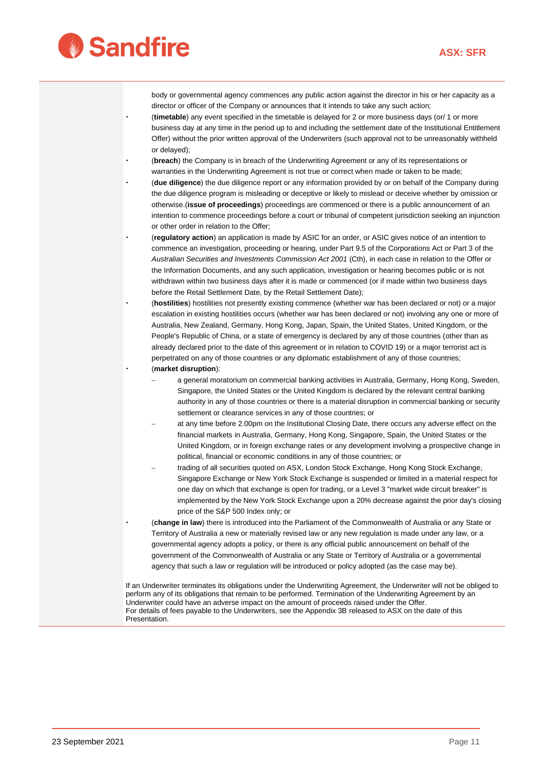

body or governmental agency commences any public action against the director in his or her capacity as a director or officer of the Company or announces that it intends to take any such action;

- (**timetable**) any event specified in the timetable is delayed for 2 or more business days (or/ 1 or more business day at any time in the period up to and including the settlement date of the Institutional Entitlement Offer) without the prior written approval of the Underwriters (such approval not to be unreasonably withheld or delayed);
- (**breach**) the Company is in breach of the Underwriting Agreement or any of its representations or warranties in the Underwriting Agreement is not true or correct when made or taken to be made;
- (**due diligence**) the due diligence report or any information provided by or on behalf of the Company during the due diligence program is misleading or deceptive or likely to mislead or deceive whether by omission or otherwise.(**issue of proceedings**) proceedings are commenced or there is a public announcement of an intention to commence proceedings before a court or tribunal of competent jurisdiction seeking an injunction or other order in relation to the Offer;
- (**regulatory action**) an application is made by ASIC for an order, or ASIC gives notice of an intention to commence an investigation, proceeding or hearing, under Part 9.5 of the Corporations Act or Part 3 of the *Australian Securities and Investments Commission Act 2001* (Cth), in each case in relation to the Offer or the Information Documents, and any such application, investigation or hearing becomes public or is not withdrawn within two business days after it is made or commenced (or if made within two business days before the Retail Settlement Date, by the Retail Settlement Date);
- (**hostilities**) hostilities not presently existing commence (whether war has been declared or not) or a major escalation in existing hostilities occurs (whether war has been declared or not) involving any one or more of Australia, New Zealand, Germany, Hong Kong, Japan, Spain, the United States, United Kingdom, or the People's Republic of China, or a state of emergency is declared by any of those countries (other than as already declared prior to the date of this agreement or in relation to COVID 19) or a major terrorist act is perpetrated on any of those countries or any diplomatic establishment of any of those countries; (**market disruption**):
	- a general moratorium on commercial banking activities in Australia, Germany, Hong Kong, Sweden, Singapore, the United States or the United Kingdom is declared by the relevant central banking authority in any of those countries or there is a material disruption in commercial banking or security settlement or clearance services in any of those countries; or
	- at any time before 2.00pm on the Institutional Closing Date, there occurs any adverse effect on the financial markets in Australia, Germany, Hong Kong, Singapore, Spain, the United States or the United Kingdom, or in foreign exchange rates or any development involving a prospective change in political, financial or economic conditions in any of those countries; or
	- trading of all securities quoted on ASX, London Stock Exchange, Hong Kong Stock Exchange, Singapore Exchange or New York Stock Exchange is suspended or limited in a material respect for one day on which that exchange is open for trading, or a Level 3 "market wide circuit breaker" is implemented by the New York Stock Exchange upon a 20% decrease against the prior day's closing price of the S&P 500 Index only; or
- (**change in law**) there is introduced into the Parliament of the Commonwealth of Australia or any State or Territory of Australia a new or materially revised law or any new regulation is made under any law, or a governmental agency adopts a policy, or there is any official public announcement on behalf of the government of the Commonwealth of Australia or any State or Territory of Australia or a governmental agency that such a law or regulation will be introduced or policy adopted (as the case may be).

If an Underwriter terminates its obligations under the Underwriting Agreement, the Underwriter will not be obliged to perform any of its obligations that remain to be performed. Termination of the Underwriting Agreement by an Underwriter could have an adverse impact on the amount of proceeds raised under the Offer. For details of fees payable to the Underwriters, see the Appendix 3B released to ASX on the date of this Presentation.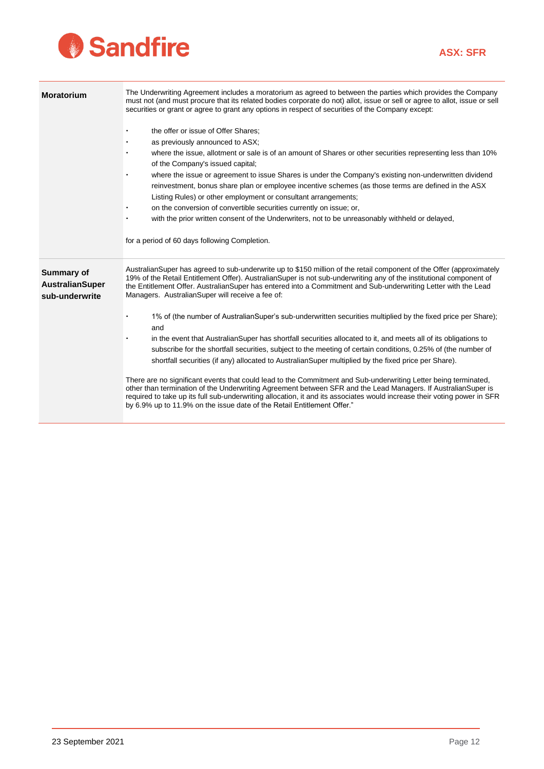# Sandfire

| <b>Moratorium</b>                                             | The Underwriting Agreement includes a moratorium as agreed to between the parties which provides the Company<br>must not (and must procure that its related bodies corporate do not) allot, issue or sell or agree to allot, issue or sell<br>securities or grant or agree to grant any options in respect of securities of the Company except:<br>the offer or issue of Offer Shares;<br>as previously announced to ASX;<br>where the issue, allotment or sale is of an amount of Shares or other securities representing less than 10%<br>of the Company's issued capital;<br>where the issue or agreement to issue Shares is under the Company's existing non-underwritten dividend<br>reinvestment, bonus share plan or employee incentive schemes (as those terms are defined in the ASX<br>Listing Rules) or other employment or consultant arrangements;<br>on the conversion of convertible securities currently on issue; or,<br>with the prior written consent of the Underwriters, not to be unreasonably withheld or delayed,<br>for a period of 60 days following Completion.                                                                                                                                                                                                                                        |
|---------------------------------------------------------------|-----------------------------------------------------------------------------------------------------------------------------------------------------------------------------------------------------------------------------------------------------------------------------------------------------------------------------------------------------------------------------------------------------------------------------------------------------------------------------------------------------------------------------------------------------------------------------------------------------------------------------------------------------------------------------------------------------------------------------------------------------------------------------------------------------------------------------------------------------------------------------------------------------------------------------------------------------------------------------------------------------------------------------------------------------------------------------------------------------------------------------------------------------------------------------------------------------------------------------------------------------------------------------------------------------------------------------------|
| <b>Summary of</b><br><b>AustralianSuper</b><br>sub-underwrite | AustralianSuper has agreed to sub-underwrite up to \$150 million of the retail component of the Offer (approximately<br>19% of the Retail Entitlement Offer). AustralianSuper is not sub-underwriting any of the institutional component of<br>the Entitlement Offer. AustralianSuper has entered into a Commitment and Sub-underwriting Letter with the Lead<br>Managers. AustralianSuper will receive a fee of:<br>1% of (the number of Australian Super's sub-underwritten securities multiplied by the fixed price per Share);<br>and<br>in the event that AustralianSuper has shortfall securities allocated to it, and meets all of its obligations to<br>subscribe for the shortfall securities, subject to the meeting of certain conditions, 0.25% of (the number of<br>shortfall securities (if any) allocated to AustralianSuper multiplied by the fixed price per Share).<br>There are no significant events that could lead to the Commitment and Sub-underwriting Letter being terminated,<br>other than termination of the Underwriting Agreement between SFR and the Lead Managers. If Australian Super is<br>required to take up its full sub-underwriting allocation, it and its associates would increase their voting power in SFR<br>by 6.9% up to 11.9% on the issue date of the Retail Entitlement Offer." |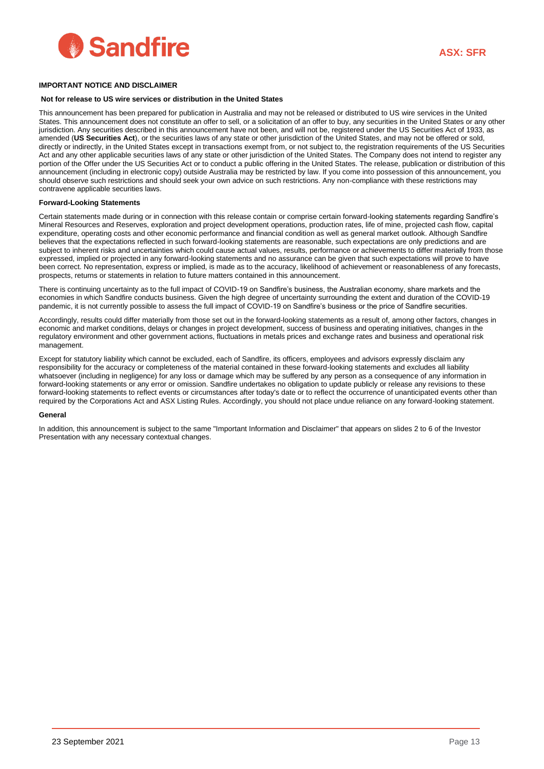

#### **IMPORTANT NOTICE AND DISCLAIMER**

#### **Not for release to US wire services or distribution in the United States**

This announcement has been prepared for publication in Australia and may not be released or distributed to US wire services in the United States. This announcement does not constitute an offer to sell, or a solicitation of an offer to buy, any securities in the United States or any other jurisdiction. Any securities described in this announcement have not been, and will not be, registered under the US Securities Act of 1933, as amended (**US Securities Act**), or the securities laws of any state or other jurisdiction of the United States, and may not be offered or sold, directly or indirectly, in the United States except in transactions exempt from, or not subject to, the registration requirements of the US Securities Act and any other applicable securities laws of any state or other jurisdiction of the United States. The Company does not intend to register any portion of the Offer under the US Securities Act or to conduct a public offering in the United States. The release, publication or distribution of this announcement (including in electronic copy) outside Australia may be restricted by law. If you come into possession of this announcement, you should observe such restrictions and should seek your own advice on such restrictions. Any non-compliance with these restrictions may contravene applicable securities laws.

#### **Forward-Looking Statements**

Certain statements made during or in connection with this release contain or comprise certain forward-looking statements regarding Sandfire's Mineral Resources and Reserves, exploration and project development operations, production rates, life of mine, projected cash flow, capital expenditure, operating costs and other economic performance and financial condition as well as general market outlook. Although Sandfire believes that the expectations reflected in such forward-looking statements are reasonable, such expectations are only predictions and are subject to inherent risks and uncertainties which could cause actual values, results, performance or achievements to differ materially from those expressed, implied or projected in any forward-looking statements and no assurance can be given that such expectations will prove to have been correct. No representation, express or implied, is made as to the accuracy, likelihood of achievement or reasonableness of any forecasts, prospects, returns or statements in relation to future matters contained in this announcement.

There is continuing uncertainty as to the full impact of COVID-19 on Sandfire's business, the Australian economy, share markets and the economies in which Sandfire conducts business. Given the high degree of uncertainty surrounding the extent and duration of the COVID-19 pandemic, it is not currently possible to assess the full impact of COVID-19 on Sandfire's business or the price of Sandfire securities.

Accordingly, results could differ materially from those set out in the forward-looking statements as a result of, among other factors, changes in economic and market conditions, delays or changes in project development, success of business and operating initiatives, changes in the regulatory environment and other government actions, fluctuations in metals prices and exchange rates and business and operational risk management.

Except for statutory liability which cannot be excluded, each of Sandfire, its officers, employees and advisors expressly disclaim any responsibility for the accuracy or completeness of the material contained in these forward-looking statements and excludes all liability whatsoever (including in negligence) for any loss or damage which may be suffered by any person as a consequence of any information in forward-looking statements or any error or omission. Sandfire undertakes no obligation to update publicly or release any revisions to these forward-looking statements to reflect events or circumstances after today's date or to reflect the occurrence of unanticipated events other than required by the Corporations Act and ASX Listing Rules. Accordingly, you should not place undue reliance on any forward-looking statement.

#### **General**

In addition, this announcement is subject to the same "Important Information and Disclaimer" that appears on slides 2 to 6 of the Investor Presentation with any necessary contextual changes.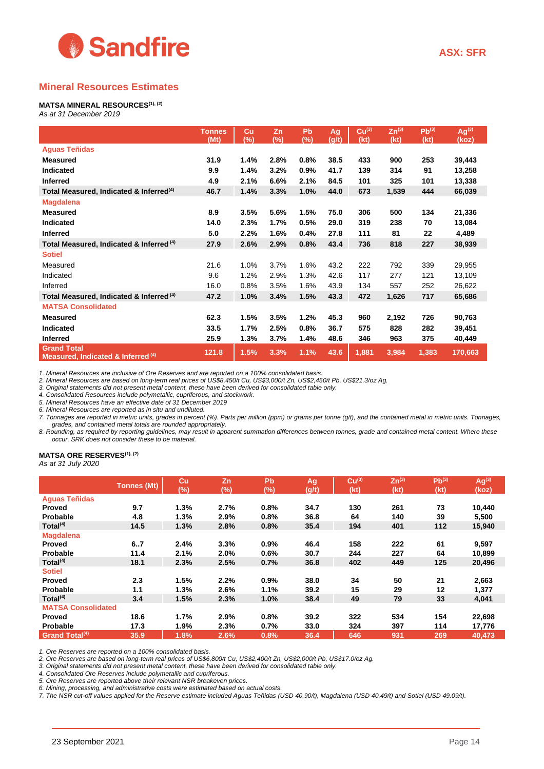

## **Mineral Resources Estimates**

#### **MATSA MINERAL RESOURCES(1), (2)**

*As at 31 December 2019*

|                                                                     | <b>Tonnes</b><br>(Mt) | Cu<br>(%) | Zn<br>$(\%)$ | Pb<br>(%) | Ag<br>(g/t) | $Cu^{(3)}$<br>(kt) | $Zn^{(3)}$<br>(kt) | $Pb^{(3)}$<br>(kt) | $Aq^{(3)}$<br>(koz) |
|---------------------------------------------------------------------|-----------------------|-----------|--------------|-----------|-------------|--------------------|--------------------|--------------------|---------------------|
| <b>Aguas Teñidas</b>                                                |                       |           |              |           |             |                    |                    |                    |                     |
| <b>Measured</b>                                                     | 31.9                  | 1.4%      | 2.8%         | 0.8%      | 38.5        | 433                | 900                | 253                | 39,443              |
| <b>Indicated</b>                                                    | 9.9                   | 1.4%      | 3.2%         | 0.9%      | 41.7        | 139                | 314                | 91                 | 13,258              |
| <b>Inferred</b>                                                     | 4.9                   | 2.1%      | 6.6%         | 2.1%      | 84.5        | 101                | 325                | 101                | 13,338              |
| Total Measured, Indicated & Inferred <sup>(4)</sup>                 | 46.7                  | 1.4%      | 3.3%         | 1.0%      | 44.0        | 673                | 1,539              | 444                | 66,039              |
| <b>Magdalena</b>                                                    |                       |           |              |           |             |                    |                    |                    |                     |
| <b>Measured</b>                                                     | 8.9                   | 3.5%      | 5.6%         | 1.5%      | 75.0        | 306                | 500                | 134                | 21,336              |
| Indicated                                                           | 14.0                  | 2.3%      | 1.7%         | 0.5%      | 29.0        | 319                | 238                | 70                 | 13,084              |
| <b>Inferred</b>                                                     | 5.0                   | 2.2%      | 1.6%         | 0.4%      | 27.8        | 111                | 81                 | 22                 | 4,489               |
| Total Measured, Indicated & Inferred <sup>(4)</sup>                 | 27.9                  | 2.6%      | 2.9%         | 0.8%      | 43.4        | 736                | 818                | 227                | 38,939              |
| <b>Sotiel</b>                                                       |                       |           |              |           |             |                    |                    |                    |                     |
| Measured                                                            | 21.6                  | 1.0%      | 3.7%         | 1.6%      | 43.2        | 222                | 792                | 339                | 29,955              |
| Indicated                                                           | 9.6                   | 1.2%      | 2.9%         | 1.3%      | 42.6        | 117                | 277                | 121                | 13,109              |
| Inferred                                                            | 16.0                  | 0.8%      | 3.5%         | 1.6%      | 43.9        | 134                | 557                | 252                | 26,622              |
| Total Measured, Indicated & Inferred (4)                            | 47.2                  | 1.0%      | 3.4%         | 1.5%      | 43.3        | 472                | 1,626              | 717                | 65,686              |
| <b>MATSA Consolidated</b>                                           |                       |           |              |           |             |                    |                    |                    |                     |
| <b>Measured</b>                                                     | 62.3                  | 1.5%      | 3.5%         | 1.2%      | 45.3        | 960                | 2,192              | 726                | 90,763              |
| <b>Indicated</b>                                                    | 33.5                  | 1.7%      | 2.5%         | 0.8%      | 36.7        | 575                | 828                | 282                | 39,451              |
| <b>Inferred</b>                                                     | 25.9                  | 1.3%      | 3.7%         | 1.4%      | 48.6        | 346                | 963                | 375                | 40,449              |
| <b>Grand Total</b><br>Measured, Indicated & Inferred <sup>(4)</sup> | 121.8                 | 1.5%      | 3.3%         | 1.1%      | 43.6        | 1,881              | 3,984              | 1,383              | 170,663             |

*1. Mineral Resources are inclusive of Ore Reserves and are reported on a 100% consolidated basis.*

*2. Mineral Resources are based on long-term real prices of US\$8,450/t Cu, US\$3,000/t Zn, US\$2,450/t Pb, US\$21.3/oz Ag.* 

*3. Original statements did not present metal content, these have been derived for consolidated table only.*

*4. Consolidated Resources include polymetallic, cupriferous, and stockwork.*

*5. Mineral Resources have an effective date of 31 December 2019*

*6. Mineral Resources are reported as in situ and undiluted.*

*7. Tonnages are reported in metric units, grades in percent (%). Parts per million (ppm) or grams per tonne (g/t), and the contained metal in metric units. Tonnages, grades, and contained metal totals are rounded appropriately.*

*8. Rounding, as required by reporting guidelines, may result in apparent summation differences between tonnes, grade and contained metal content. Where these occur, SRK does not consider these to be material.*

#### **MATSA ORE RESERVES(1), (2)**

*As at 31 July 2020*

|                           | <b>Tonnes (Mt)</b> | Cu<br>(%) | Zn<br>(%) | Pb<br>(%) | Ag<br>(g/t) | Cu <sup>(3)</sup><br>(kt) | $Zn^{(3)}$<br>(kt) | $Pb^{(3)}$<br>(kt) | Ag <sup>(3)</sup><br>(koz) |
|---------------------------|--------------------|-----------|-----------|-----------|-------------|---------------------------|--------------------|--------------------|----------------------------|
| <b>Aguas Teñidas</b>      |                    |           |           |           |             |                           |                    |                    |                            |
| <b>Proved</b>             | 9.7                | 1.3%      | 2.7%      | 0.8%      | 34.7        | 130                       | 261                | 73                 | 10,440                     |
| <b>Probable</b>           | 4.8                | 1.3%      | 2.9%      | 0.8%      | 36.8        | 64                        | 140                | 39                 | 5,500                      |
| Total $(4)$               | 14.5               | 1.3%      | 2.8%      | 0.8%      | 35.4        | 194                       | 401                | 112                | 15,940                     |
| <b>Magdalena</b>          |                    |           |           |           |             |                           |                    |                    |                            |
| <b>Proved</b>             | 6.7                | 2.4%      | 3.3%      | 0.9%      | 46.4        | 158                       | 222                | 61                 | 9,597                      |
| Probable                  | 11.4               | 2.1%      | 2.0%      | 0.6%      | 30.7        | 244                       | 227                | 64                 | 10,899                     |
| Total <sup>(4)</sup>      | 18.1               | 2.3%      | 2.5%      | 0.7%      | 36.8        | 402                       | 449                | 125                | 20,496                     |
| <b>Sotiel</b>             |                    |           |           |           |             |                           |                    |                    |                            |
| <b>Proved</b>             | 2.3                | 1.5%      | 2.2%      | 0.9%      | 38.0        | 34                        | 50                 | 21                 | 2,663                      |
| Probable                  | 1.1                | 1.3%      | 2.6%      | 1.1%      | 39.2        | 15                        | 29                 | 12                 | 1,377                      |
| Total $(4)$               | 3.4                | 1.5%      | 2.3%      | 1.0%      | 38.4        | 49                        | 79                 | 33                 | 4,041                      |
| <b>MATSA Consolidated</b> |                    |           |           |           |             |                           |                    |                    |                            |
| <b>Proved</b>             | 18.6               | 1.7%      | 2.9%      | 0.8%      | 39.2        | 322                       | 534                | 154                | 22,698                     |
| Probable                  | 17.3               | 1.9%      | 2.3%      | 0.7%      | 33.0        | 324                       | 397                | 114                | 17,776                     |
| <b>Grand Total(4)</b>     | 35.9               | 1.8%      | 2.6%      | 0.8%      | 36.4        | 646                       | 931                | 269                | 40,473                     |

*1. Ore Reserves are reported on a 100% consolidated basis.*

*2. Ore Reserves are based on long-term real prices of US\$6,800/t Cu, US\$2,400/t Zn, US\$2,000/t Pb, US\$17.0/oz Ag.*

*3. Original statements did not present metal content, these have been derived for consolidated table only.*

*4. Consolidated Ore Reserves include polymetallic and cupriferous.* 

*5. Ore Reserves are reported above their relevant NSR breakeven prices.*

*6. Mining, processing, and administrative costs were estimated based on actual costs.*

*7. The NSR cut-off values applied for the Reserve estimate included Aguas Teñidas (USD 40.90/t), Magdalena (USD 40.49/t) and Sotiel (USD 49.09/t).*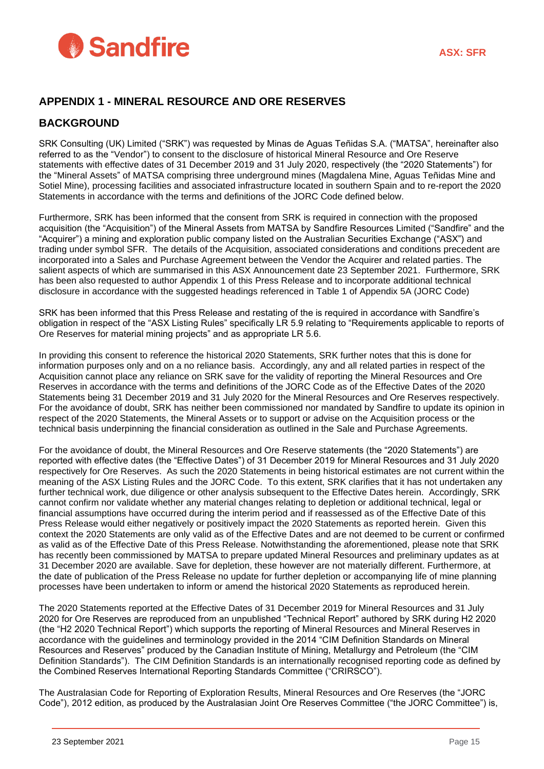

## **APPENDIX 1 - MINERAL RESOURCE AND ORE RESERVES**

## **BACKGROUND**

SRK Consulting (UK) Limited ("SRK") was requested by Minas de Aguas Teñidas S.A. ("MATSA", hereinafter also referred to as the "Vendor") to consent to the disclosure of historical Mineral Resource and Ore Reserve statements with effective dates of 31 December 2019 and 31 July 2020, respectively (the "2020 Statements") for the "Mineral Assets" of MATSA comprising three underground mines (Magdalena Mine, Aguas Teñidas Mine and Sotiel Mine), processing facilities and associated infrastructure located in southern Spain and to re-report the 2020 Statements in accordance with the terms and definitions of the JORC Code defined below.

Furthermore, SRK has been informed that the consent from SRK is required in connection with the proposed acquisition (the "Acquisition") of the Mineral Assets from MATSA by Sandfire Resources Limited ("Sandfire" and the "Acquirer") a mining and exploration public company listed on the Australian Securities Exchange ("ASX") and trading under symbol SFR. The details of the Acquisition, associated considerations and conditions precedent are incorporated into a Sales and Purchase Agreement between the Vendor the Acquirer and related parties. The salient aspects of which are summarised in this ASX Announcement date 23 September 2021. Furthermore, SRK has been also requested to author Appendix 1 of this Press Release and to incorporate additional technical disclosure in accordance with the suggested headings referenced in Table 1 of Appendix 5A (JORC Code)

SRK has been informed that this Press Release and restating of the is required in accordance with Sandfire's obligation in respect of the "ASX Listing Rules" specifically LR 5.9 relating to "Requirements applicable to reports of Ore Reserves for material mining projects" and as appropriate LR 5.6.

In providing this consent to reference the historical 2020 Statements, SRK further notes that this is done for information purposes only and on a no reliance basis. Accordingly, any and all related parties in respect of the Acquisition cannot place any reliance on SRK save for the validity of reporting the Mineral Resources and Ore Reserves in accordance with the terms and definitions of the JORC Code as of the Effective Dates of the 2020 Statements being 31 December 2019 and 31 July 2020 for the Mineral Resources and Ore Reserves respectively. For the avoidance of doubt, SRK has neither been commissioned nor mandated by Sandfire to update its opinion in respect of the 2020 Statements, the Mineral Assets or to support or advise on the Acquisition process or the technical basis underpinning the financial consideration as outlined in the Sale and Purchase Agreements.

For the avoidance of doubt, the Mineral Resources and Ore Reserve statements (the "2020 Statements") are reported with effective dates (the "Effective Dates") of 31 December 2019 for Mineral Resources and 31 July 2020 respectively for Ore Reserves. As such the 2020 Statements in being historical estimates are not current within the meaning of the ASX Listing Rules and the JORC Code. To this extent, SRK clarifies that it has not undertaken any further technical work, due diligence or other analysis subsequent to the Effective Dates herein. Accordingly, SRK cannot confirm nor validate whether any material changes relating to depletion or additional technical, legal or financial assumptions have occurred during the interim period and if reassessed as of the Effective Date of this Press Release would either negatively or positively impact the 2020 Statements as reported herein. Given this context the 2020 Statements are only valid as of the Effective Dates and are not deemed to be current or confirmed as valid as of the Effective Date of this Press Release. Notwithstanding the aforementioned, please note that SRK has recently been commissioned by MATSA to prepare updated Mineral Resources and preliminary updates as at 31 December 2020 are available. Save for depletion, these however are not materially different. Furthermore, at the date of publication of the Press Release no update for further depletion or accompanying life of mine planning processes have been undertaken to inform or amend the historical 2020 Statements as reproduced herein.

The 2020 Statements reported at the Effective Dates of 31 December 2019 for Mineral Resources and 31 July 2020 for Ore Reserves are reproduced from an unpublished "Technical Report" authored by SRK during H2 2020 (the "H2 2020 Technical Report") which supports the reporting of Mineral Resources and Mineral Reserves in accordance with the guidelines and terminology provided in the 2014 "CIM Definition Standards on Mineral Resources and Reserves" produced by the Canadian Institute of Mining, Metallurgy and Petroleum (the "CIM Definition Standards"). The CIM Definition Standards is an internationally recognised reporting code as defined by the Combined Reserves International Reporting Standards Committee ("CRIRSCO").

The Australasian Code for Reporting of Exploration Results, Mineral Resources and Ore Reserves (the "JORC Code"), 2012 edition, as produced by the Australasian Joint Ore Reserves Committee ("the JORC Committee") is,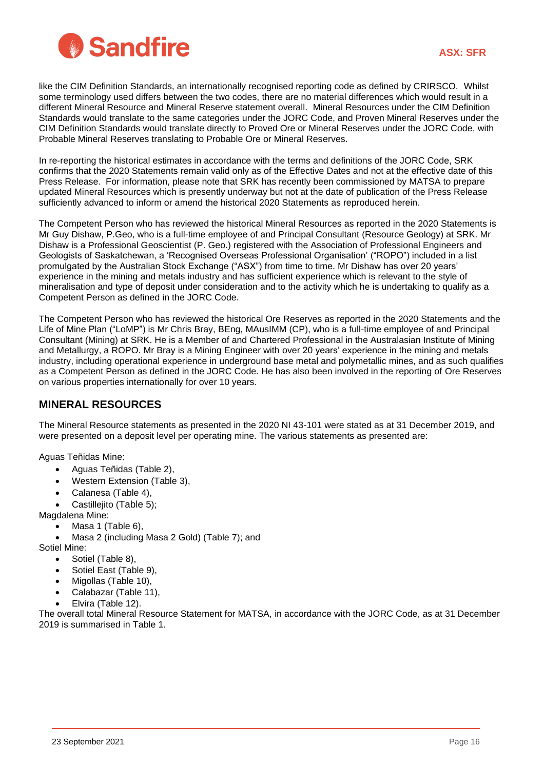

like the CIM Definition Standards, an internationally recognised reporting code as defined by CRIRSCO. Whilst some terminology used differs between the two codes, there are no material differences which would result in a different Mineral Resource and Mineral Reserve statement overall. Mineral Resources under the CIM Definition Standards would translate to the same categories under the JORC Code, and Proven Mineral Reserves under the CIM Definition Standards would translate directly to Proved Ore or Mineral Reserves under the JORC Code, with Probable Mineral Reserves translating to Probable Ore or Mineral Reserves.

In re-reporting the historical estimates in accordance with the terms and definitions of the JORC Code, SRK confirms that the 2020 Statements remain valid only as of the Effective Dates and not at the effective date of this Press Release. For information, please note that SRK has recently been commissioned by MATSA to prepare updated Mineral Resources which is presently underway but not at the date of publication of the Press Release sufficiently advanced to inform or amend the historical 2020 Statements as reproduced herein.

The Competent Person who has reviewed the historical Mineral Resources as reported in the 2020 Statements is Mr Guy Dishaw, P.Geo, who is a full-time employee of and Principal Consultant (Resource Geology) at SRK. Mr Dishaw is a Professional Geoscientist (P. Geo.) registered with the Association of Professional Engineers and Geologists of Saskatchewan, a 'Recognised Overseas Professional Organisation' ("ROPO") included in a list promulgated by the Australian Stock Exchange ("ASX") from time to time. Mr Dishaw has over 20 years' experience in the mining and metals industry and has sufficient experience which is relevant to the style of mineralisation and type of deposit under consideration and to the activity which he is undertaking to qualify as a Competent Person as defined in the JORC Code.

The Competent Person who has reviewed the historical Ore Reserves as reported in the 2020 Statements and the Life of Mine Plan ("LoMP") is Mr Chris Bray, BEng, MAusIMM (CP), who is a full-time employee of and Principal Consultant (Mining) at SRK. He is a Member of and Chartered Professional in the Australasian Institute of Mining and Metallurgy, a ROPO. Mr Bray is a Mining Engineer with over 20 years' experience in the mining and metals industry, including operational experience in underground base metal and polymetallic mines, and as such qualifies as a Competent Person as defined in the JORC Code. He has also been involved in the reporting of Ore Reserves on various properties internationally for over 10 years.

## **MINERAL RESOURCES**

The Mineral Resource statements as presented in the 2020 NI 43-101 were stated as at 31 December 2019, and were presented on a deposit level per operating mine. The various statements as presented are:

Aguas Teñidas Mine:

- Aguas Teñidas [\(Table 2\)](#page-16-0),
- Western Extension [\(Table 3\)](#page-16-1),
- Calanesa [\(Table 4\)](#page-17-0),
- Castillejito ([Table 5](#page-17-1));

Magdalena Mine:

- Masa 1 [\(Table 6\)](#page-17-2),
- Masa 2 (including Masa 2 Gold) [\(Table 7\)](#page-18-0); and

Sotiel Mine:

- Sotiel [\(Table 8\)](#page-18-1),
- Sotiel East [\(Table 9\)](#page-18-2),
- Migollas [\(Table 10\)](#page-19-0),
- Calabazar [\(Table 11\)](#page-19-1),
- Elvira [\(Table 12\)](#page-19-2).

The overall total Mineral Resource Statement for MATSA, in accordance with the JORC Code, as at 31 December 2019 is summarised in [Table 1.](#page-16-2)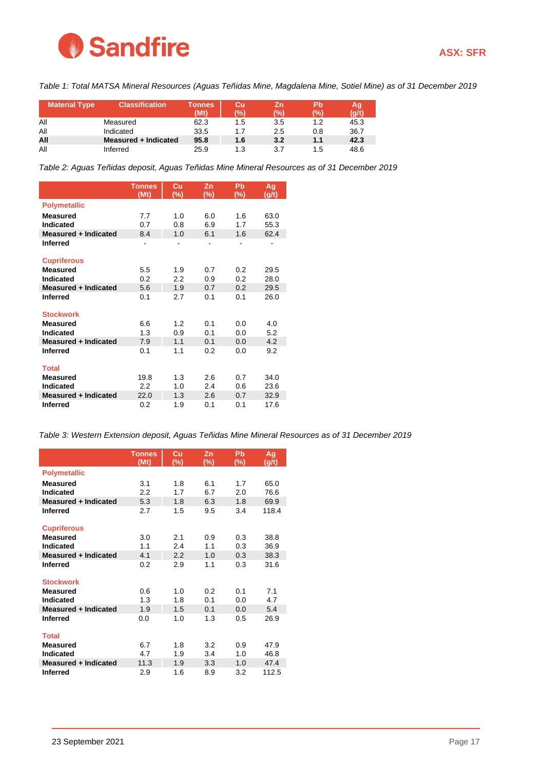

<span id="page-16-2"></span>*Table 1: Total MATSA Mineral Resources (Aguas Teñidas Mine, Magdalena Mine, Sotiel Mine) as of 31 December 2019*

| <b>Material Type</b> | <b>Classification</b> | <b>Tonnes</b><br>(Mt) | Cu<br>(%) | Ζn<br>$\mathcal{C}_{\mathcal{O}}$ | Pb<br>(0) | Ag<br>(q/t) |
|----------------------|-----------------------|-----------------------|-----------|-----------------------------------|-----------|-------------|
|                      |                       |                       |           |                                   |           |             |
| All                  | Measured              | 62.3                  | 1.5       | 3.5                               | 1.2       | 45.3        |
| All                  | Indicated             | 33.5                  | 1.7       | 2.5                               | 0.8       | 36.7        |
| All                  | Measured + Indicated  | 95.8                  | 1.6       | 3.2                               | 1.1       | 42.3        |
| All                  | Inferred              | 25.9                  | 1.3       | 3.7                               | 1.5       | 48.6        |

<span id="page-16-0"></span>*Table 2: Aguas Teñidas deposit, Aguas Teñidas Mine Mineral Resources as of 31 December 2019*

|                             | <b>Tonnes</b><br>(Mt) | Cu<br>(%)        | Zn<br>(%) | Pb<br>$(\%)$ | Ag<br>(g/t) |
|-----------------------------|-----------------------|------------------|-----------|--------------|-------------|
| <b>Polymetallic</b>         |                       |                  |           |              |             |
| Measured                    | 7.7                   | 1.0              | 6.0       | 1.6          | 63.0        |
| <b>Indicated</b>            | 0.7                   | 0.8              | 6.9       | 1.7          | 55.3        |
| <b>Measured + Indicated</b> | 8.4                   | 1.0              | 6.1       | 1.6          | 62.4        |
| <b>Inferred</b>             |                       |                  |           |              |             |
| <b>Cupriferous</b>          |                       |                  |           |              |             |
| <b>Measured</b>             | 5.5                   | 1.9              | 0.7       | 0.2          | 29.5        |
| <b>Indicated</b>            | 0.2                   | $2.2\phantom{0}$ | 0.9       | 0.2          | 28.0        |
| Measured + Indicated        | 5.6                   | 1.9              | 0.7       | 0.2          | 29.5        |
| <b>Inferred</b>             | 0.1                   | 2.7              | 0.1       | 0.1          | 26.0        |
| <b>Stockwork</b>            |                       |                  |           |              |             |
| <b>Measured</b>             | 6.6                   | 1.2              | 0.1       | 0.0          | 4.0         |
| <b>Indicated</b>            | 1.3                   | 0.9              | 0.1       | 0.0          | 5.2         |
| Measured + Indicated        | 7.9                   | 1.1              | 0.1       | 0.0          | 4.2         |
| <b>Inferred</b>             | 0.1                   | 1.1              | 0.2       | 0.0          | 9.2         |
| <b>Total</b>                |                       |                  |           |              |             |
| <b>Measured</b>             | 19.8                  | 1.3              | 2.6       | 0.7          | 34.0        |
| Indicated                   | 2.2                   | 1.0              | 2.4       | 0.6          | 23.6        |
| Measured + Indicated        | 22.0                  | 1.3              | 2.6       | 0.7          | 32.9        |
| <b>Inferred</b>             | 0.2                   | 1.9              | 0.1       | 0.1          | 17.6        |

<span id="page-16-1"></span>*Table 3: Western Extension deposit, Aguas Teñidas Mine Mineral Resources as of 31 December 2019*

|                                                 | <b>Tonnes</b><br>(Mt) | Cu<br>$(\%)$ | Zn<br>$(\%)$ | Pb<br>(%)  | Ag<br>(g/t) |
|-------------------------------------------------|-----------------------|--------------|--------------|------------|-------------|
| <b>Polymetallic</b>                             |                       |              |              |            |             |
| <b>Measured</b>                                 | 3.1                   | 1.8          | 6.1          | 1.7        | 65.0        |
| Indicated                                       | 2.2                   | 1.7          | 6.7          | 2.0        | 76.6        |
| <b>Measured + Indicated</b>                     | 5.3                   | 1.8          | 6.3          | 1.8        | 69.9        |
| <b>Inferred</b>                                 | 2.7                   | 1.5          | 9.5          | 3.4        | 118.4       |
| <b>Cupriferous</b>                              |                       |              |              |            |             |
| <b>Measured</b>                                 | 3.0                   | 2.1          | 0.9          | 0.3        | 38.8        |
| Indicated                                       | 1.1                   | 2.4          | 1.1          | 0.3        | 36.9        |
| <b>Measured + Indicated</b>                     | 4.1                   | 2.2          | 1.0          | 0.3        | 38.3        |
| <b>Inferred</b>                                 | 0.2                   | 2.9          | 1.1          | 0.3        | 31.6        |
|                                                 |                       |              |              |            |             |
| <b>Stockwork</b>                                |                       |              |              |            |             |
| <b>Measured</b>                                 | 0.6                   | 1.0          | 0.2          | 0.1        | 7.1         |
| <b>Indicated</b><br><b>Measured + Indicated</b> | 1.3<br>1.9            | 1.8<br>1.5   | 0.1<br>0.1   | 0.0<br>0.0 | 4.7<br>5.4  |
|                                                 |                       |              |              |            |             |
| <b>Inferred</b>                                 | 0.0                   | 1.0          | 1.3          | 0.5        | 26.9        |
| <b>Total</b>                                    |                       |              |              |            |             |
| <b>Measured</b>                                 | 6.7                   | 1.8          | 3.2          | 0.9        | 47.9        |
| Indicated                                       | 4.7                   | 1.9          | 3.4          | 1.0        | 46.8        |
| Measured + Indicated                            | 11.3                  | 1.9          | 3.3          | 1.0        | 47.4        |
| <b>Inferred</b>                                 | 2.9                   | 1.6          | 8.9          | 3.2        | 112.5       |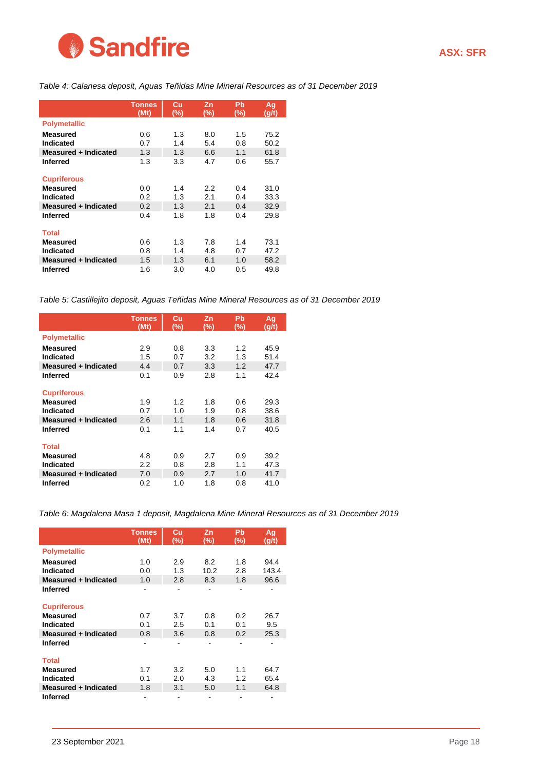

<span id="page-17-0"></span>*Table 4: Calanesa deposit, Aguas Teñidas Mine Mineral Resources as of 31 December 2019*

|                      | <b>Tonnes</b><br>(Mt) | Cu<br>(%) | Zn<br>(%) | Pb<br>(%) | <u>Ag</u><br>(g/t) |
|----------------------|-----------------------|-----------|-----------|-----------|--------------------|
| <b>Polymetallic</b>  |                       |           |           |           |                    |
| <b>Measured</b>      | 0.6                   | 1.3       | 8.0       | 1.5       | 75.2               |
| Indicated            | 0.7                   | 1.4       | 5.4       | 0.8       | 50.2               |
| Measured + Indicated | 1.3                   | 1.3       | 6.6       | 1.1       | 61.8               |
| <b>Inferred</b>      | 1.3                   | 3.3       | 4.7       | 0.6       | 55.7               |
| <b>Cupriferous</b>   |                       |           |           |           |                    |
| <b>Measured</b>      | 0.0                   | 1.4       | 2.2       | 0.4       | 31.0               |
| Indicated            | 0.2                   | 1.3       | 2.1       | 0.4       | 33.3               |
| Measured + Indicated | 0.2                   | 1.3       | 2.1       | 0.4       | 32.9               |
| <b>Inferred</b>      | 0.4                   | 1.8       | 1.8       | 0.4       | 29.8               |
| <b>Total</b>         |                       |           |           |           |                    |
| <b>Measured</b>      | 0.6                   | 1.3       | 7.8       | 1.4       | 73.1               |
| Indicated            | 0.8                   | 1.4       | 4.8       | 0.7       | 47.2               |
| Measured + Indicated | 1.5                   | 1.3       | 6.1       | 1.0       | 58.2               |
| <b>Inferred</b>      | 1.6                   | 3.0       | 4.0       | 0.5       | 49.8               |

<span id="page-17-1"></span>*Table 5: Castillejito deposit, Aguas Teñidas Mine Mineral Resources as of 31 December 2019*

|                      | <b>Tonnes</b><br>(Mt) | Cu<br>(%) | Zn<br>(%) | Pb<br>(%) | <b>Ag</b><br>(g/t) |
|----------------------|-----------------------|-----------|-----------|-----------|--------------------|
| <b>Polymetallic</b>  |                       |           |           |           |                    |
| <b>Measured</b>      | 2.9                   | 0.8       | 3.3       | 1.2       | 45.9               |
| Indicated            | 1.5                   | 0.7       | 3.2       | 1.3       | 51.4               |
| Measured + Indicated | 4.4                   | 0.7       | 3.3       | 1.2       | 47.7               |
| <b>Inferred</b>      | 0.1                   | 0.9       | 2.8       | 1.1       | 42.4               |
| <b>Cupriferous</b>   |                       |           |           |           |                    |
| <b>Measured</b>      | 1.9                   | 1.2       | 1.8       | 0.6       | 29.3               |
| Indicated            | 0.7                   | 1.0       | 1.9       | 0.8       | 38.6               |
| Measured + Indicated | 2.6                   | 1.1       | 1.8       | 0.6       | 31.8               |
| <b>Inferred</b>      | 0.1                   | 1.1       | 1.4       | 0.7       | 40.5               |
| <b>Total</b>         |                       |           |           |           |                    |
| <b>Measured</b>      | 4.8                   | 0.9       | 2.7       | 0.9       | 39.2               |
| Indicated            | 2.2                   | 0.8       | 2.8       | 1.1       | 47.3               |
| Measured + Indicated | 7.0                   | 0.9       | 2.7       | 1.0       | 41.7               |
| <b>Inferred</b>      | 0.2                   | 1.0       | 1.8       | 0.8       | 41.0               |

<span id="page-17-2"></span>*Table 6: Magdalena Masa 1 deposit, Magdalena Mine Mineral Resources as of 31 December 2019*

|                      | <b>Tonnes</b> | Cu                       | Zn   | Pb  | Ag    |
|----------------------|---------------|--------------------------|------|-----|-------|
|                      | (Mt)          | (%)                      | (%)  | (%) | (g/t) |
| <b>Polymetallic</b>  |               |                          |      |     |       |
| <b>Measured</b>      | 1.0           | 2.9                      | 8.2  | 1.8 | 94.4  |
| Indicated            | 0.0           | 1.3                      | 10.2 | 2.8 | 143.4 |
| Measured + Indicated | 1.0           | 2.8                      | 8.3  | 1.8 | 96.6  |
| <b>Inferred</b>      |               |                          |      |     |       |
|                      |               |                          |      |     |       |
| <b>Cupriferous</b>   |               |                          |      |     |       |
| <b>Measured</b>      | 0.7           | 3.7                      | 0.8  | 0.2 | 26.7  |
| Indicated            | 0.1           | 2.5                      | 0.1  | 0.1 | 9.5   |
| Measured + Indicated | 0.8           | 3.6                      | 0.8  | 0.2 | 25.3  |
| <b>Inferred</b>      | -             | $\overline{\phantom{0}}$ |      | ۰   |       |
|                      |               |                          |      |     |       |
| <b>Total</b>         |               |                          |      |     |       |
| <b>Measured</b>      | 1.7           | 3.2                      | 5.0  | 1.1 | 64.7  |
| Indicated            | 0.1           | 2.0                      | 4.3  | 1.2 | 65.4  |
| Measured + Indicated | 1.8           | 3.1                      | 5.0  | 1.1 | 64.8  |
| <b>Inferred</b>      |               |                          |      |     |       |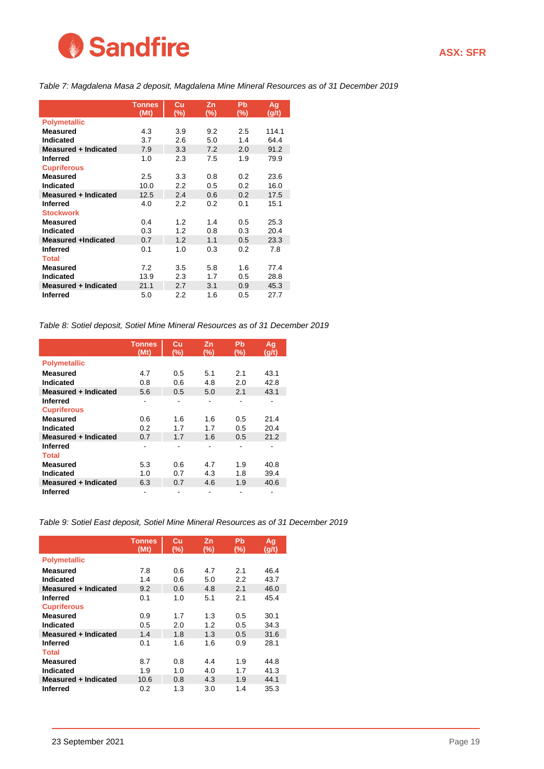

<span id="page-18-0"></span>*Table 7: Magdalena Masa 2 deposit, Magdalena Mine Mineral Resources as of 31 December 2019*

|                             | <b>Tonnes</b><br>(Mt) | Cu<br>(%) | Zn<br>(%) | Pb<br>$(\%)$ | Ag<br>(g/t) |
|-----------------------------|-----------------------|-----------|-----------|--------------|-------------|
| <b>Polymetallic</b>         |                       |           |           |              |             |
| <b>Measured</b>             | 4.3                   | 3.9       | 9.2       | 2.5          | 114.1       |
| <b>Indicated</b>            | 3.7                   | 2.6       | 5.0       | 1.4          | 64.4        |
| <b>Measured + Indicated</b> | 7.9                   | 3.3       | 7.2       | 2.0          | 91.2        |
| <b>Inferred</b>             | 1.0                   | 2.3       | 7.5       | 1.9          | 79.9        |
| <b>Cupriferous</b>          |                       |           |           |              |             |
| <b>Measured</b>             | $2.5\,$               | 3.3       | 0.8       | 0.2          | 23.6        |
| <b>Indicated</b>            | 10.0                  | 2.2       | 0.5       | 0.2          | 16.0        |
| <b>Measured + Indicated</b> | 12.5                  | 2.4       | 0.6       | 0.2          | 17.5        |
| <b>Inferred</b>             | 4.0                   | 2.2       | 0.2       | 0.1          | 15.1        |
| <b>Stockwork</b>            |                       |           |           |              |             |
| <b>Measured</b>             | 0.4                   | 1.2       | 1.4       | 0.5          | 25.3        |
| <b>Indicated</b>            | 0.3                   | 1.2       | 0.8       | 0.3          | 20.4        |
| <b>Measured +Indicated</b>  | 0.7                   | 1.2       | 1.1       | 0.5          | 23.3        |
| <b>Inferred</b>             | 0.1                   | 1.0       | 0.3       | 0.2          | 7.8         |
| <b>Total</b>                |                       |           |           |              |             |
| <b>Measured</b>             | 7.2                   | 3.5       | 5.8       | 1.6          | 77.4        |
| Indicated                   | 13.9                  | 2.3       | 1.7       | 0.5          | 28.8        |
| Measured + Indicated        | 21.1                  | 2.7       | 3.1       | 0.9          | 45.3        |
| <b>Inferred</b>             | 5.0                   | 2.2       | 1.6       | 0.5          | 27.7        |

<span id="page-18-1"></span>*Table 8: Sotiel deposit, Sotiel Mine Mineral Resources as of 31 December 2019*

|                      | <b>Tonnes</b><br>(Mt) | Cu<br>(%) | Zn<br>(%) | Pb<br>(%) | Ag<br>(g/t) |
|----------------------|-----------------------|-----------|-----------|-----------|-------------|
| <b>Polymetallic</b>  |                       |           |           |           |             |
| Measured             | 4.7                   | 0.5       | 5.1       | 2.1       | 43.1        |
| Indicated            | 0.8                   | 0.6       | 4.8       | 2.0       | 42.8        |
| Measured + Indicated | 5.6                   | 0.5       | 5.0       | 2.1       | 43.1        |
| Inferred             |                       |           |           |           |             |
| <b>Cupriferous</b>   |                       |           |           |           |             |
| <b>Measured</b>      | 0.6                   | 1.6       | 1.6       | 0.5       | 21.4        |
| Indicated            | 0.2                   | 1.7       | 1.7       | 0.5       | 20.4        |
| Measured + Indicated | 0.7                   | 1.7       | 1.6       | 0.5       | 21.2        |
| Inferred             |                       |           |           |           |             |
| <b>Total</b>         |                       |           |           |           |             |
| Measured             | 5.3                   | 0.6       | 4.7       | 1.9       | 40.8        |
| Indicated            | 1.0                   | 0.7       | 4.3       | 1.8       | 39.4        |
| Measured + Indicated | 6.3                   | 0.7       | 4.6       | 1.9       | 40.6        |
| Inferred             |                       |           |           |           |             |

<span id="page-18-2"></span>*Table 9: Sotiel East deposit, Sotiel Mine Mineral Resources as of 31 December 2019*

|                      | <b>Tonnes</b> | Cu  | Zn  | Pb  | Ag    |
|----------------------|---------------|-----|-----|-----|-------|
|                      | (Mt)          | (%) | (%) | (%) | (g/t) |
| <b>Polymetallic</b>  |               |     |     |     |       |
| <b>Measured</b>      | 7.8           | 0.6 | 4.7 | 2.1 | 46.4  |
| Indicated            | 1.4           | 0.6 | 5.0 | 2.2 | 43.7  |
| Measured + Indicated | 9.2           | 0.6 | 4.8 | 2.1 | 46.0  |
| Inferred             | 0.1           | 1.0 | 5.1 | 2.1 | 45.4  |
| <b>Cupriferous</b>   |               |     |     |     |       |
| <b>Measured</b>      | 0.9           | 1.7 | 1.3 | 0.5 | 30.1  |
| Indicated            | 0.5           | 2.0 | 1.2 | 0.5 | 34.3  |
| Measured + Indicated | 1.4           | 1.8 | 1.3 | 0.5 | 31.6  |
| <b>Inferred</b>      | 0.1           | 1.6 | 1.6 | 0.9 | 28.1  |
| <b>Total</b>         |               |     |     |     |       |
| <b>Measured</b>      | 8.7           | 0.8 | 4.4 | 1.9 | 44.8  |
| Indicated            | 1.9           | 1.0 | 4.0 | 1.7 | 41.3  |
| Measured + Indicated | 10.6          | 0.8 | 4.3 | 1.9 | 44.1  |
| <b>Inferred</b>      | 0.2           | 1.3 | 3.0 | 1.4 | 35.3  |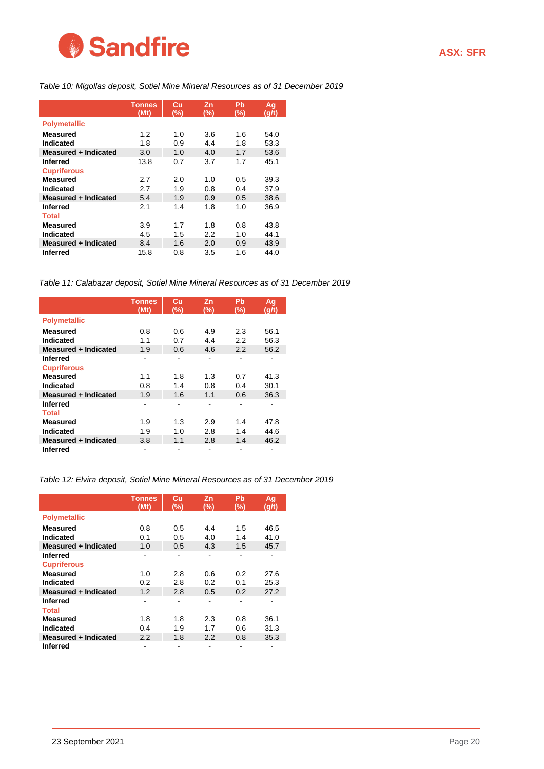

#### <span id="page-19-0"></span>*Table 10: Migollas deposit, Sotiel Mine Mineral Resources as of 31 December 2019*

|                      | <b>Tonnes</b><br>(Mt) | Cu<br>(%) | Zn<br>(%) | Pb<br>(%) | Ag<br>(g/t) |
|----------------------|-----------------------|-----------|-----------|-----------|-------------|
| <b>Polymetallic</b>  |                       |           |           |           |             |
| <b>Measured</b>      | 1.2                   | 1.0       | 3.6       | 1.6       | 54.0        |
| Indicated            | 1.8                   | 0.9       | 4.4       | 1.8       | 53.3        |
| Measured + Indicated | 3.0                   | 1.0       | 4.0       | 1.7       | 53.6        |
| <b>Inferred</b>      | 13.8                  | 0.7       | 3.7       | 1.7       | 45.1        |
| <b>Cupriferous</b>   |                       |           |           |           |             |
| <b>Measured</b>      | 2.7                   | 2.0       | 1.0       | 0.5       | 39.3        |
| Indicated            | 2.7                   | 1.9       | 0.8       | 0.4       | 37.9        |
| Measured + Indicated | 5.4                   | 1.9       | 0.9       | 0.5       | 38.6        |
| <b>Inferred</b>      | 2.1                   | 1.4       | 1.8       | 1.0       | 36.9        |
| <b>Total</b>         |                       |           |           |           |             |
| Measured             | 3.9                   | 1.7       | 1.8       | 0.8       | 43.8        |
| Indicated            | 4.5                   | 1.5       | 2.2       | 1.0       | 44.1        |
| Measured + Indicated | 8.4                   | 1.6       | 2.0       | 0.9       | 43.9        |
| <b>Inferred</b>      | 15.8                  | 0.8       | 3.5       | 1.6       | 44.0        |

<span id="page-19-1"></span>*Table 11: Calabazar deposit, Sotiel Mine Mineral Resources as of 31 December 2019*

|                      | <b>Tonnes</b> | Cu  | Zn  | Pb     | <u>Ag</u> |
|----------------------|---------------|-----|-----|--------|-----------|
|                      | (Mt)          | (%) | (%) | $(\%)$ | (g/t)     |
| <b>Polymetallic</b>  |               |     |     |        |           |
| <b>Measured</b>      | 0.8           | 0.6 | 4.9 | 2.3    | 56.1      |
| Indicated            | 1.1           | 0.7 | 4.4 | 2.2    | 56.3      |
| Measured + Indicated | 1.9           | 0.6 | 4.6 | 2.2    | 56.2      |
| Inferred             | ۰             |     |     | -      |           |
| <b>Cupriferous</b>   |               |     |     |        |           |
| <b>Measured</b>      | 1.1           | 1.8 | 1.3 | 0.7    | 41.3      |
| Indicated            | 0.8           | 1.4 | 0.8 | 0.4    | 30.1      |
| Measured + Indicated | 1.9           | 1.6 | 1.1 | 0.6    | 36.3      |
| <b>Inferred</b>      |               |     |     |        |           |
| <b>Total</b>         |               |     |     |        |           |
| <b>Measured</b>      | 1.9           | 1.3 | 2.9 | 1.4    | 47.8      |
| Indicated            | 1.9           | 1.0 | 2.8 | 1.4    | 44.6      |
| Measured + Indicated | 3.8           | 1.1 | 2.8 | 1.4    | 46.2      |
| <b>Inferred</b>      |               |     |     |        |           |

<span id="page-19-2"></span>*Table 12: Elvira deposit, Sotiel Mine Mineral Resources as of 31 December 2019*

|                      | <b>Tonnes</b> | Cu  | Zn  | Pb  | Ag    |
|----------------------|---------------|-----|-----|-----|-------|
|                      | (Mt)          | (%) | (%) | (%) | (g/t) |
| <b>Polymetallic</b>  |               |     |     |     |       |
| Measured             | 0.8           | 0.5 | 4.4 | 1.5 | 46.5  |
| Indicated            | 0.1           | 0.5 | 4.0 | 1.4 | 41.0  |
| Measured + Indicated | 1.0           | 0.5 | 4.3 | 1.5 | 45.7  |
| Inferred             |               |     |     |     |       |
| <b>Cupriferous</b>   |               |     |     |     |       |
| <b>Measured</b>      | 1.0           | 2.8 | 0.6 | 0.2 | 27.6  |
| Indicated            | 0.2           | 2.8 | 0.2 | 0.1 | 25.3  |
| Measured + Indicated | 1.2           | 2.8 | 0.5 | 0.2 | 27.2  |
| <b>Inferred</b>      |               |     |     |     |       |
| <b>Total</b>         |               |     |     |     |       |
| <b>Measured</b>      | 1.8           | 1.8 | 2.3 | 0.8 | 36.1  |
| Indicated            | 0.4           | 1.9 | 1.7 | 0.6 | 31.3  |
| Measured + Indicated | 2.2           | 1.8 | 2.2 | 0.8 | 35.3  |
| <b>Inferred</b>      |               |     |     |     |       |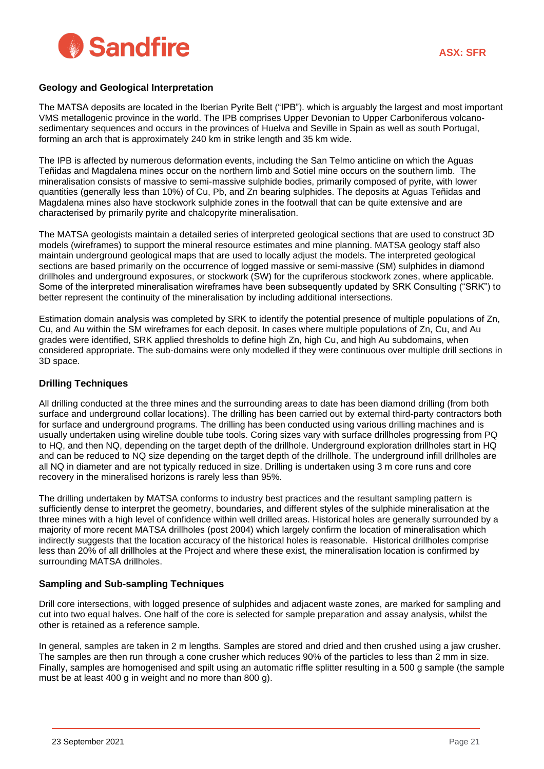

#### **Geology and Geological Interpretation**

The MATSA deposits are located in the Iberian Pyrite Belt ("IPB"). which is arguably the largest and most important VMS metallogenic province in the world. The IPB comprises Upper Devonian to Upper Carboniferous volcanosedimentary sequences and occurs in the provinces of Huelva and Seville in Spain as well as south Portugal, forming an arch that is approximately 240 km in strike length and 35 km wide.

The IPB is affected by numerous deformation events, including the San Telmo anticline on which the Aguas Teñidas and Magdalena mines occur on the northern limb and Sotiel mine occurs on the southern limb. The mineralisation consists of massive to semi-massive sulphide bodies, primarily composed of pyrite, with lower quantities (generally less than 10%) of Cu, Pb, and Zn bearing sulphides. The deposits at Aguas Teñidas and Magdalena mines also have stockwork sulphide zones in the footwall that can be quite extensive and are characterised by primarily pyrite and chalcopyrite mineralisation.

The MATSA geologists maintain a detailed series of interpreted geological sections that are used to construct 3D models (wireframes) to support the mineral resource estimates and mine planning. MATSA geology staff also maintain underground geological maps that are used to locally adjust the models. The interpreted geological sections are based primarily on the occurrence of logged massive or semi-massive (SM) sulphides in diamond drillholes and underground exposures, or stockwork (SW) for the cupriferous stockwork zones, where applicable. Some of the interpreted mineralisation wireframes have been subsequently updated by SRK Consulting ("SRK") to better represent the continuity of the mineralisation by including additional intersections.

Estimation domain analysis was completed by SRK to identify the potential presence of multiple populations of Zn, Cu, and Au within the SM wireframes for each deposit. In cases where multiple populations of Zn, Cu, and Au grades were identified, SRK applied thresholds to define high Zn, high Cu, and high Au subdomains, when considered appropriate. The sub-domains were only modelled if they were continuous over multiple drill sections in 3D space.

#### **Drilling Techniques**

All drilling conducted at the three mines and the surrounding areas to date has been diamond drilling (from both surface and underground collar locations). The drilling has been carried out by external third-party contractors both for surface and underground programs. The drilling has been conducted using various drilling machines and is usually undertaken using wireline double tube tools. Coring sizes vary with surface drillholes progressing from PQ to HQ, and then NQ, depending on the target depth of the drillhole. Underground exploration drillholes start in HQ and can be reduced to NQ size depending on the target depth of the drillhole. The underground infill drillholes are all NQ in diameter and are not typically reduced in size. Drilling is undertaken using 3 m core runs and core recovery in the mineralised horizons is rarely less than 95%.

The drilling undertaken by MATSA conforms to industry best practices and the resultant sampling pattern is sufficiently dense to interpret the geometry, boundaries, and different styles of the sulphide mineralisation at the three mines with a high level of confidence within well drilled areas. Historical holes are generally surrounded by a majority of more recent MATSA drillholes (post 2004) which largely confirm the location of mineralisation which indirectly suggests that the location accuracy of the historical holes is reasonable. Historical drillholes comprise less than 20% of all drillholes at the Project and where these exist, the mineralisation location is confirmed by surrounding MATSA drillholes.

#### **Sampling and Sub-sampling Techniques**

Drill core intersections, with logged presence of sulphides and adjacent waste zones, are marked for sampling and cut into two equal halves. One half of the core is selected for sample preparation and assay analysis, whilst the other is retained as a reference sample.

In general, samples are taken in 2 m lengths. Samples are stored and dried and then crushed using a jaw crusher. The samples are then run through a cone crusher which reduces 90% of the particles to less than 2 mm in size. Finally, samples are homogenised and spilt using an automatic riffle splitter resulting in a 500 g sample (the sample must be at least 400 g in weight and no more than 800 g).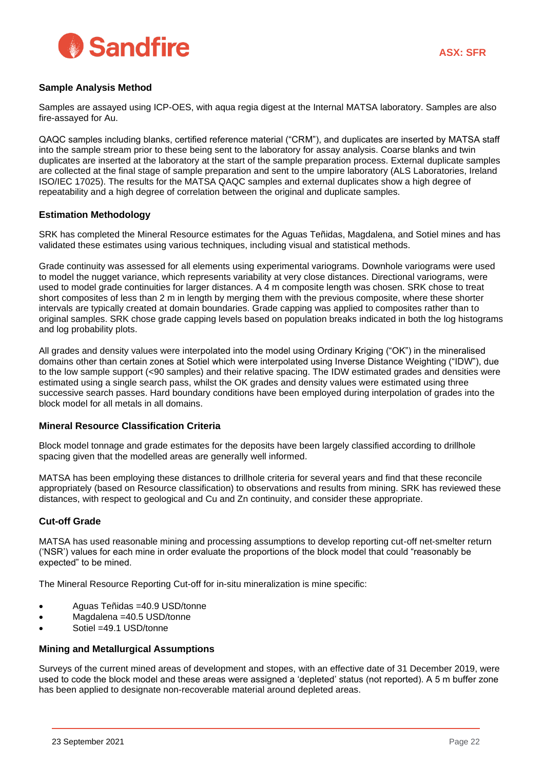

#### **Sample Analysis Method**

Samples are assayed using ICP-OES, with aqua regia digest at the Internal MATSA laboratory. Samples are also fire-assayed for Au.

QAQC samples including blanks, certified reference material ("CRM"), and duplicates are inserted by MATSA staff into the sample stream prior to these being sent to the laboratory for assay analysis. Coarse blanks and twin duplicates are inserted at the laboratory at the start of the sample preparation process. External duplicate samples are collected at the final stage of sample preparation and sent to the umpire laboratory (ALS Laboratories, Ireland ISO/IEC 17025). The results for the MATSA QAQC samples and external duplicates show a high degree of repeatability and a high degree of correlation between the original and duplicate samples.

#### **Estimation Methodology**

SRK has completed the Mineral Resource estimates for the Aguas Teñidas, Magdalena, and Sotiel mines and has validated these estimates using various techniques, including visual and statistical methods.

Grade continuity was assessed for all elements using experimental variograms. Downhole variograms were used to model the nugget variance, which represents variability at very close distances. Directional variograms, were used to model grade continuities for larger distances. A 4 m composite length was chosen. SRK chose to treat short composites of less than 2 m in length by merging them with the previous composite, where these shorter intervals are typically created at domain boundaries. Grade capping was applied to composites rather than to original samples. SRK chose grade capping levels based on population breaks indicated in both the log histograms and log probability plots.

All grades and density values were interpolated into the model using Ordinary Kriging ("OK") in the mineralised domains other than certain zones at Sotiel which were interpolated using Inverse Distance Weighting ("IDW"), due to the low sample support (<90 samples) and their relative spacing. The IDW estimated grades and densities were estimated using a single search pass, whilst the OK grades and density values were estimated using three successive search passes. Hard boundary conditions have been employed during interpolation of grades into the block model for all metals in all domains.

#### **Mineral Resource Classification Criteria**

Block model tonnage and grade estimates for the deposits have been largely classified according to drillhole spacing given that the modelled areas are generally well informed.

MATSA has been employing these distances to drillhole criteria for several years and find that these reconcile appropriately (based on Resource classification) to observations and results from mining. SRK has reviewed these distances, with respect to geological and Cu and Zn continuity, and consider these appropriate.

#### **Cut-off Grade**

MATSA has used reasonable mining and processing assumptions to develop reporting cut-off net-smelter return ('NSR') values for each mine in order evaluate the proportions of the block model that could "reasonably be expected" to be mined.

The Mineral Resource Reporting Cut-off for in-situ mineralization is mine specific:

- Aguas Teñidas =40.9 USD/tonne
- Magdalena =40.5 USD/tonne
- Sotiel =49.1 USD/tonne

#### **Mining and Metallurgical Assumptions**

Surveys of the current mined areas of development and stopes, with an effective date of 31 December 2019, were used to code the block model and these areas were assigned a 'depleted' status (not reported). A 5 m buffer zone has been applied to designate non-recoverable material around depleted areas.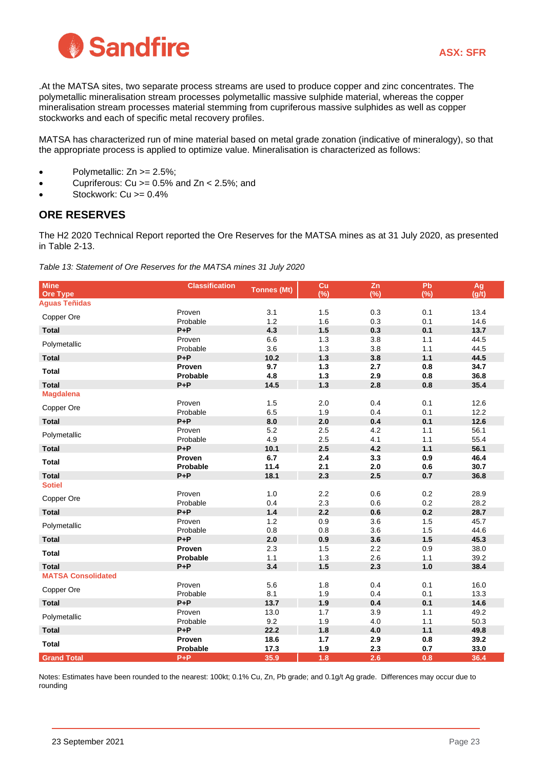

.At the MATSA sites, two separate process streams are used to produce copper and zinc concentrates. The polymetallic mineralisation stream processes polymetallic massive sulphide material, whereas the copper mineralisation stream processes material stemming from cupriferous massive sulphides as well as copper stockworks and each of specific metal recovery profiles.

MATSA has characterized run of mine material based on metal grade zonation (indicative of mineralogy), so that the appropriate process is applied to optimize value. Mineralisation is characterized as follows:

- Polymetallic:  $Zn \ge 2.5\%$ ;
- Cupriferous: Cu > = 0.5% and Zn < 2.5%; and
- Stockwork: Cu >= 0.4%

## **ORE RESERVES**

The H2 2020 Technical Report reported the Ore Reserves for the MATSA mines as at 31 July 2020, as presented in Table 2-13.

*Table 13: Statement of Ore Reserves for the MATSA mines 31 July 2020*

| <b>Mine</b><br><b>Ore Type</b> | <b>Classification</b> | <b>Tonnes (Mt)</b> | Cu<br>(%)  | Zn<br>$(\%)$ | Pb<br>(%)  | Ag<br>(g/t)  |
|--------------------------------|-----------------------|--------------------|------------|--------------|------------|--------------|
| <b>Aguas Teñidas</b>           |                       |                    |            |              |            |              |
|                                | Proven                | 3.1                | 1.5        | 0.3          | 0.1        | 13.4         |
| Copper Ore                     | Probable              | 1.2                | 1.6        | 0.3          | 0.1        | 14.6         |
| <b>Total</b>                   | $P + P$               | 4.3                | 1.5        | 0.3          | 0.1        | 13.7         |
| Polymetallic                   | Proven                | 6.6                | 1.3        | 3.8          | 1.1        | 44.5         |
|                                | Probable              | 3.6                | 1.3        | 3.8          | 1.1        | 44.5         |
| <b>Total</b>                   | $P + P$               | 10.2               | 1.3        | 3.8          | $1.1$      | 44.5         |
| <b>Total</b>                   | Proven                | 9.7                | $1.3$      | 2.7          | 0.8        | 34.7         |
|                                | Probable              | 4.8                | 1.3        | 2.9          | 0.8        | 36.8         |
| <b>Total</b>                   | $P + P$               | 14.5               | $1.3$      | 2.8          | 0.8        | 35.4         |
| <b>Magdalena</b>               | Proven                | 1.5                | 2.0        | 0.4          | 0.1        | 12.6         |
| Copper Ore                     | Probable              | 6.5                | 1.9        | 0.4          | 0.1        | 12.2         |
| <b>Total</b>                   | $P + P$               | 8.0                | 2.0        | 0.4          | 0.1        | 12.6         |
|                                | Proven                | 5.2                | 2.5        | 4.2          | 1.1        | 56.1         |
| Polymetallic                   | Probable              | 4.9                | 2.5        | 4.1          | 1.1        | 55.4         |
| <b>Total</b>                   | $P + P$               | 10.1               | 2.5        | 4.2          | $1.1$      | 56.1         |
| <b>Total</b>                   | Proven                | 6.7                | 2.4        | 3.3          | 0.9        | 46.4         |
|                                | Probable              | 11.4               | 2.1        | 2.0          | 0.6        | 30.7         |
| <b>Total</b>                   | $P + P$               | 18.1               | 2.3        | 2.5          | 0.7        | 36.8         |
| <b>Sotiel</b>                  |                       |                    |            |              |            |              |
| Copper Ore                     | Proven                | $1.0$              | 2.2        | 0.6          | 0.2        | 28.9         |
|                                | Probable              | 0.4                | 2.3        | 0.6          | 0.2        | 28.2         |
| <b>Total</b>                   | $P + P$               | 1.4                | 2.2        | 0.6          | 0.2        | 28.7         |
| Polymetallic                   | Proven                | 1.2                | 0.9        | 3.6          | 1.5        | 45.7         |
|                                | Probable<br>$P + P$   | 0.8<br>2.0         | 0.8<br>0.9 | 3.6<br>3.6   | 1.5<br>1.5 | 44.6<br>45.3 |
| <b>Total</b>                   | Proven                | 2.3                | 1.5        | 2.2          | 0.9        | 38.0         |
| <b>Total</b>                   | Probable              | 1.1                | 1.3        | 2.6          | 1.1        | 39.2         |
| <b>Total</b>                   | $P + P$               | 3.4                | 1.5        | 2.3          | $1.0$      | 38.4         |
| <b>MATSA Consolidated</b>      |                       |                    |            |              |            |              |
|                                | Proven                | 5.6                | 1.8        | 0.4          | 0.1        | 16.0         |
| Copper Ore                     | Probable              | 8.1                | 1.9        | 0.4          | 0.1        | 13.3         |
| <b>Total</b>                   | $P + P$               | 13.7               | 1.9        | 0.4          | 0.1        | 14.6         |
| Polymetallic                   | Proven                | 13.0               | 1.7        | 3.9          | 1.1        | 49.2         |
|                                | Probable              | 9.2                | 1.9        | 4.0          | 1.1        | 50.3         |
| <b>Total</b>                   | $P + P$               | 22.2               | 1.8        | 4.0          | $1.1$      | 49.8         |
| <b>Total</b>                   | Proven                | 18.6               | 1.7        | 2.9          | 0.8        | 39.2         |
|                                | Probable              | 17.3               | 1.9        | 2.3          | 0.7        | 33.0         |
| <b>Grand Total</b>             | $P + P$               | 35.9               | 1.8        | 2.6          | 0.8        | 36.4         |

Notes: Estimates have been rounded to the nearest: 100kt; 0.1% Cu, Zn, Pb grade; and 0.1g/t Ag grade. Differences may occur due to rounding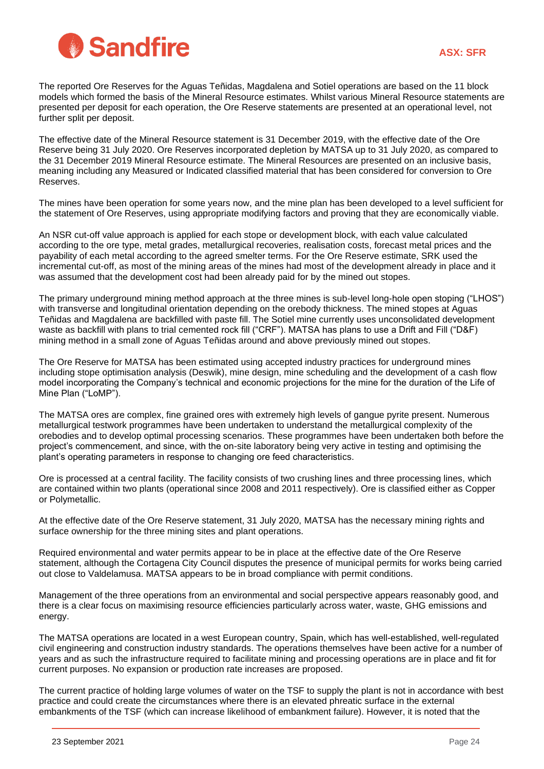

The reported Ore Reserves for the Aguas Teñidas, Magdalena and Sotiel operations are based on the 11 block models which formed the basis of the Mineral Resource estimates. Whilst various Mineral Resource statements are presented per deposit for each operation, the Ore Reserve statements are presented at an operational level, not further split per deposit.

The effective date of the Mineral Resource statement is 31 December 2019, with the effective date of the Ore Reserve being 31 July 2020. Ore Reserves incorporated depletion by MATSA up to 31 July 2020, as compared to the 31 December 2019 Mineral Resource estimate. The Mineral Resources are presented on an inclusive basis, meaning including any Measured or Indicated classified material that has been considered for conversion to Ore Reserves.

The mines have been operation for some years now, and the mine plan has been developed to a level sufficient for the statement of Ore Reserves, using appropriate modifying factors and proving that they are economically viable.

An NSR cut-off value approach is applied for each stope or development block, with each value calculated according to the ore type, metal grades, metallurgical recoveries, realisation costs, forecast metal prices and the payability of each metal according to the agreed smelter terms. For the Ore Reserve estimate, SRK used the incremental cut-off, as most of the mining areas of the mines had most of the development already in place and it was assumed that the development cost had been already paid for by the mined out stopes.

The primary underground mining method approach at the three mines is sub-level long-hole open stoping ("LHOS") with transverse and longitudinal orientation depending on the orebody thickness. The mined stopes at Aguas Teñidas and Magdalena are backfilled with paste fill. The Sotiel mine currently uses unconsolidated development waste as backfill with plans to trial cemented rock fill ("CRF"). MATSA has plans to use a Drift and Fill ("D&F) mining method in a small zone of Aguas Teñidas around and above previously mined out stopes.

The Ore Reserve for MATSA has been estimated using accepted industry practices for underground mines including stope optimisation analysis (Deswik), mine design, mine scheduling and the development of a cash flow model incorporating the Company's technical and economic projections for the mine for the duration of the Life of Mine Plan ("LoMP").

The MATSA ores are complex, fine grained ores with extremely high levels of gangue pyrite present. Numerous metallurgical testwork programmes have been undertaken to understand the metallurgical complexity of the orebodies and to develop optimal processing scenarios. These programmes have been undertaken both before the project's commencement, and since, with the on-site laboratory being very active in testing and optimising the plant's operating parameters in response to changing ore feed characteristics.

Ore is processed at a central facility. The facility consists of two crushing lines and three processing lines, which are contained within two plants (operational since 2008 and 2011 respectively). Ore is classified either as Copper or Polymetallic.

At the effective date of the Ore Reserve statement, 31 July 2020, MATSA has the necessary mining rights and surface ownership for the three mining sites and plant operations.

Required environmental and water permits appear to be in place at the effective date of the Ore Reserve statement, although the Cortagena City Council disputes the presence of municipal permits for works being carried out close to Valdelamusa. MATSA appears to be in broad compliance with permit conditions.

Management of the three operations from an environmental and social perspective appears reasonably good, and there is a clear focus on maximising resource efficiencies particularly across water, waste, GHG emissions and energy.

The MATSA operations are located in a west European country, Spain, which has well-established, well-regulated civil engineering and construction industry standards. The operations themselves have been active for a number of years and as such the infrastructure required to facilitate mining and processing operations are in place and fit for current purposes. No expansion or production rate increases are proposed.

The current practice of holding large volumes of water on the TSF to supply the plant is not in accordance with best practice and could create the circumstances where there is an elevated phreatic surface in the external embankments of the TSF (which can increase likelihood of embankment failure). However, it is noted that the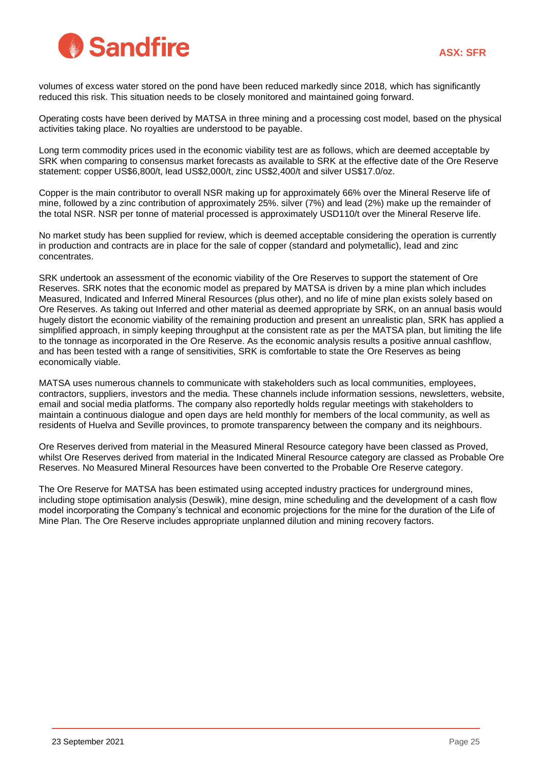

volumes of excess water stored on the pond have been reduced markedly since 2018, which has significantly reduced this risk. This situation needs to be closely monitored and maintained going forward.

Operating costs have been derived by MATSA in three mining and a processing cost model, based on the physical activities taking place. No royalties are understood to be payable.

Long term commodity prices used in the economic viability test are as follows, which are deemed acceptable by SRK when comparing to consensus market forecasts as available to SRK at the effective date of the Ore Reserve statement: copper US\$6,800/t, lead US\$2,000/t, zinc US\$2,400/t and silver US\$17.0/oz.

Copper is the main contributor to overall NSR making up for approximately 66% over the Mineral Reserve life of mine, followed by a zinc contribution of approximately 25%. silver (7%) and lead (2%) make up the remainder of the total NSR. NSR per tonne of material processed is approximately USD110/t over the Mineral Reserve life.

No market study has been supplied for review, which is deemed acceptable considering the operation is currently in production and contracts are in place for the sale of copper (standard and polymetallic), lead and zinc concentrates.

SRK undertook an assessment of the economic viability of the Ore Reserves to support the statement of Ore Reserves. SRK notes that the economic model as prepared by MATSA is driven by a mine plan which includes Measured, Indicated and Inferred Mineral Resources (plus other), and no life of mine plan exists solely based on Ore Reserves. As taking out Inferred and other material as deemed appropriate by SRK, on an annual basis would hugely distort the economic viability of the remaining production and present an unrealistic plan, SRK has applied a simplified approach, in simply keeping throughput at the consistent rate as per the MATSA plan, but limiting the life to the tonnage as incorporated in the Ore Reserve. As the economic analysis results a positive annual cashflow, and has been tested with a range of sensitivities, SRK is comfortable to state the Ore Reserves as being economically viable.

MATSA uses numerous channels to communicate with stakeholders such as local communities, employees, contractors, suppliers, investors and the media. These channels include information sessions, newsletters, website, email and social media platforms. The company also reportedly holds regular meetings with stakeholders to maintain a continuous dialogue and open days are held monthly for members of the local community, as well as residents of Huelva and Seville provinces, to promote transparency between the company and its neighbours.

Ore Reserves derived from material in the Measured Mineral Resource category have been classed as Proved, whilst Ore Reserves derived from material in the Indicated Mineral Resource category are classed as Probable Ore Reserves. No Measured Mineral Resources have been converted to the Probable Ore Reserve category.

The Ore Reserve for MATSA has been estimated using accepted industry practices for underground mines, including stope optimisation analysis (Deswik), mine design, mine scheduling and the development of a cash flow model incorporating the Company's technical and economic projections for the mine for the duration of the Life of Mine Plan. The Ore Reserve includes appropriate unplanned dilution and mining recovery factors.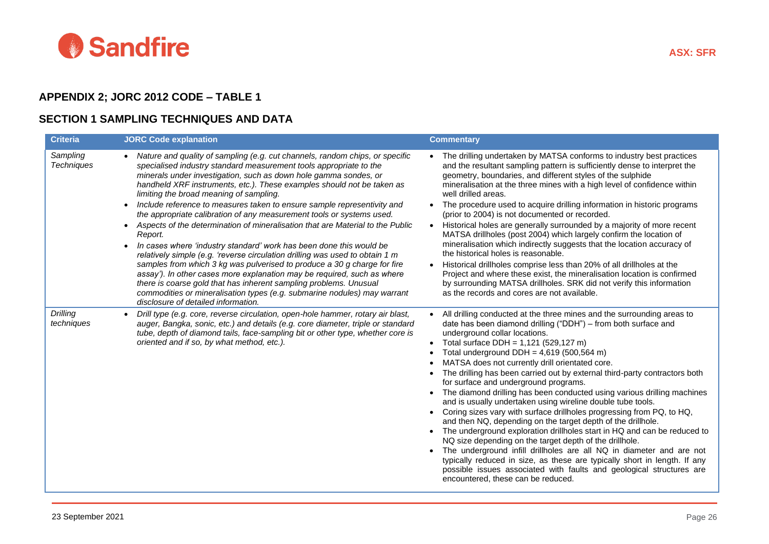

## **APPENDIX 2; JORC 2012 CODE – TABLE 1**

## **SECTION 1 SAMPLING TECHNIQUES AND DATA**

| <b>Criteria</b>               | <b>JORC Code explanation</b>                                                                                                                                                                                                                                                                                                                                                                                                                                                                                                                                                                                                                                                                                                                                                                                                                                                                                                                                                                                                                                                                                                 | <b>Commentary</b>                                                                                                                                                                                                                                                                                                                                                                                                                                                                                                                                                                                                                                                                                                                                                                                                                                                                                                                                                                                                                                                                                                                                       |
|-------------------------------|------------------------------------------------------------------------------------------------------------------------------------------------------------------------------------------------------------------------------------------------------------------------------------------------------------------------------------------------------------------------------------------------------------------------------------------------------------------------------------------------------------------------------------------------------------------------------------------------------------------------------------------------------------------------------------------------------------------------------------------------------------------------------------------------------------------------------------------------------------------------------------------------------------------------------------------------------------------------------------------------------------------------------------------------------------------------------------------------------------------------------|---------------------------------------------------------------------------------------------------------------------------------------------------------------------------------------------------------------------------------------------------------------------------------------------------------------------------------------------------------------------------------------------------------------------------------------------------------------------------------------------------------------------------------------------------------------------------------------------------------------------------------------------------------------------------------------------------------------------------------------------------------------------------------------------------------------------------------------------------------------------------------------------------------------------------------------------------------------------------------------------------------------------------------------------------------------------------------------------------------------------------------------------------------|
| Sampling<br><b>Techniques</b> | Nature and quality of sampling (e.g. cut channels, random chips, or specific<br>specialised industry standard measurement tools appropriate to the<br>minerals under investigation, such as down hole gamma sondes, or<br>handheld XRF instruments, etc.). These examples should not be taken as<br>limiting the broad meaning of sampling.<br>Include reference to measures taken to ensure sample representivity and<br>the appropriate calibration of any measurement tools or systems used.<br>Aspects of the determination of mineralisation that are Material to the Public<br>$\bullet$<br>Report.<br>In cases where 'industry standard' work has been done this would be<br>$\bullet$<br>relatively simple (e.g. 'reverse circulation drilling was used to obtain 1 m<br>samples from which 3 kg was pulverised to produce a 30 g charge for fire<br>assay'). In other cases more explanation may be required, such as where<br>there is coarse gold that has inherent sampling problems. Unusual<br>commodities or mineralisation types (e.g. submarine nodules) may warrant<br>disclosure of detailed information. | The drilling undertaken by MATSA conforms to industry best practices<br>$\bullet$<br>and the resultant sampling pattern is sufficiently dense to interpret the<br>geometry, boundaries, and different styles of the sulphide<br>mineralisation at the three mines with a high level of confidence within<br>well drilled areas.<br>The procedure used to acquire drilling information in historic programs<br>(prior to 2004) is not documented or recorded.<br>Historical holes are generally surrounded by a majority of more recent<br>$\bullet$<br>MATSA drillholes (post 2004) which largely confirm the location of<br>mineralisation which indirectly suggests that the location accuracy of<br>the historical holes is reasonable.<br>Historical drillholes comprise less than 20% of all drillholes at the<br>Project and where these exist, the mineralisation location is confirmed<br>by surrounding MATSA drillholes. SRK did not verify this information<br>as the records and cores are not available.                                                                                                                                   |
| Drilling<br>techniques        | Drill type (e.g. core, reverse circulation, open-hole hammer, rotary air blast,<br>auger, Bangka, sonic, etc.) and details (e.g. core diameter, triple or standard<br>tube, depth of diamond tails, face-sampling bit or other type, whether core is<br>oriented and if so, by what method, etc.).                                                                                                                                                                                                                                                                                                                                                                                                                                                                                                                                                                                                                                                                                                                                                                                                                           | All drilling conducted at the three mines and the surrounding areas to<br>date has been diamond drilling ("DDH") - from both surface and<br>underground collar locations.<br>Total surface DDH = $1,121$ (529,127 m)<br>$\bullet$<br>Total underground DDH = $4,619$ (500,564 m)<br>MATSA does not currently drill orientated core.<br>The drilling has been carried out by external third-party contractors both<br>for surface and underground programs.<br>The diamond drilling has been conducted using various drilling machines<br>and is usually undertaken using wireline double tube tools.<br>Coring sizes vary with surface drillholes progressing from PQ, to HQ,<br>and then NQ, depending on the target depth of the drillhole.<br>The underground exploration drillholes start in HQ and can be reduced to<br>NQ size depending on the target depth of the drillhole.<br>The underground infill drillholes are all NQ in diameter and are not<br>typically reduced in size, as these are typically short in length. If any<br>possible issues associated with faults and geological structures are<br>encountered, these can be reduced. |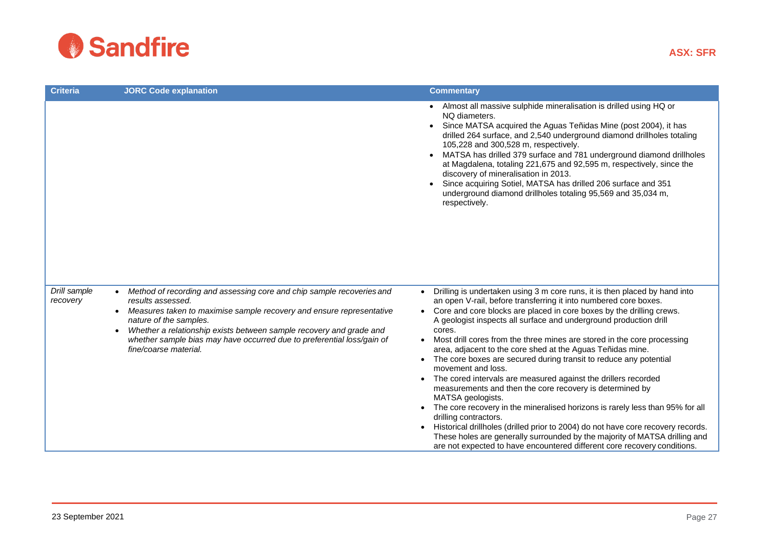

| <b>Criteria</b>          | <b>JORC Code explanation</b>                                                                                                                                                                                                                                                                                                                                           | <b>Commentary</b>                                                                                                                                                                                                                                                                                                                                                                                                                                                                                                                                                                                                                                                                                                                                                                                                                                                                                                                                                                                                                                    |
|--------------------------|------------------------------------------------------------------------------------------------------------------------------------------------------------------------------------------------------------------------------------------------------------------------------------------------------------------------------------------------------------------------|------------------------------------------------------------------------------------------------------------------------------------------------------------------------------------------------------------------------------------------------------------------------------------------------------------------------------------------------------------------------------------------------------------------------------------------------------------------------------------------------------------------------------------------------------------------------------------------------------------------------------------------------------------------------------------------------------------------------------------------------------------------------------------------------------------------------------------------------------------------------------------------------------------------------------------------------------------------------------------------------------------------------------------------------------|
|                          |                                                                                                                                                                                                                                                                                                                                                                        | Almost all massive sulphide mineralisation is drilled using HQ or<br>NO diameters.<br>Since MATSA acquired the Aguas Teñidas Mine (post 2004), it has<br>drilled 264 surface, and 2,540 underground diamond drillholes totaling<br>105,228 and 300,528 m, respectively.<br>MATSA has drilled 379 surface and 781 underground diamond drillholes<br>at Magdalena, totaling 221,675 and 92,595 m, respectively, since the<br>discovery of mineralisation in 2013.<br>Since acquiring Sotiel, MATSA has drilled 206 surface and 351<br>underground diamond drillholes totaling 95,569 and 35,034 m,<br>respectively.                                                                                                                                                                                                                                                                                                                                                                                                                                    |
| Drill sample<br>recovery | Method of recording and assessing core and chip sample recoveries and<br>results assessed.<br>Measures taken to maximise sample recovery and ensure representative<br>nature of the samples.<br>Whether a relationship exists between sample recovery and grade and<br>whether sample bias may have occurred due to preferential loss/gain of<br>fine/coarse material. | Drilling is undertaken using 3 m core runs, it is then placed by hand into<br>an open V-rail, before transferring it into numbered core boxes.<br>Core and core blocks are placed in core boxes by the drilling crews.<br>A geologist inspects all surface and underground production drill<br>cores.<br>Most drill cores from the three mines are stored in the core processing<br>area, adjacent to the core shed at the Aguas Teñidas mine.<br>The core boxes are secured during transit to reduce any potential<br>movement and loss.<br>The cored intervals are measured against the drillers recorded<br>measurements and then the core recovery is determined by<br>MATSA geologists.<br>The core recovery in the mineralised horizons is rarely less than 95% for all<br>drilling contractors.<br>Historical drillholes (drilled prior to 2004) do not have core recovery records.<br>These holes are generally surrounded by the majority of MATSA drilling and<br>are not expected to have encountered different core recovery conditions. |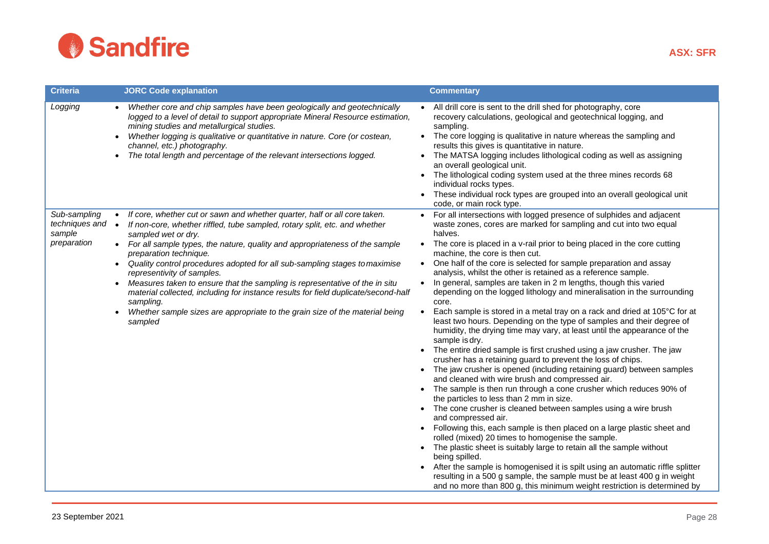

| <b>Criteria</b>                                         | <b>JORC Code explanation</b>                                                                                                                                                                                                                                                                                                                                                                                                                                                                                                                                                                                                                                                                                              | <b>Commentary</b>                                                                                                                                                                                                                                                                                                                                                                                                                                                                                                                                                                                                                                                                                                                                                                                                                                                                                                                                                                                                                                                                                                                                                                                                                                                                                                                                                                                                                                                                                                                                                                                                                                                                                                                                                                                                                                |
|---------------------------------------------------------|---------------------------------------------------------------------------------------------------------------------------------------------------------------------------------------------------------------------------------------------------------------------------------------------------------------------------------------------------------------------------------------------------------------------------------------------------------------------------------------------------------------------------------------------------------------------------------------------------------------------------------------------------------------------------------------------------------------------------|--------------------------------------------------------------------------------------------------------------------------------------------------------------------------------------------------------------------------------------------------------------------------------------------------------------------------------------------------------------------------------------------------------------------------------------------------------------------------------------------------------------------------------------------------------------------------------------------------------------------------------------------------------------------------------------------------------------------------------------------------------------------------------------------------------------------------------------------------------------------------------------------------------------------------------------------------------------------------------------------------------------------------------------------------------------------------------------------------------------------------------------------------------------------------------------------------------------------------------------------------------------------------------------------------------------------------------------------------------------------------------------------------------------------------------------------------------------------------------------------------------------------------------------------------------------------------------------------------------------------------------------------------------------------------------------------------------------------------------------------------------------------------------------------------------------------------------------------------|
| Logging                                                 | Whether core and chip samples have been geologically and geotechnically<br>logged to a level of detail to support appropriate Mineral Resource estimation,<br>mining studies and metallurgical studies.<br>Whether logging is qualitative or quantitative in nature. Core (or costean,<br>channel, etc.) photography.<br>The total length and percentage of the relevant intersections logged.                                                                                                                                                                                                                                                                                                                            | All drill core is sent to the drill shed for photography, core<br>recovery calculations, geological and geotechnical logging, and<br>sampling.<br>• The core logging is qualitative in nature whereas the sampling and<br>results this gives is quantitative in nature.<br>• The MATSA logging includes lithological coding as well as assigning<br>an overall geological unit.<br>The lithological coding system used at the three mines records 68<br>individual rocks types.<br>These individual rock types are grouped into an overall geological unit<br>code, or main rock type.                                                                                                                                                                                                                                                                                                                                                                                                                                                                                                                                                                                                                                                                                                                                                                                                                                                                                                                                                                                                                                                                                                                                                                                                                                                           |
| Sub-sampling<br>techniques and<br>sample<br>preparation | If core, whether cut or sawn and whether quarter, half or all core taken.<br>$\bullet$<br>$\bullet$<br>If non-core, whether riffled, tube sampled, rotary split, etc. and whether<br>sampled wet or dry.<br>• For all sample types, the nature, quality and appropriateness of the sample<br>preparation technique.<br>Quality control procedures adopted for all sub-sampling stages to maximise<br>representivity of samples.<br>Measures taken to ensure that the sampling is representative of the in situ<br>$\bullet$<br>material collected, including for instance results for field duplicate/second-half<br>sampling.<br>Whether sample sizes are appropriate to the grain size of the material being<br>sampled | • For all intersections with logged presence of sulphides and adjacent<br>waste zones, cores are marked for sampling and cut into two equal<br>halves.<br>• The core is placed in a v-rail prior to being placed in the core cutting<br>machine, the core is then cut.<br>One half of the core is selected for sample preparation and assay<br>$\bullet$<br>analysis, whilst the other is retained as a reference sample.<br>In general, samples are taken in 2 m lengths, though this varied<br>$\bullet$<br>depending on the logged lithology and mineralisation in the surrounding<br>core.<br>Each sample is stored in a metal tray on a rack and dried at 105°C for at<br>$\bullet$<br>least two hours. Depending on the type of samples and their degree of<br>humidity, the drying time may vary, at least until the appearance of the<br>sample is dry.<br>The entire dried sample is first crushed using a jaw crusher. The jaw<br>crusher has a retaining guard to prevent the loss of chips.<br>The jaw crusher is opened (including retaining guard) between samples<br>and cleaned with wire brush and compressed air.<br>The sample is then run through a cone crusher which reduces 90% of<br>the particles to less than 2 mm in size.<br>• The cone crusher is cleaned between samples using a wire brush<br>and compressed air.<br>• Following this, each sample is then placed on a large plastic sheet and<br>rolled (mixed) 20 times to homogenise the sample.<br>The plastic sheet is suitably large to retain all the sample without<br>$\bullet$<br>being spilled.<br>After the sample is homogenised it is spilt using an automatic riffle splitter<br>$\bullet$<br>resulting in a 500 g sample, the sample must be at least 400 g in weight<br>and no more than 800 g, this minimum weight restriction is determined by |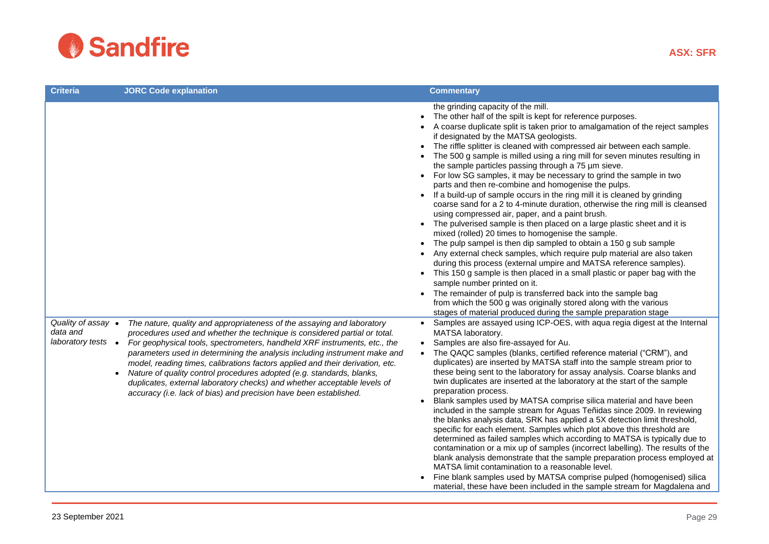

| <b>Criteria</b>                                                   | <b>JORC Code explanation</b>                                                                                                                                                                                                                                                                                                                                                                                                                                                                                                                                                                                             | <b>Commentary</b>                                                                                                                                                                                                                                                                                                                                                                                                                                                                                                                                                                                                                                                                                                                                                                                                                                                                                                                                                                                                                                                                                                                                                                                                                                                                                                                                                                                      |
|-------------------------------------------------------------------|--------------------------------------------------------------------------------------------------------------------------------------------------------------------------------------------------------------------------------------------------------------------------------------------------------------------------------------------------------------------------------------------------------------------------------------------------------------------------------------------------------------------------------------------------------------------------------------------------------------------------|--------------------------------------------------------------------------------------------------------------------------------------------------------------------------------------------------------------------------------------------------------------------------------------------------------------------------------------------------------------------------------------------------------------------------------------------------------------------------------------------------------------------------------------------------------------------------------------------------------------------------------------------------------------------------------------------------------------------------------------------------------------------------------------------------------------------------------------------------------------------------------------------------------------------------------------------------------------------------------------------------------------------------------------------------------------------------------------------------------------------------------------------------------------------------------------------------------------------------------------------------------------------------------------------------------------------------------------------------------------------------------------------------------|
|                                                                   |                                                                                                                                                                                                                                                                                                                                                                                                                                                                                                                                                                                                                          | the grinding capacity of the mill.<br>The other half of the spilt is kept for reference purposes.<br>A coarse duplicate split is taken prior to amalgamation of the reject samples<br>if designated by the MATSA geologists.<br>The riffle splitter is cleaned with compressed air between each sample.<br>The 500 g sample is milled using a ring mill for seven minutes resulting in<br>the sample particles passing through a 75 µm sieve.<br>For low SG samples, it may be necessary to grind the sample in two<br>parts and then re-combine and homogenise the pulps.<br>If a build-up of sample occurs in the ring mill it is cleaned by grinding<br>coarse sand for a 2 to 4-minute duration, otherwise the ring mill is cleansed<br>using compressed air, paper, and a paint brush.<br>• The pulverised sample is then placed on a large plastic sheet and it is<br>mixed (rolled) 20 times to homogenise the sample.<br>The pulp sampel is then dip sampled to obtain a 150 g sub sample<br>Any external check samples, which require pulp material are also taken<br>during this process (external umpire and MATSA reference samples).<br>• This 150 g sample is then placed in a small plastic or paper bag with the<br>sample number printed on it.<br>The remainder of pulp is transferred back into the sample bag<br>from which the 500 g was originally stored along with the various |
| Quality of assay •<br>data and<br>laboratory tests •<br>$\bullet$ | The nature, quality and appropriateness of the assaying and laboratory<br>procedures used and whether the technique is considered partial or total.<br>For geophysical tools, spectrometers, handheld XRF instruments, etc., the<br>parameters used in determining the analysis including instrument make and<br>model, reading times, calibrations factors applied and their derivation, etc.<br>Nature of quality control procedures adopted (e.g. standards, blanks,<br>duplicates, external laboratory checks) and whether acceptable levels of<br>accuracy (i.e. lack of bias) and precision have been established. | stages of material produced during the sample preparation stage<br>• Samples are assayed using ICP-OES, with aqua regia digest at the Internal<br>MATSA laboratory.<br>• Samples are also fire-assayed for Au.<br>The QAQC samples (blanks, certified reference material ("CRM"), and<br>duplicates) are inserted by MATSA staff into the sample stream prior to<br>these being sent to the laboratory for assay analysis. Coarse blanks and<br>twin duplicates are inserted at the laboratory at the start of the sample<br>preparation process.<br>Blank samples used by MATSA comprise silica material and have been<br>included in the sample stream for Aguas Teñidas since 2009. In reviewing<br>the blanks analysis data, SRK has applied a 5X detection limit threshold,<br>specific for each element. Samples which plot above this threshold are<br>determined as failed samples which according to MATSA is typically due to<br>contamination or a mix up of samples (incorrect labelling). The results of the<br>blank analysis demonstrate that the sample preparation process employed at<br>MATSA limit contamination to a reasonable level.<br>Fine blank samples used by MATSA comprise pulped (homogenised) silica<br>material, these have been included in the sample stream for Magdalena and                                                                                      |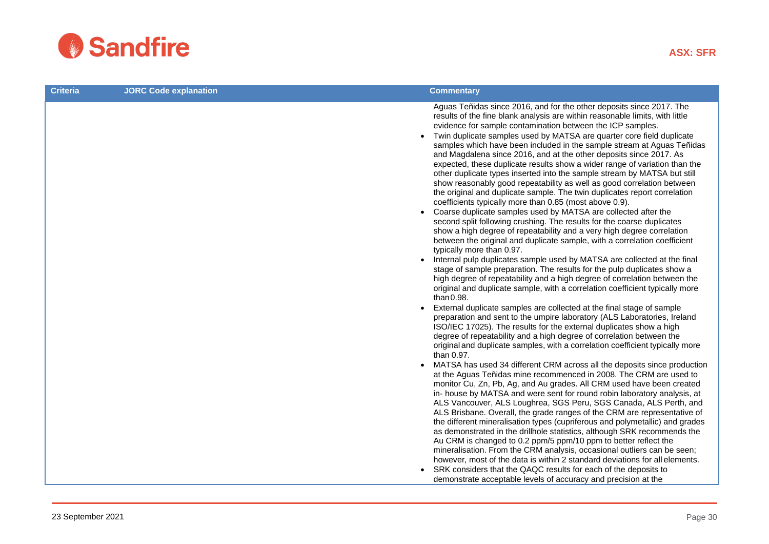

| <b>Criteria</b> | <b>JORC Code explanation</b> | <b>Commentary</b>                                                                                                                                                                                                                                                                                                                                                                                                                                                                                                                                                                                                                                                                                                                                                                                                                                                                                                                                                                                                                                                                                                                                                                                                                                                                                                                                                                                                                                                                                      |
|-----------------|------------------------------|--------------------------------------------------------------------------------------------------------------------------------------------------------------------------------------------------------------------------------------------------------------------------------------------------------------------------------------------------------------------------------------------------------------------------------------------------------------------------------------------------------------------------------------------------------------------------------------------------------------------------------------------------------------------------------------------------------------------------------------------------------------------------------------------------------------------------------------------------------------------------------------------------------------------------------------------------------------------------------------------------------------------------------------------------------------------------------------------------------------------------------------------------------------------------------------------------------------------------------------------------------------------------------------------------------------------------------------------------------------------------------------------------------------------------------------------------------------------------------------------------------|
|                 |                              | Aguas Teñidas since 2016, and for the other deposits since 2017. The<br>results of the fine blank analysis are within reasonable limits, with little<br>evidence for sample contamination between the ICP samples.<br>Twin duplicate samples used by MATSA are quarter core field duplicate<br>$\bullet$<br>samples which have been included in the sample stream at Aguas Teñidas<br>and Magdalena since 2016, and at the other deposits since 2017. As<br>expected, these duplicate results show a wider range of variation than the<br>other duplicate types inserted into the sample stream by MATSA but still<br>show reasonably good repeatability as well as good correlation between<br>the original and duplicate sample. The twin duplicates report correlation<br>coefficients typically more than 0.85 (most above 0.9).<br>Coarse duplicate samples used by MATSA are collected after the<br>second split following crushing. The results for the coarse duplicates<br>show a high degree of repeatability and a very high degree correlation<br>between the original and duplicate sample, with a correlation coefficient<br>typically more than 0.97.<br>Internal pulp duplicates sample used by MATSA are collected at the final<br>stage of sample preparation. The results for the pulp duplicates show a<br>high degree of repeatability and a high degree of correlation between the<br>original and duplicate sample, with a correlation coefficient typically more<br>than 0.98. |
|                 |                              | External duplicate samples are collected at the final stage of sample<br>$\bullet$<br>preparation and sent to the umpire laboratory (ALS Laboratories, Ireland<br>ISO/IEC 17025). The results for the external duplicates show a high<br>degree of repeatability and a high degree of correlation between the<br>original and duplicate samples, with a correlation coefficient typically more<br>than 0.97.                                                                                                                                                                                                                                                                                                                                                                                                                                                                                                                                                                                                                                                                                                                                                                                                                                                                                                                                                                                                                                                                                           |
|                 |                              | MATSA has used 34 different CRM across all the deposits since production<br>at the Aguas Teñidas mine recommenced in 2008. The CRM are used to<br>monitor Cu, Zn, Pb, Ag, and Au grades. All CRM used have been created<br>in- house by MATSA and were sent for round robin laboratory analysis, at<br>ALS Vancouver, ALS Loughrea, SGS Peru, SGS Canada, ALS Perth, and<br>ALS Brisbane. Overall, the grade ranges of the CRM are representative of<br>the different mineralisation types (cupriferous and polymetallic) and grades<br>as demonstrated in the drillhole statistics, although SRK recommends the<br>Au CRM is changed to 0.2 ppm/5 ppm/10 ppm to better reflect the<br>mineralisation. From the CRM analysis, occasional outliers can be seen;<br>however, most of the data is within 2 standard deviations for all elements.<br>• SRK considers that the QAQC results for each of the deposits to                                                                                                                                                                                                                                                                                                                                                                                                                                                                                                                                                                                     |
|                 |                              | demonstrate acceptable levels of accuracy and precision at the                                                                                                                                                                                                                                                                                                                                                                                                                                                                                                                                                                                                                                                                                                                                                                                                                                                                                                                                                                                                                                                                                                                                                                                                                                                                                                                                                                                                                                         |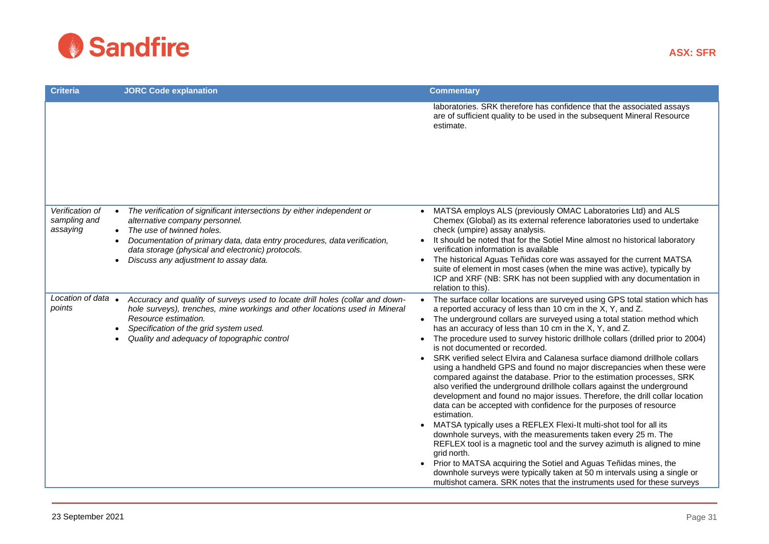

| <b>Criteria</b>                             | <b>JORC Code explanation</b>                                                                                                                                                                                                                                                                                        | <b>Commentary</b>                                                                                                                                                                                                                                                                                                                                                                                                                                                                                                                                                                                                                                                                                                                                                                                                                                                                                                                                                                                                                                                                                                                                                                                                                                                                                                                                  |
|---------------------------------------------|---------------------------------------------------------------------------------------------------------------------------------------------------------------------------------------------------------------------------------------------------------------------------------------------------------------------|----------------------------------------------------------------------------------------------------------------------------------------------------------------------------------------------------------------------------------------------------------------------------------------------------------------------------------------------------------------------------------------------------------------------------------------------------------------------------------------------------------------------------------------------------------------------------------------------------------------------------------------------------------------------------------------------------------------------------------------------------------------------------------------------------------------------------------------------------------------------------------------------------------------------------------------------------------------------------------------------------------------------------------------------------------------------------------------------------------------------------------------------------------------------------------------------------------------------------------------------------------------------------------------------------------------------------------------------------|
|                                             |                                                                                                                                                                                                                                                                                                                     | laboratories. SRK therefore has confidence that the associated assays<br>are of sufficient quality to be used in the subsequent Mineral Resource<br>estimate.                                                                                                                                                                                                                                                                                                                                                                                                                                                                                                                                                                                                                                                                                                                                                                                                                                                                                                                                                                                                                                                                                                                                                                                      |
| Verification of<br>sampling and<br>assaying | • The verification of significant intersections by either independent or<br>alternative company personnel.<br>• The use of twinned holes.<br>Documentation of primary data, data entry procedures, data verification,<br>data storage (physical and electronic) protocols.<br>Discuss any adjustment to assay data. | MATSA employs ALS (previously OMAC Laboratories Ltd) and ALS<br>Chemex (Global) as its external reference laboratories used to undertake<br>check (umpire) assay analysis.<br>It should be noted that for the Sotiel Mine almost no historical laboratory<br>verification information is available<br>• The historical Aguas Teñidas core was assayed for the current MATSA<br>suite of element in most cases (when the mine was active), typically by<br>ICP and XRF (NB: SRK has not been supplied with any documentation in<br>relation to this).                                                                                                                                                                                                                                                                                                                                                                                                                                                                                                                                                                                                                                                                                                                                                                                               |
| Location of data •<br>points                | Accuracy and quality of surveys used to locate drill holes (collar and down-<br>hole surveys), trenches, mine workings and other locations used in Mineral<br>Resource estimation.<br>Specification of the grid system used.<br>Quality and adequacy of topographic control                                         | The surface collar locations are surveyed using GPS total station which has<br>a reported accuracy of less than 10 cm in the X, Y, and Z.<br>• The underground collars are surveyed using a total station method which<br>has an accuracy of less than 10 cm in the X, Y, and Z.<br>The procedure used to survey historic drillhole collars (drilled prior to 2004)<br>is not documented or recorded.<br>• SRK verified select Elvira and Calanesa surface diamond drillhole collars<br>using a handheld GPS and found no major discrepancies when these were<br>compared against the database. Prior to the estimation processes, SRK<br>also verified the underground drillhole collars against the underground<br>development and found no major issues. Therefore, the drill collar location<br>data can be accepted with confidence for the purposes of resource<br>estimation.<br>MATSA typically uses a REFLEX Flexi-It multi-shot tool for all its<br>downhole surveys, with the measurements taken every 25 m. The<br>REFLEX tool is a magnetic tool and the survey azimuth is aligned to mine<br>grid north.<br>Prior to MATSA acquiring the Sotiel and Aguas Teñidas mines, the<br>downhole surveys were typically taken at 50 m intervals using a single or<br>multishot camera. SRK notes that the instruments used for these surveys |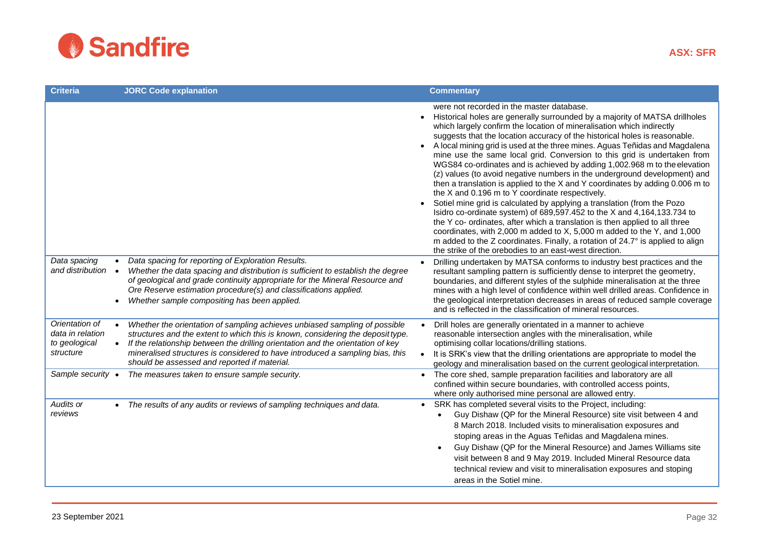

| <b>Criteria</b>                                                  | <b>JORC Code explanation</b>                                                                                                                                                                                                                                                                                                                                                      |           | <b>Commentary</b>                                                                                                                                                                                                                                                                                                                                                                                                                                                                                                                                                                                                                                                                                                                                                                                                                                                                                                                                                                                                                                                                                                                                                                                    |
|------------------------------------------------------------------|-----------------------------------------------------------------------------------------------------------------------------------------------------------------------------------------------------------------------------------------------------------------------------------------------------------------------------------------------------------------------------------|-----------|------------------------------------------------------------------------------------------------------------------------------------------------------------------------------------------------------------------------------------------------------------------------------------------------------------------------------------------------------------------------------------------------------------------------------------------------------------------------------------------------------------------------------------------------------------------------------------------------------------------------------------------------------------------------------------------------------------------------------------------------------------------------------------------------------------------------------------------------------------------------------------------------------------------------------------------------------------------------------------------------------------------------------------------------------------------------------------------------------------------------------------------------------------------------------------------------------|
|                                                                  |                                                                                                                                                                                                                                                                                                                                                                                   | $\bullet$ | were not recorded in the master database.<br>Historical holes are generally surrounded by a majority of MATSA drillholes<br>which largely confirm the location of mineralisation which indirectly<br>suggests that the location accuracy of the historical holes is reasonable.<br>A local mining grid is used at the three mines. Aguas Teñidas and Magdalena<br>mine use the same local grid. Conversion to this grid is undertaken from<br>WGS84 co-ordinates and is achieved by adding 1,002.968 m to the elevation<br>(z) values (to avoid negative numbers in the underground development) and<br>then a translation is applied to the X and Y coordinates by adding 0.006 m to<br>the X and 0.196 m to Y coordinate respectively.<br>Sotiel mine grid is calculated by applying a translation (from the Pozo<br>Isidro co-ordinate system) of 689,597.452 to the X and 4,164,133.734 to<br>the Y co- ordinates, after which a translation is then applied to all three<br>coordinates, with 2,000 m added to X, 5,000 m added to the Y, and 1,000<br>m added to the Z coordinates. Finally, a rotation of 24.7° is applied to align<br>the strike of the orebodies to an east-west direction. |
| Data spacing<br>and distribution<br>$\bullet$                    | Data spacing for reporting of Exploration Results.<br>Whether the data spacing and distribution is sufficient to establish the degree<br>of geological and grade continuity appropriate for the Mineral Resource and<br>Ore Reserve estimation procedure(s) and classifications applied.<br>Whether sample compositing has been applied.                                          |           | Drilling undertaken by MATSA conforms to industry best practices and the<br>resultant sampling pattern is sufficiently dense to interpret the geometry,<br>boundaries, and different styles of the sulphide mineralisation at the three<br>mines with a high level of confidence within well drilled areas. Confidence in<br>the geological interpretation decreases in areas of reduced sample coverage<br>and is reflected in the classification of mineral resources.                                                                                                                                                                                                                                                                                                                                                                                                                                                                                                                                                                                                                                                                                                                             |
| Orientation of<br>data in relation<br>to geological<br>structure | Whether the orientation of sampling achieves unbiased sampling of possible<br>structures and the extent to which this is known, considering the deposit type.<br>If the relationship between the drilling orientation and the orientation of key<br>mineralised structures is considered to have introduced a sampling bias, this<br>should be assessed and reported if material. | $\bullet$ | Drill holes are generally orientated in a manner to achieve<br>reasonable intersection angles with the mineralisation, while<br>optimising collar locations/drilling stations.<br>It is SRK's view that the drilling orientations are appropriate to model the<br>geology and mineralisation based on the current geological interpretation.                                                                                                                                                                                                                                                                                                                                                                                                                                                                                                                                                                                                                                                                                                                                                                                                                                                         |
| Sample security •                                                | The measures taken to ensure sample security.                                                                                                                                                                                                                                                                                                                                     | $\bullet$ | The core shed, sample preparation facilities and laboratory are all<br>confined within secure boundaries, with controlled access points,<br>where only authorised mine personal are allowed entry.                                                                                                                                                                                                                                                                                                                                                                                                                                                                                                                                                                                                                                                                                                                                                                                                                                                                                                                                                                                                   |
| Audits or<br>reviews                                             | • The results of any audits or reviews of sampling techniques and data.                                                                                                                                                                                                                                                                                                           |           | • SRK has completed several visits to the Project, including:<br>Guy Dishaw (QP for the Mineral Resource) site visit between 4 and<br>$\bullet$<br>8 March 2018. Included visits to mineralisation exposures and<br>stoping areas in the Aguas Teñidas and Magdalena mines.<br>Guy Dishaw (QP for the Mineral Resource) and James Williams site<br>visit between 8 and 9 May 2019. Included Mineral Resource data<br>technical review and visit to mineralisation exposures and stoping<br>areas in the Sotiel mine.                                                                                                                                                                                                                                                                                                                                                                                                                                                                                                                                                                                                                                                                                 |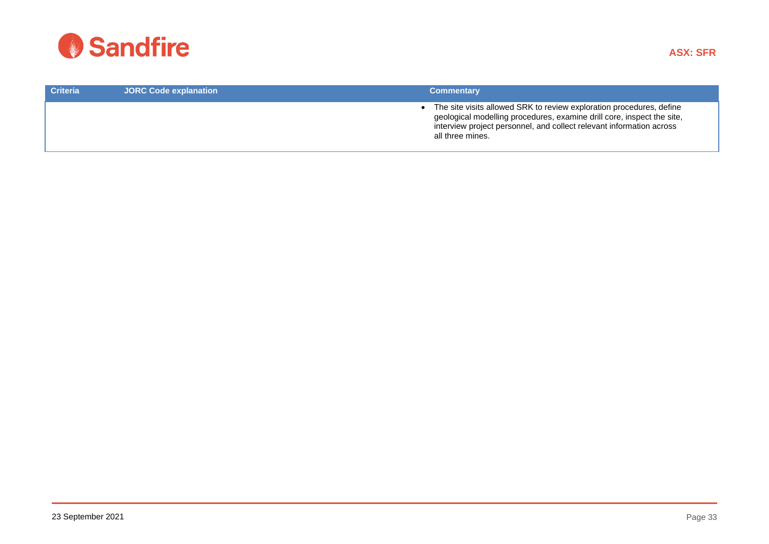

| <b>Criteria</b> | <b>JORC Code explanation</b> | <b>Commentary</b>                                                                                                                                                                                                                          |
|-----------------|------------------------------|--------------------------------------------------------------------------------------------------------------------------------------------------------------------------------------------------------------------------------------------|
|                 |                              | The site visits allowed SRK to review exploration procedures, define<br>geological modelling procedures, examine drill core, inspect the site,<br>interview project personnel, and collect relevant information across<br>all three mines. |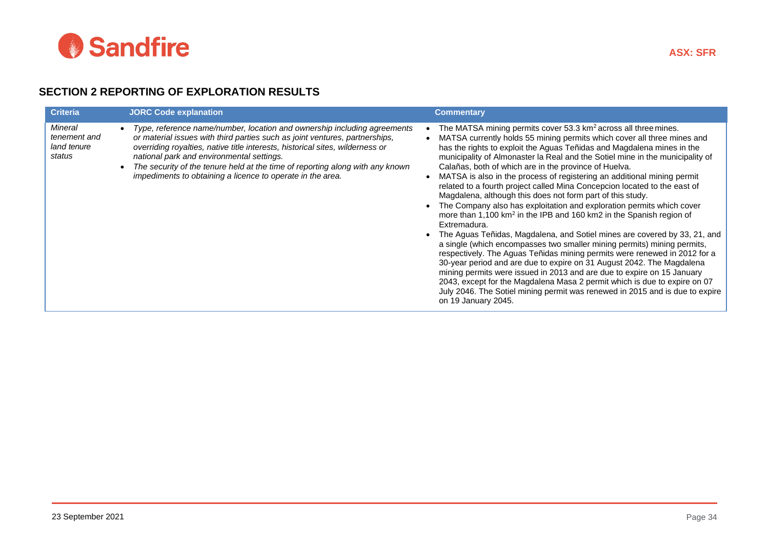

## **SECTION 2 REPORTING OF EXPLORATION RESULTS**

| <b>Criteria</b>                                  | <b>JORC Code explanation</b>                                                                                                                                                                                                                                                                                                                                                                                                         | <b>Commentary</b>                                                                                                                                                                                                                                                                                                                                                                                                                                                                                                                                                                                                                                                                                                                                                                                                                                                                                                                                                                                                                                                                                                                                                                                                                                                                                                                                        |
|--------------------------------------------------|--------------------------------------------------------------------------------------------------------------------------------------------------------------------------------------------------------------------------------------------------------------------------------------------------------------------------------------------------------------------------------------------------------------------------------------|----------------------------------------------------------------------------------------------------------------------------------------------------------------------------------------------------------------------------------------------------------------------------------------------------------------------------------------------------------------------------------------------------------------------------------------------------------------------------------------------------------------------------------------------------------------------------------------------------------------------------------------------------------------------------------------------------------------------------------------------------------------------------------------------------------------------------------------------------------------------------------------------------------------------------------------------------------------------------------------------------------------------------------------------------------------------------------------------------------------------------------------------------------------------------------------------------------------------------------------------------------------------------------------------------------------------------------------------------------|
| Mineral<br>tenement and<br>land tenure<br>status | Type, reference name/number, location and ownership including agreements<br>or material issues with third parties such as joint ventures, partnerships,<br>overriding royalties, native title interests, historical sites, wilderness or<br>national park and environmental settings.<br>The security of the tenure held at the time of reporting along with any known<br>impediments to obtaining a licence to operate in the area. | The MATSA mining permits cover 53.3 km <sup>2</sup> across all three mines.<br>MATSA currently holds 55 mining permits which cover all three mines and<br>has the rights to exploit the Aguas Teñidas and Magdalena mines in the<br>municipality of Almonaster la Real and the Sotiel mine in the municipality of<br>Calañas, both of which are in the province of Huelva.<br>MATSA is also in the process of registering an additional mining permit<br>related to a fourth project called Mina Concepcion located to the east of<br>Magdalena, although this does not form part of this study.<br>The Company also has exploitation and exploration permits which cover<br>more than 1,100 km <sup>2</sup> in the IPB and 160 km2 in the Spanish region of<br>Extremadura.<br>The Aguas Teñidas, Magdalena, and Sotiel mines are covered by 33, 21, and<br>a single (which encompasses two smaller mining permits) mining permits,<br>respectively. The Aguas Teñidas mining permits were renewed in 2012 for a<br>30-year period and are due to expire on 31 August 2042. The Magdalena<br>mining permits were issued in 2013 and are due to expire on 15 January<br>2043, except for the Magdalena Masa 2 permit which is due to expire on 07<br>July 2046. The Sotiel mining permit was renewed in 2015 and is due to expire<br>on 19 January 2045. |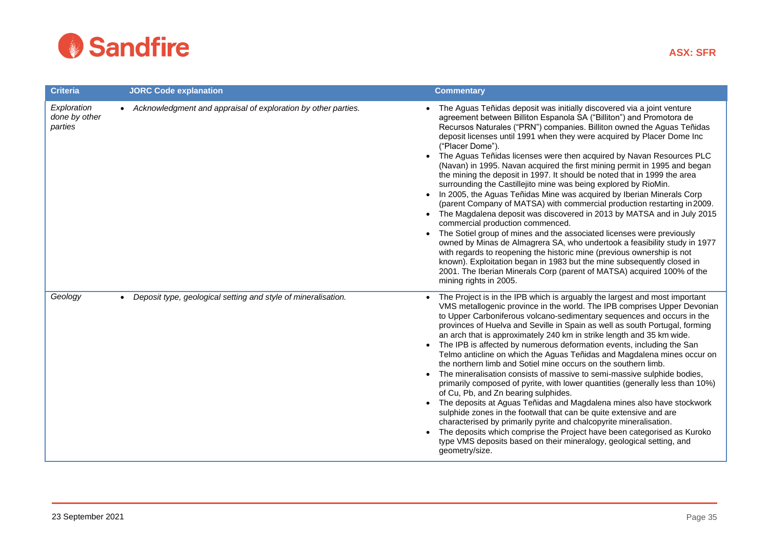

| <b>Criteria</b>                         | <b>JORC Code explanation</b>                                               | <b>Commentary</b>                                                                                                                                                                                                                                                                                                                                                                                                                                                                                                                                                                                                                                                                                                                                                                                                                                                                                                                                                                                                                                                                                                                                                                                                                                                                                                                         |
|-----------------------------------------|----------------------------------------------------------------------------|-------------------------------------------------------------------------------------------------------------------------------------------------------------------------------------------------------------------------------------------------------------------------------------------------------------------------------------------------------------------------------------------------------------------------------------------------------------------------------------------------------------------------------------------------------------------------------------------------------------------------------------------------------------------------------------------------------------------------------------------------------------------------------------------------------------------------------------------------------------------------------------------------------------------------------------------------------------------------------------------------------------------------------------------------------------------------------------------------------------------------------------------------------------------------------------------------------------------------------------------------------------------------------------------------------------------------------------------|
| Exploration<br>done by other<br>parties | • Acknowledgment and appraisal of exploration by other parties.            | • The Aguas Teñidas deposit was initially discovered via a joint venture<br>agreement between Billiton Espanola SA ("Billiton") and Promotora de<br>Recursos Naturales ("PRN") companies. Billiton owned the Aguas Teñidas<br>deposit licenses until 1991 when they were acquired by Placer Dome Inc<br>("Placer Dome").<br>The Aguas Teñidas licenses were then acquired by Navan Resources PLC<br>(Navan) in 1995. Navan acquired the first mining permit in 1995 and began<br>the mining the deposit in 1997. It should be noted that in 1999 the area<br>surrounding the Castillejito mine was being explored by RioMin.<br>In 2005, the Aguas Teñidas Mine was acquired by Iberian Minerals Corp<br>$\bullet$<br>(parent Company of MATSA) with commercial production restarting in 2009.<br>• The Magdalena deposit was discovered in 2013 by MATSA and in July 2015<br>commercial production commenced.<br>The Sotiel group of mines and the associated licenses were previously<br>$\bullet$<br>owned by Minas de Almagrera SA, who undertook a feasibility study in 1977<br>with regards to reopening the historic mine (previous ownership is not<br>known). Exploitation began in 1983 but the mine subsequently closed in<br>2001. The Iberian Minerals Corp (parent of MATSA) acquired 100% of the<br>mining rights in 2005. |
| Geology                                 | Deposit type, geological setting and style of mineralisation.<br>$\bullet$ | The Project is in the IPB which is arguably the largest and most important<br>VMS metallogenic province in the world. The IPB comprises Upper Devonian<br>to Upper Carboniferous volcano-sedimentary sequences and occurs in the<br>provinces of Huelva and Seville in Spain as well as south Portugal, forming<br>an arch that is approximately 240 km in strike length and 35 km wide.<br>The IPB is affected by numerous deformation events, including the San<br>$\bullet$<br>Telmo anticline on which the Aguas Teñidas and Magdalena mines occur on<br>the northern limb and Sotiel mine occurs on the southern limb.<br>The mineralisation consists of massive to semi-massive sulphide bodies,<br>$\bullet$<br>primarily composed of pyrite, with lower quantities (generally less than 10%)<br>of Cu, Pb, and Zn bearing sulphides.<br>The deposits at Aguas Teñidas and Magdalena mines also have stockwork<br>sulphide zones in the footwall that can be quite extensive and are<br>characterised by primarily pyrite and chalcopyrite mineralisation.<br>The deposits which comprise the Project have been categorised as Kuroko<br>type VMS deposits based on their mineralogy, geological setting, and<br>geometry/size.                                                                                                    |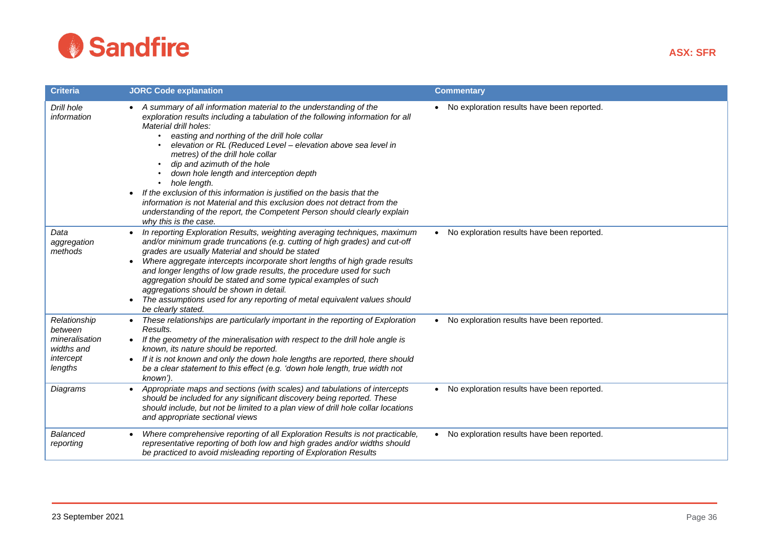

| <b>Criteria</b>                                                                 | <b>JORC Code explanation</b>                                                                                                                                                                                                                                                                                                                                                                                                                                                                                                                                                                                                                                                                                          | <b>Commentary</b>                            |
|---------------------------------------------------------------------------------|-----------------------------------------------------------------------------------------------------------------------------------------------------------------------------------------------------------------------------------------------------------------------------------------------------------------------------------------------------------------------------------------------------------------------------------------------------------------------------------------------------------------------------------------------------------------------------------------------------------------------------------------------------------------------------------------------------------------------|----------------------------------------------|
| Drill hole<br>information                                                       | • A summary of all information material to the understanding of the<br>exploration results including a tabulation of the following information for all<br>Material drill holes:<br>easting and northing of the drill hole collar<br>elevation or RL (Reduced Level - elevation above sea level in<br>metres) of the drill hole collar<br>dip and azimuth of the hole<br>$\bullet$<br>down hole length and interception depth<br>hole length.<br>$\bullet$<br>If the exclusion of this information is justified on the basis that the<br>information is not Material and this exclusion does not detract from the<br>understanding of the report, the Competent Person should clearly explain<br>why this is the case. | • No exploration results have been reported. |
| Data<br>aggregation<br>methods                                                  | In reporting Exploration Results, weighting averaging techniques, maximum<br>and/or minimum grade truncations (e.g. cutting of high grades) and cut-off<br>grades are usually Material and should be stated<br>Where aggregate intercepts incorporate short lengths of high grade results<br>and longer lengths of low grade results, the procedure used for such<br>aggregation should be stated and some typical examples of such<br>aggregations should be shown in detail.<br>The assumptions used for any reporting of metal equivalent values should<br>be clearly stated.                                                                                                                                      | • No exploration results have been reported. |
| Relationship<br>between<br>mineralisation<br>widths and<br>intercept<br>lengths | These relationships are particularly important in the reporting of Exploration<br>Results.<br>If the geometry of the mineralisation with respect to the drill hole angle is<br>$\bullet$<br>known, its nature should be reported.<br>If it is not known and only the down hole lengths are reported, there should<br>be a clear statement to this effect (e.g. 'down hole length, true width not<br>known').                                                                                                                                                                                                                                                                                                          | • No exploration results have been reported. |
| Diagrams                                                                        | Appropriate maps and sections (with scales) and tabulations of intercepts<br>$\bullet$<br>should be included for any significant discovery being reported. These<br>should include, but not be limited to a plan view of drill hole collar locations<br>and appropriate sectional views                                                                                                                                                                                                                                                                                                                                                                                                                               | • No exploration results have been reported. |
| Balanced<br>reporting                                                           | Where comprehensive reporting of all Exploration Results is not practicable,<br>representative reporting of both low and high grades and/or widths should<br>be practiced to avoid misleading reporting of Exploration Results                                                                                                                                                                                                                                                                                                                                                                                                                                                                                        | • No exploration results have been reported. |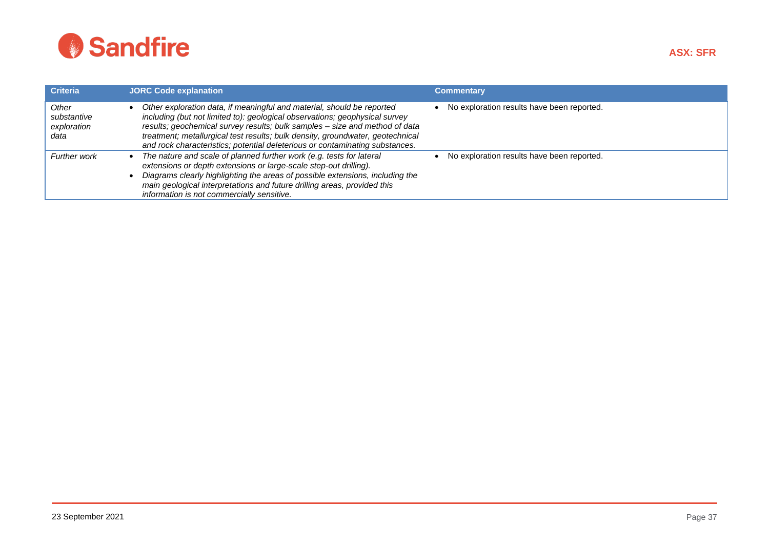

| <b>Criteria</b>                             | <b>JORC Code explanation</b>                                                                                                                                                                                                                                                                                                                                                                           | <b>Commentary</b>                          |
|---------------------------------------------|--------------------------------------------------------------------------------------------------------------------------------------------------------------------------------------------------------------------------------------------------------------------------------------------------------------------------------------------------------------------------------------------------------|--------------------------------------------|
| Other<br>substantive<br>exploration<br>data | Other exploration data, if meaningful and material, should be reported<br>including (but not limited to): geological observations; geophysical survey<br>results; geochemical survey results; bulk samples – size and method of data<br>treatment; metallurgical test results; bulk density, groundwater, geotechnical<br>and rock characteristics; potential deleterious or contaminating substances. | No exploration results have been reported. |
| <b>Further work</b>                         | The nature and scale of planned further work (e.g. tests for lateral<br>extensions or depth extensions or large-scale step-out drilling).<br>Diagrams clearly highlighting the areas of possible extensions, including the<br>main geological interpretations and future drilling areas, provided this<br>information is not commercially sensitive.                                                   | No exploration results have been reported. |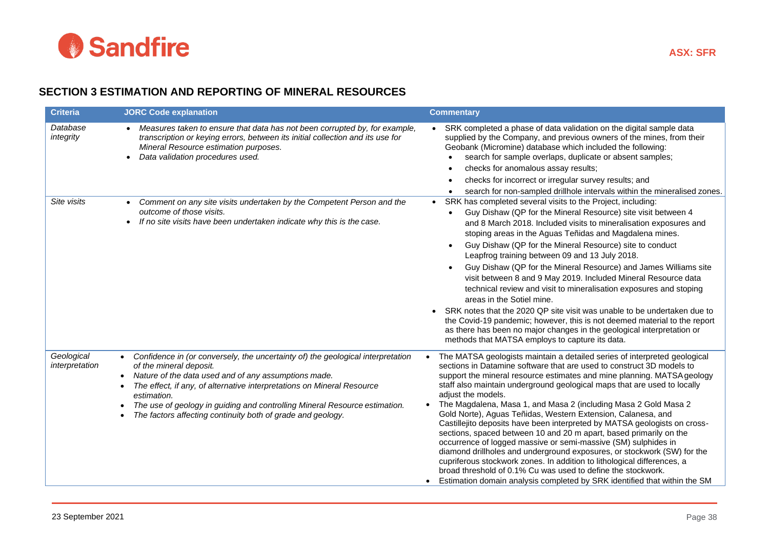

## **SECTION 3 ESTIMATION AND REPORTING OF MINERAL RESOURCES**

| <b>Criteria</b>              | <b>JORC Code explanation</b>                                                                                                                                                                                                                                                                                                                                                                                                         | <b>Commentary</b>                                                                                                                                                                                                                                                                                                                                                                                                                                                                                                                                                                                                                                                                                                                                                                                                                                                                                                                                                                          |
|------------------------------|--------------------------------------------------------------------------------------------------------------------------------------------------------------------------------------------------------------------------------------------------------------------------------------------------------------------------------------------------------------------------------------------------------------------------------------|--------------------------------------------------------------------------------------------------------------------------------------------------------------------------------------------------------------------------------------------------------------------------------------------------------------------------------------------------------------------------------------------------------------------------------------------------------------------------------------------------------------------------------------------------------------------------------------------------------------------------------------------------------------------------------------------------------------------------------------------------------------------------------------------------------------------------------------------------------------------------------------------------------------------------------------------------------------------------------------------|
| Database<br>integrity        | Measures taken to ensure that data has not been corrupted by, for example,<br>$\bullet$<br>transcription or keying errors, between its initial collection and its use for<br>Mineral Resource estimation purposes.<br>Data validation procedures used.                                                                                                                                                                               | SRK completed a phase of data validation on the digital sample data<br>supplied by the Company, and previous owners of the mines, from their<br>Geobank (Micromine) database which included the following:<br>search for sample overlaps, duplicate or absent samples;<br>checks for anomalous assay results;<br>checks for incorrect or irregular survey results; and<br>search for non-sampled drillhole intervals within the mineralised zones.                                                                                                                                                                                                                                                                                                                                                                                                                                                                                                                                         |
| Site visits                  | Comment on any site visits undertaken by the Competent Person and the<br>outcome of those visits.<br>If no site visits have been undertaken indicate why this is the case.                                                                                                                                                                                                                                                           | SRK has completed several visits to the Project, including:<br>Guy Dishaw (QP for the Mineral Resource) site visit between 4<br>and 8 March 2018. Included visits to mineralisation exposures and<br>stoping areas in the Aguas Teñidas and Magdalena mines.<br>Guy Dishaw (QP for the Mineral Resource) site to conduct<br>Leapfrog training between 09 and 13 July 2018.<br>Guy Dishaw (QP for the Mineral Resource) and James Williams site<br>visit between 8 and 9 May 2019. Included Mineral Resource data<br>technical review and visit to mineralisation exposures and stoping<br>areas in the Sotiel mine.<br>SRK notes that the 2020 QP site visit was unable to be undertaken due to<br>the Covid-19 pandemic; however, this is not deemed material to the report<br>as there has been no major changes in the geological interpretation or<br>methods that MATSA employs to capture its data.                                                                                  |
| Geological<br>interpretation | • Confidence in (or conversely, the uncertainty of) the geological interpretation<br>of the mineral deposit.<br>Nature of the data used and of any assumptions made.<br>$\bullet$<br>The effect, if any, of alternative interpretations on Mineral Resource<br>$\bullet$<br>estimation.<br>The use of geology in guiding and controlling Mineral Resource estimation.<br>The factors affecting continuity both of grade and geology. | The MATSA geologists maintain a detailed series of interpreted geological<br>sections in Datamine software that are used to construct 3D models to<br>support the mineral resource estimates and mine planning. MATSA geology<br>staff also maintain underground geological maps that are used to locally<br>adjust the models.<br>The Magdalena, Masa 1, and Masa 2 (including Masa 2 Gold Masa 2<br>Gold Norte), Aguas Teñidas, Western Extension, Calanesa, and<br>Castillejito deposits have been interpreted by MATSA geologists on cross-<br>sections, spaced between 10 and 20 m apart, based primarily on the<br>occurrence of logged massive or semi-massive (SM) sulphides in<br>diamond drillholes and underground exposures, or stockwork (SW) for the<br>cupriferous stockwork zones. In addition to lithological differences, a<br>broad threshold of 0.1% Cu was used to define the stockwork.<br>Estimation domain analysis completed by SRK identified that within the SM |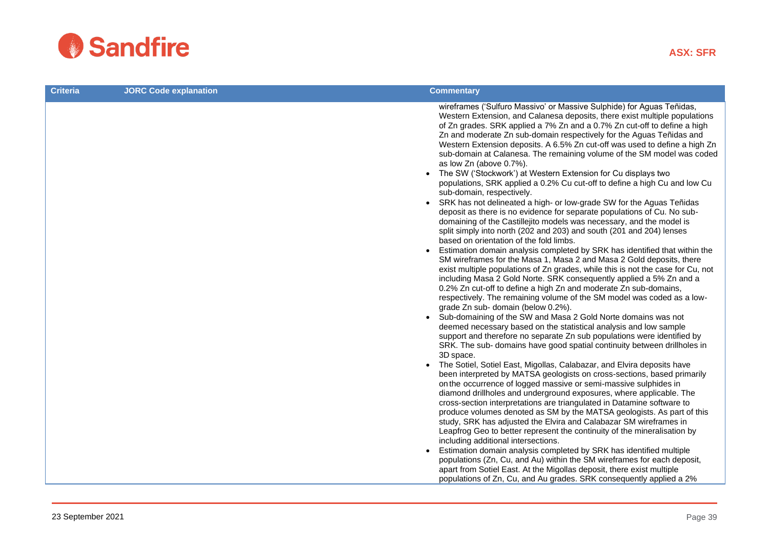

| <b>Criteria</b> | <b>JORC Code explanation</b> | <b>Commentary</b>                                                                                                                                                                                                                                                                                                                                                                                                                                                                                                                                                                                                                                                                                                                                                                                                                                                                                                                                                                                                                                                                                                                                                                                                                                                                                                                                                                                                                                                                                                                                                                                                                                                                                                                                                                                                                                                                                                                                                                                                                                                                                                                                                                                                                       |
|-----------------|------------------------------|-----------------------------------------------------------------------------------------------------------------------------------------------------------------------------------------------------------------------------------------------------------------------------------------------------------------------------------------------------------------------------------------------------------------------------------------------------------------------------------------------------------------------------------------------------------------------------------------------------------------------------------------------------------------------------------------------------------------------------------------------------------------------------------------------------------------------------------------------------------------------------------------------------------------------------------------------------------------------------------------------------------------------------------------------------------------------------------------------------------------------------------------------------------------------------------------------------------------------------------------------------------------------------------------------------------------------------------------------------------------------------------------------------------------------------------------------------------------------------------------------------------------------------------------------------------------------------------------------------------------------------------------------------------------------------------------------------------------------------------------------------------------------------------------------------------------------------------------------------------------------------------------------------------------------------------------------------------------------------------------------------------------------------------------------------------------------------------------------------------------------------------------------------------------------------------------------------------------------------------------|
|                 |                              | wireframes ('Sulfuro Massivo' or Massive Sulphide) for Aguas Teñidas,<br>Western Extension, and Calanesa deposits, there exist multiple populations<br>of Zn grades. SRK applied a 7% Zn and a 0.7% Zn cut-off to define a high<br>Zn and moderate Zn sub-domain respectively for the Aguas Teñidas and<br>Western Extension deposits. A 6.5% Zn cut-off was used to define a high Zn<br>sub-domain at Calanesa. The remaining volume of the SM model was coded<br>as low Zn (above 0.7%).<br>• The SW ('Stockwork') at Western Extension for Cu displays two<br>populations, SRK applied a 0.2% Cu cut-off to define a high Cu and low Cu<br>sub-domain, respectively.<br>SRK has not delineated a high- or low-grade SW for the Aguas Teñidas<br>$\bullet$<br>deposit as there is no evidence for separate populations of Cu. No sub-<br>domaining of the Castillejito models was necessary, and the model is<br>split simply into north (202 and 203) and south (201 and 204) lenses<br>based on orientation of the fold limbs.<br>Estimation domain analysis completed by SRK has identified that within the<br>$\bullet$<br>SM wireframes for the Masa 1, Masa 2 and Masa 2 Gold deposits, there<br>exist multiple populations of Zn grades, while this is not the case for Cu, not<br>including Masa 2 Gold Norte. SRK consequently applied a 5% Zn and a<br>0.2% Zn cut-off to define a high Zn and moderate Zn sub-domains,<br>respectively. The remaining volume of the SM model was coded as a low-<br>grade Zn sub- domain (below 0.2%).<br>Sub-domaining of the SW and Masa 2 Gold Norte domains was not<br>deemed necessary based on the statistical analysis and low sample<br>support and therefore no separate Zn sub populations were identified by<br>SRK. The sub- domains have good spatial continuity between drillholes in<br>3D space.<br>The Sotiel, Sotiel East, Migollas, Calabazar, and Elvira deposits have<br>been interpreted by MATSA geologists on cross-sections, based primarily<br>on the occurrence of logged massive or semi-massive sulphides in<br>diamond drillholes and underground exposures, where applicable. The<br>cross-section interpretations are triangulated in Datamine software to |
|                 |                              | produce volumes denoted as SM by the MATSA geologists. As part of this<br>study, SRK has adjusted the Elvira and Calabazar SM wireframes in<br>Leapfrog Geo to better represent the continuity of the mineralisation by<br>including additional intersections.<br>Estimation domain analysis completed by SRK has identified multiple                                                                                                                                                                                                                                                                                                                                                                                                                                                                                                                                                                                                                                                                                                                                                                                                                                                                                                                                                                                                                                                                                                                                                                                                                                                                                                                                                                                                                                                                                                                                                                                                                                                                                                                                                                                                                                                                                                   |
|                 |                              | populations (Zn, Cu, and Au) within the SM wireframes for each deposit,<br>apart from Sotiel East. At the Migollas deposit, there exist multiple<br>populations of Zn, Cu, and Au grades. SRK consequently applied a 2%                                                                                                                                                                                                                                                                                                                                                                                                                                                                                                                                                                                                                                                                                                                                                                                                                                                                                                                                                                                                                                                                                                                                                                                                                                                                                                                                                                                                                                                                                                                                                                                                                                                                                                                                                                                                                                                                                                                                                                                                                 |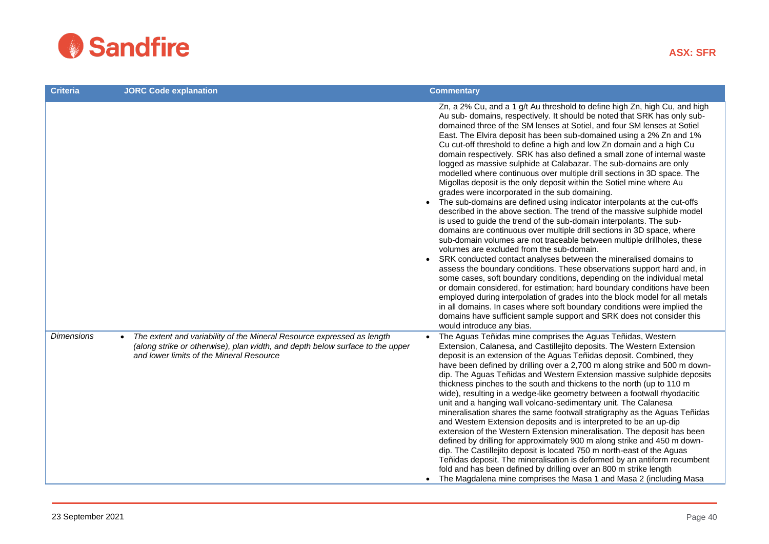

| <b>Criteria</b>   | <b>JORC Code explanation</b>                                                                                                                                                                                     | <b>Commentary</b>                                                                                                                                                                                                                                                                                                                                                                                                                                                                                                                                                                                                                                                                                                                                                                                                                                                                                                                                                                                                                                                                                                                                                                                                                                                                                                                                                                                                                                                                                                                                                                                                                                                                                                                                            |
|-------------------|------------------------------------------------------------------------------------------------------------------------------------------------------------------------------------------------------------------|--------------------------------------------------------------------------------------------------------------------------------------------------------------------------------------------------------------------------------------------------------------------------------------------------------------------------------------------------------------------------------------------------------------------------------------------------------------------------------------------------------------------------------------------------------------------------------------------------------------------------------------------------------------------------------------------------------------------------------------------------------------------------------------------------------------------------------------------------------------------------------------------------------------------------------------------------------------------------------------------------------------------------------------------------------------------------------------------------------------------------------------------------------------------------------------------------------------------------------------------------------------------------------------------------------------------------------------------------------------------------------------------------------------------------------------------------------------------------------------------------------------------------------------------------------------------------------------------------------------------------------------------------------------------------------------------------------------------------------------------------------------|
|                   |                                                                                                                                                                                                                  | Zn, a 2% Cu, and a 1 g/t Au threshold to define high Zn, high Cu, and high<br>Au sub- domains, respectively. It should be noted that SRK has only sub-<br>domained three of the SM lenses at Sotiel, and four SM lenses at Sotiel<br>East. The Elvira deposit has been sub-domained using a 2% Zn and 1%<br>Cu cut-off threshold to define a high and low Zn domain and a high Cu<br>domain respectively. SRK has also defined a small zone of internal waste<br>logged as massive sulphide at Calabazar. The sub-domains are only<br>modelled where continuous over multiple drill sections in 3D space. The<br>Migollas deposit is the only deposit within the Sotiel mine where Au<br>grades were incorporated in the sub domaining.<br>The sub-domains are defined using indicator interpolants at the cut-offs<br>described in the above section. The trend of the massive sulphide model<br>is used to guide the trend of the sub-domain interpolants. The sub-<br>domains are continuous over multiple drill sections in 3D space, where<br>sub-domain volumes are not traceable between multiple drillholes, these<br>volumes are excluded from the sub-domain.<br>SRK conducted contact analyses between the mineralised domains to<br>$\bullet$<br>assess the boundary conditions. These observations support hard and, in<br>some cases, soft boundary conditions, depending on the individual metal<br>or domain considered, for estimation; hard boundary conditions have been<br>employed during interpolation of grades into the block model for all metals<br>in all domains. In cases where soft boundary conditions were implied the<br>domains have sufficient sample support and SRK does not consider this<br>would introduce any bias. |
| <b>Dimensions</b> | The extent and variability of the Mineral Resource expressed as length<br>$\bullet$<br>(along strike or otherwise), plan width, and depth below surface to the upper<br>and lower limits of the Mineral Resource | The Aguas Teñidas mine comprises the Aguas Teñidas, Western<br>Extension, Calanesa, and Castillejito deposits. The Western Extension<br>deposit is an extension of the Aguas Teñidas deposit. Combined, they<br>have been defined by drilling over a 2,700 m along strike and 500 m down-<br>dip. The Aguas Teñidas and Western Extension massive sulphide deposits<br>thickness pinches to the south and thickens to the north (up to 110 m<br>wide), resulting in a wedge-like geometry between a footwall rhyodacitic<br>unit and a hanging wall volcano-sedimentary unit. The Calanesa<br>mineralisation shares the same footwall stratigraphy as the Aguas Teñidas<br>and Western Extension deposits and is interpreted to be an up-dip<br>extension of the Western Extension mineralisation. The deposit has been<br>defined by drilling for approximately 900 m along strike and 450 m down-<br>dip. The Castillejito deposit is located 750 m north-east of the Aguas<br>Teñidas deposit. The mineralisation is deformed by an antiform recumbent<br>fold and has been defined by drilling over an 800 m strike length<br>The Magdalena mine comprises the Masa 1 and Masa 2 (including Masa                                                                                                                                                                                                                                                                                                                                                                                                                                                                                                                                                         |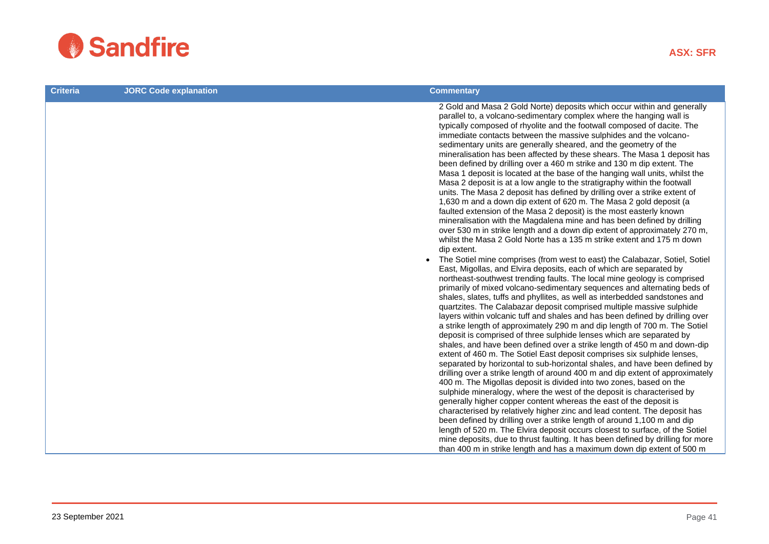

| <b>Criteria</b> | <b>JORC Code explanation</b> | <b>Commentary</b>                                                                                                                                                                                                                                                                                                                                                                                                                                                                                                                                                                                                                                                                                                                                                                                                                                                                                                                                                                                                                                                                                                                                                                                                                                                                                                                                                                                                                                                                                                                                                                                                                                                                                                                                                                                                                                                                                                                                                                                                                                                                                                                                                                                                                                                                                                                                                                                                                                                                                                                                                                                                                                              |
|-----------------|------------------------------|----------------------------------------------------------------------------------------------------------------------------------------------------------------------------------------------------------------------------------------------------------------------------------------------------------------------------------------------------------------------------------------------------------------------------------------------------------------------------------------------------------------------------------------------------------------------------------------------------------------------------------------------------------------------------------------------------------------------------------------------------------------------------------------------------------------------------------------------------------------------------------------------------------------------------------------------------------------------------------------------------------------------------------------------------------------------------------------------------------------------------------------------------------------------------------------------------------------------------------------------------------------------------------------------------------------------------------------------------------------------------------------------------------------------------------------------------------------------------------------------------------------------------------------------------------------------------------------------------------------------------------------------------------------------------------------------------------------------------------------------------------------------------------------------------------------------------------------------------------------------------------------------------------------------------------------------------------------------------------------------------------------------------------------------------------------------------------------------------------------------------------------------------------------------------------------------------------------------------------------------------------------------------------------------------------------------------------------------------------------------------------------------------------------------------------------------------------------------------------------------------------------------------------------------------------------------------------------------------------------------------------------------------------------|
|                 |                              | 2 Gold and Masa 2 Gold Norte) deposits which occur within and generally<br>parallel to, a volcano-sedimentary complex where the hanging wall is<br>typically composed of rhyolite and the footwall composed of dacite. The<br>immediate contacts between the massive sulphides and the volcano-<br>sedimentary units are generally sheared, and the geometry of the<br>mineralisation has been affected by these shears. The Masa 1 deposit has<br>been defined by drilling over a 460 m strike and 130 m dip extent. The<br>Masa 1 deposit is located at the base of the hanging wall units, whilst the<br>Masa 2 deposit is at a low angle to the stratigraphy within the footwall<br>units. The Masa 2 deposit has defined by drilling over a strike extent of<br>1,630 m and a down dip extent of 620 m. The Masa 2 gold deposit (a<br>faulted extension of the Masa 2 deposit) is the most easterly known<br>mineralisation with the Magdalena mine and has been defined by drilling<br>over 530 m in strike length and a down dip extent of approximately 270 m,<br>whilst the Masa 2 Gold Norte has a 135 m strike extent and 175 m down<br>dip extent.<br>The Sotiel mine comprises (from west to east) the Calabazar, Sotiel, Sotiel<br>East, Migollas, and Elvira deposits, each of which are separated by<br>northeast-southwest trending faults. The local mine geology is comprised<br>primarily of mixed volcano-sedimentary sequences and alternating beds of<br>shales, slates, tuffs and phyllites, as well as interbedded sandstones and<br>quartzites. The Calabazar deposit comprised multiple massive sulphide<br>layers within volcanic tuff and shales and has been defined by drilling over<br>a strike length of approximately 290 m and dip length of 700 m. The Sotiel<br>deposit is comprised of three sulphide lenses which are separated by<br>shales, and have been defined over a strike length of 450 m and down-dip<br>extent of 460 m. The Sotiel East deposit comprises six sulphide lenses,<br>separated by horizontal to sub-horizontal shales, and have been defined by<br>drilling over a strike length of around 400 m and dip extent of approximately<br>400 m. The Migollas deposit is divided into two zones, based on the<br>sulphide mineralogy, where the west of the deposit is characterised by<br>generally higher copper content whereas the east of the deposit is<br>characterised by relatively higher zinc and lead content. The deposit has<br>been defined by drilling over a strike length of around 1,100 m and dip<br>length of 520 m. The Elvira deposit occurs closest to surface, of the Sotiel |
|                 |                              | mine deposits, due to thrust faulting. It has been defined by drilling for more<br>than 400 m in strike length and has a maximum down dip extent of 500 m                                                                                                                                                                                                                                                                                                                                                                                                                                                                                                                                                                                                                                                                                                                                                                                                                                                                                                                                                                                                                                                                                                                                                                                                                                                                                                                                                                                                                                                                                                                                                                                                                                                                                                                                                                                                                                                                                                                                                                                                                                                                                                                                                                                                                                                                                                                                                                                                                                                                                                      |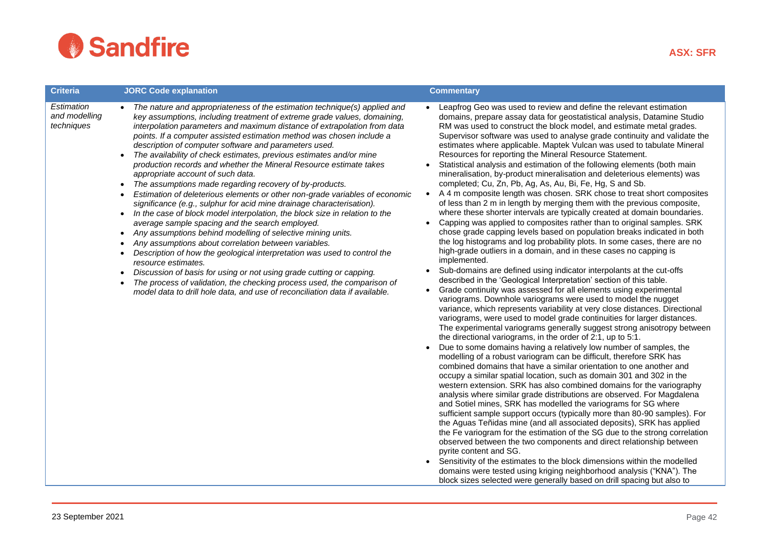

| <b>Criteria</b>                           | <b>JORC Code explanation</b>                                                                                                                                                                                                                                                                                                                                                                                                                                                                                                                                                                                                                                                                                                                                                                                                                                                                                                                                                                                                                                                                                                                                                                                                                                                                                                                                                                                                         | <b>Commentary</b>                                                                                                                                                                                                                                                                                                                                                                                                                                                                                                                                                                                                                                                                                                                                                                                                                                                                                                                                                                                                                                                                                                                                                                                                                                                                                                                                                                                                                                                                                                                                                                                                                                                                                                                                                                                                                                                                                                                                                                                                                                                                                                                                                                                                                                                                                                                                                                                                                                                                                                                                                                                                                                                                                                                                                                                                                                                                                                                                                                              |
|-------------------------------------------|--------------------------------------------------------------------------------------------------------------------------------------------------------------------------------------------------------------------------------------------------------------------------------------------------------------------------------------------------------------------------------------------------------------------------------------------------------------------------------------------------------------------------------------------------------------------------------------------------------------------------------------------------------------------------------------------------------------------------------------------------------------------------------------------------------------------------------------------------------------------------------------------------------------------------------------------------------------------------------------------------------------------------------------------------------------------------------------------------------------------------------------------------------------------------------------------------------------------------------------------------------------------------------------------------------------------------------------------------------------------------------------------------------------------------------------|------------------------------------------------------------------------------------------------------------------------------------------------------------------------------------------------------------------------------------------------------------------------------------------------------------------------------------------------------------------------------------------------------------------------------------------------------------------------------------------------------------------------------------------------------------------------------------------------------------------------------------------------------------------------------------------------------------------------------------------------------------------------------------------------------------------------------------------------------------------------------------------------------------------------------------------------------------------------------------------------------------------------------------------------------------------------------------------------------------------------------------------------------------------------------------------------------------------------------------------------------------------------------------------------------------------------------------------------------------------------------------------------------------------------------------------------------------------------------------------------------------------------------------------------------------------------------------------------------------------------------------------------------------------------------------------------------------------------------------------------------------------------------------------------------------------------------------------------------------------------------------------------------------------------------------------------------------------------------------------------------------------------------------------------------------------------------------------------------------------------------------------------------------------------------------------------------------------------------------------------------------------------------------------------------------------------------------------------------------------------------------------------------------------------------------------------------------------------------------------------------------------------------------------------------------------------------------------------------------------------------------------------------------------------------------------------------------------------------------------------------------------------------------------------------------------------------------------------------------------------------------------------------------------------------------------------------------------------------------------------|
| Estimation<br>and modelling<br>techniques | The nature and appropriateness of the estimation technique(s) applied and<br>key assumptions, including treatment of extreme grade values, domaining,<br>interpolation parameters and maximum distance of extrapolation from data<br>points. If a computer assisted estimation method was chosen include a<br>description of computer software and parameters used.<br>The availability of check estimates, previous estimates and/or mine<br>production records and whether the Mineral Resource estimate takes<br>appropriate account of such data.<br>The assumptions made regarding recovery of by-products.<br>$\bullet$<br>Estimation of deleterious elements or other non-grade variables of economic<br>significance (e.g., sulphur for acid mine drainage characterisation).<br>In the case of block model interpolation, the block size in relation to the<br>$\bullet$<br>average sample spacing and the search employed.<br>Any assumptions behind modelling of selective mining units.<br>٠<br>Any assumptions about correlation between variables.<br>$\bullet$<br>Description of how the geological interpretation was used to control the<br>٠<br>resource estimates.<br>Discussion of basis for using or not using grade cutting or capping.<br>$\bullet$<br>The process of validation, the checking process used, the comparison of<br>model data to drill hole data, and use of reconciliation data if available. | Leapfrog Geo was used to review and define the relevant estimation<br>$\bullet$<br>domains, prepare assay data for geostatistical analysis, Datamine Studio<br>RM was used to construct the block model, and estimate metal grades.<br>Supervisor software was used to analyse grade continuity and validate the<br>estimates where applicable. Maptek Vulcan was used to tabulate Mineral<br>Resources for reporting the Mineral Resource Statement.<br>Statistical analysis and estimation of the following elements (both main<br>$\bullet$<br>mineralisation, by-product mineralisation and deleterious elements) was<br>completed; Cu, Zn, Pb, Ag, As, Au, Bi, Fe, Hg, S and Sb.<br>A 4 m composite length was chosen. SRK chose to treat short composites<br>$\bullet$<br>of less than 2 m in length by merging them with the previous composite,<br>where these shorter intervals are typically created at domain boundaries.<br>Capping was applied to composites rather than to original samples. SRK<br>$\bullet$<br>chose grade capping levels based on population breaks indicated in both<br>the log histograms and log probability plots. In some cases, there are no<br>high-grade outliers in a domain, and in these cases no capping is<br>implemented.<br>Sub-domains are defined using indicator interpolants at the cut-offs<br>$\bullet$<br>described in the 'Geological Interpretation' section of this table.<br>Grade continuity was assessed for all elements using experimental<br>$\bullet$<br>variograms. Downhole variograms were used to model the nugget<br>variance, which represents variability at very close distances. Directional<br>variograms, were used to model grade continuities for larger distances.<br>The experimental variograms generally suggest strong anisotropy between<br>the directional variograms, in the order of 2:1, up to 5:1.<br>Due to some domains having a relatively low number of samples, the<br>$\bullet$<br>modelling of a robust variogram can be difficult, therefore SRK has<br>combined domains that have a similar orientation to one another and<br>occupy a similar spatial location, such as domain 301 and 302 in the<br>western extension. SRK has also combined domains for the variography<br>analysis where similar grade distributions are observed. For Magdalena<br>and Sotiel mines, SRK has modelled the variograms for SG where<br>sufficient sample support occurs (typically more than 80-90 samples). For<br>the Aguas Teñidas mine (and all associated deposits), SRK has applied<br>the Fe variogram for the estimation of the SG due to the strong correlation<br>observed between the two components and direct relationship between<br>pyrite content and SG.<br>• Sensitivity of the estimates to the block dimensions within the modelled<br>domains were tested using kriging neighborhood analysis ("KNA"). The<br>block sizes selected were generally based on drill spacing but also to |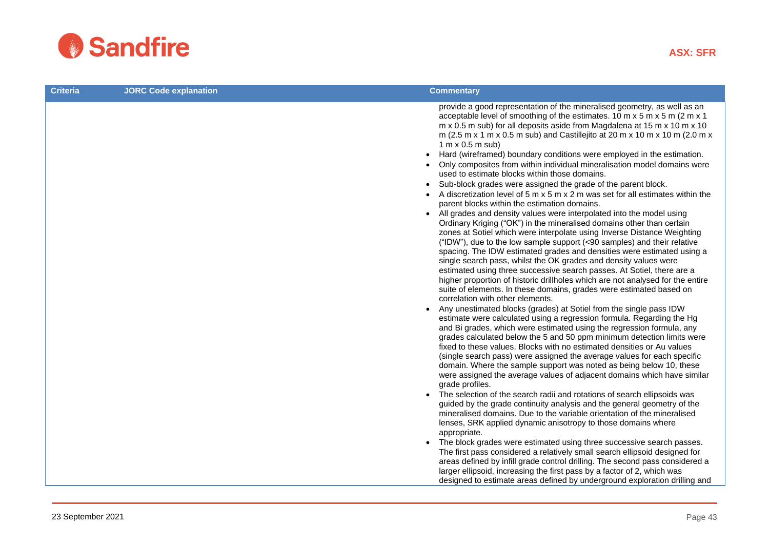

| <b>Criteria</b> | <b>JORC Code explanation</b> | <b>Commentary</b>                                                                                                                                                                                                                                                                                                                                                                                                                                                                                                                                                                                                                                                                                                          |
|-----------------|------------------------------|----------------------------------------------------------------------------------------------------------------------------------------------------------------------------------------------------------------------------------------------------------------------------------------------------------------------------------------------------------------------------------------------------------------------------------------------------------------------------------------------------------------------------------------------------------------------------------------------------------------------------------------------------------------------------------------------------------------------------|
|                 |                              | provide a good representation of the mineralised geometry, as well as an<br>acceptable level of smoothing of the estimates. 10 m x 5 m x 5 m (2 m x 1<br>m x 0.5 m sub) for all deposits aside from Magdalena at 15 m x 10 m x 10<br>m (2.5 m x 1 m x 0.5 m sub) and Castillejito at 20 m x 10 m x 10 m (2.0 m x<br>$1 \text{ m} \times 0.5 \text{ m} \text{ sub}$<br>Hard (wireframed) boundary conditions were employed in the estimation.<br>$\bullet$<br>Only composites from within individual mineralisation model domains were<br>used to estimate blocks within those domains.                                                                                                                                     |
|                 |                              | Sub-block grades were assigned the grade of the parent block.<br>$\bullet$<br>A discretization level of 5 m x 5 m x 2 m was set for all estimates within the<br>$\bullet$<br>parent blocks within the estimation domains.                                                                                                                                                                                                                                                                                                                                                                                                                                                                                                  |
|                 |                              | • All grades and density values were interpolated into the model using<br>Ordinary Kriging ("OK") in the mineralised domains other than certain<br>zones at Sotiel which were interpolate using Inverse Distance Weighting<br>("IDW"), due to the low sample support (<90 samples) and their relative<br>spacing. The IDW estimated grades and densities were estimated using a<br>single search pass, whilst the OK grades and density values were<br>estimated using three successive search passes. At Sotiel, there are a<br>higher proportion of historic drillholes which are not analysed for the entire<br>suite of elements. In these domains, grades were estimated based on<br>correlation with other elements. |
|                 |                              | Any unestimated blocks (grades) at Sotiel from the single pass IDW<br>$\bullet$<br>estimate were calculated using a regression formula. Regarding the Hg<br>and Bi grades, which were estimated using the regression formula, any<br>grades calculated below the 5 and 50 ppm minimum detection limits were<br>fixed to these values. Blocks with no estimated densities or Au values<br>(single search pass) were assigned the average values for each specific<br>domain. Where the sample support was noted as being below 10, these<br>were assigned the average values of adjacent domains which have similar<br>grade profiles.                                                                                      |
|                 |                              | • The selection of the search radii and rotations of search ellipsoids was<br>guided by the grade continuity analysis and the general geometry of the<br>mineralised domains. Due to the variable orientation of the mineralised<br>lenses, SRK applied dynamic anisotropy to those domains where<br>appropriate.                                                                                                                                                                                                                                                                                                                                                                                                          |
|                 |                              | The block grades were estimated using three successive search passes.<br>$\bullet$<br>The first pass considered a relatively small search ellipsoid designed for<br>areas defined by infill grade control drilling. The second pass considered a<br>larger ellipsoid, increasing the first pass by a factor of 2, which was<br>designed to estimate areas defined by underground exploration drilling and                                                                                                                                                                                                                                                                                                                  |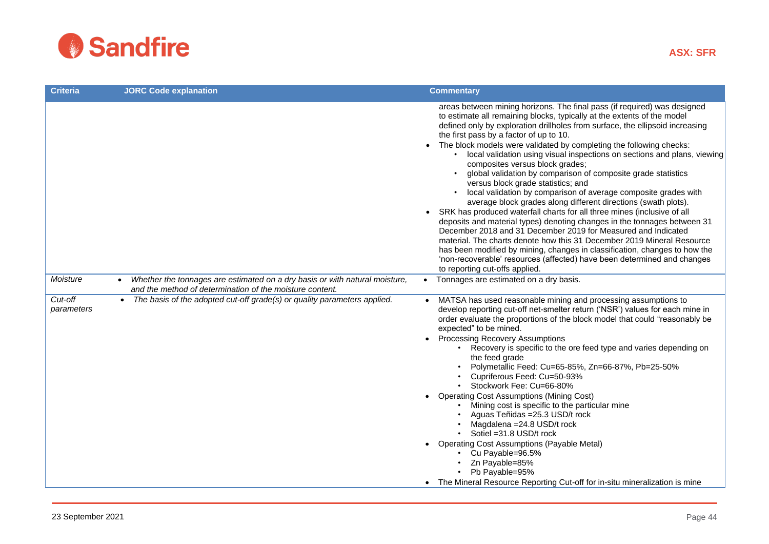

| <b>Criteria</b>       | <b>JORC Code explanation</b>                                                                                                                         | <b>Commentary</b>                                                                                                                                                                                                                                                                                                                                                                                                                                                                                                                                                                                                                                                                                                                                                                                                                                                                                                                                                                                                                                                                                                                                                                                                |
|-----------------------|------------------------------------------------------------------------------------------------------------------------------------------------------|------------------------------------------------------------------------------------------------------------------------------------------------------------------------------------------------------------------------------------------------------------------------------------------------------------------------------------------------------------------------------------------------------------------------------------------------------------------------------------------------------------------------------------------------------------------------------------------------------------------------------------------------------------------------------------------------------------------------------------------------------------------------------------------------------------------------------------------------------------------------------------------------------------------------------------------------------------------------------------------------------------------------------------------------------------------------------------------------------------------------------------------------------------------------------------------------------------------|
|                       |                                                                                                                                                      | areas between mining horizons. The final pass (if required) was designed<br>to estimate all remaining blocks, typically at the extents of the model<br>defined only by exploration drillholes from surface, the ellipsoid increasing<br>the first pass by a factor of up to 10.<br>• The block models were validated by completing the following checks:<br>local validation using visual inspections on sections and plans, viewing<br>composites versus block grades;<br>global validation by comparison of composite grade statistics<br>versus block grade statistics; and<br>local validation by comparison of average composite grades with<br>average block grades along different directions (swath plots).<br>SRK has produced waterfall charts for all three mines (inclusive of all<br>deposits and material types) denoting changes in the tonnages between 31<br>December 2018 and 31 December 2019 for Measured and Indicated<br>material. The charts denote how this 31 December 2019 Mineral Resource<br>has been modified by mining, changes in classification, changes to how the<br>'non-recoverable' resources (affected) have been determined and changes<br>to reporting cut-offs applied. |
| Moisture              | Whether the tonnages are estimated on a dry basis or with natural moisture,<br>$\bullet$<br>and the method of determination of the moisture content. | Tonnages are estimated on a dry basis.<br>$\bullet$                                                                                                                                                                                                                                                                                                                                                                                                                                                                                                                                                                                                                                                                                                                                                                                                                                                                                                                                                                                                                                                                                                                                                              |
| Cut-off<br>parameters | The basis of the adopted cut-off grade(s) or quality parameters applied.                                                                             | MATSA has used reasonable mining and processing assumptions to<br>develop reporting cut-off net-smelter return ('NSR') values for each mine in<br>order evaluate the proportions of the block model that could "reasonably be<br>expected" to be mined.<br><b>Processing Recovery Assumptions</b><br>Recovery is specific to the ore feed type and varies depending on<br>the feed grade<br>Polymetallic Feed: Cu=65-85%, Zn=66-87%, Pb=25-50%<br>• Cupriferous Feed: Cu=50-93%<br>• Stockwork Fee: Cu=66-80%<br><b>Operating Cost Assumptions (Mining Cost)</b><br>Mining cost is specific to the particular mine<br>Aguas Teñidas = 25.3 USD/t rock<br>Magdalena = 24.8 USD/t rock<br>Sotiel = 31.8 USD/t rock<br><b>Operating Cost Assumptions (Payable Metal)</b><br>Cu Payable=96.5%<br>• Zn Payable=85%<br>Pb Payable=95%<br>• The Mineral Resource Reporting Cut-off for in-situ mineralization is mine                                                                                                                                                                                                                                                                                                   |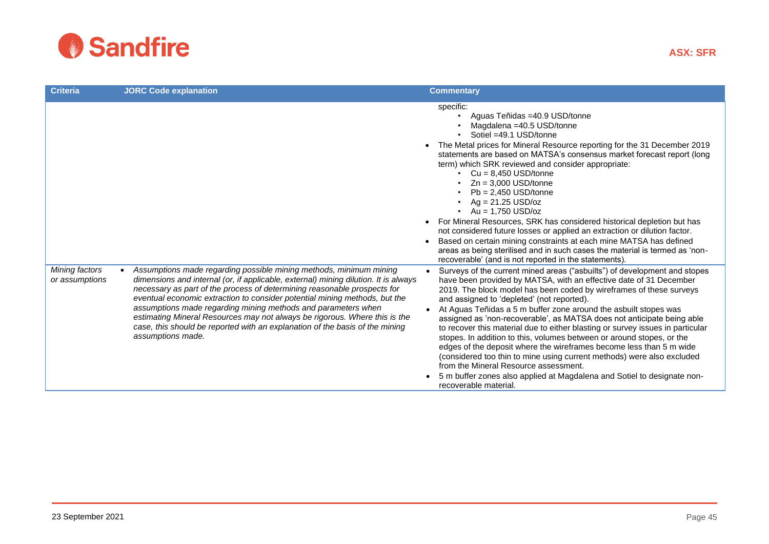

| <b>Criteria</b>                  | <b>JORC Code explanation</b>                                                                                                                                                                                                                                                                                                                                                                                                                                                                                                                                            | <b>Commentary</b>                                                                                                                                                                                                                                                                                                                                                                                                                                                                                                                                                                                                                                                                                                                                                                                                                                                                        |
|----------------------------------|-------------------------------------------------------------------------------------------------------------------------------------------------------------------------------------------------------------------------------------------------------------------------------------------------------------------------------------------------------------------------------------------------------------------------------------------------------------------------------------------------------------------------------------------------------------------------|------------------------------------------------------------------------------------------------------------------------------------------------------------------------------------------------------------------------------------------------------------------------------------------------------------------------------------------------------------------------------------------------------------------------------------------------------------------------------------------------------------------------------------------------------------------------------------------------------------------------------------------------------------------------------------------------------------------------------------------------------------------------------------------------------------------------------------------------------------------------------------------|
|                                  |                                                                                                                                                                                                                                                                                                                                                                                                                                                                                                                                                                         | specific:<br>Aguas Teñidas =40.9 USD/tonne<br>Magdalena = 40.5 USD/tonne<br>Sotiel =49.1 USD/tonne<br>The Metal prices for Mineral Resource reporting for the 31 December 2019<br>statements are based on MATSA's consensus market forecast report (long<br>term) which SRK reviewed and consider appropriate:<br>• $Cu = 8,450$ USD/tonne<br>$Zn = 3,000$ USD/tonne<br>$Pb = 2,450$ USD/tonne<br>$Ag = 21.25$ USD/oz<br>• Au = 1,750 USD/oz<br>For Mineral Resources, SRK has considered historical depletion but has<br>not considered future losses or applied an extraction or dilution factor.<br>Based on certain mining constraints at each mine MATSA has defined<br>areas as being sterilised and in such cases the material is termed as 'non-<br>recoverable' (and is not reported in the statements).                                                                        |
| Mining factors<br>or assumptions | Assumptions made regarding possible mining methods, minimum mining<br>dimensions and internal (or, if applicable, external) mining dilution. It is always<br>necessary as part of the process of determining reasonable prospects for<br>eventual economic extraction to consider potential mining methods, but the<br>assumptions made regarding mining methods and parameters when<br>estimating Mineral Resources may not always be rigorous. Where this is the<br>case, this should be reported with an explanation of the basis of the mining<br>assumptions made. | Surveys of the current mined areas ("asbuilts") of development and stopes<br>$\bullet$<br>have been provided by MATSA, with an effective date of 31 December<br>2019. The block model has been coded by wireframes of these surveys<br>and assigned to 'depleted' (not reported).<br>At Aguas Teñidas a 5 m buffer zone around the asbuilt stopes was<br>assigned as 'non-recoverable', as MATSA does not anticipate being able<br>to recover this material due to either blasting or survey issues in particular<br>stopes. In addition to this, volumes between or around stopes, or the<br>edges of the deposit where the wireframes become less than 5 m wide<br>(considered too thin to mine using current methods) were also excluded<br>from the Mineral Resource assessment.<br>5 m buffer zones also applied at Magdalena and Sotiel to designate non-<br>recoverable material. |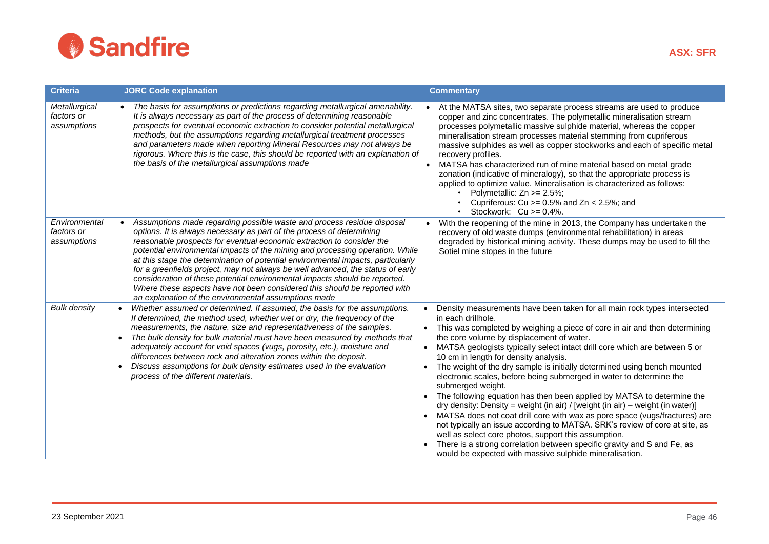

| <b>Criteria</b>                            | <b>JORC Code explanation</b>                                                                                                                                                                                                                                                                                                                                                                                                                                                                                                                                                                                                                                                                        | <b>Commentary</b>                                                                                                                                                                                                                                                                                                                                                                                                                                                                                                                                                                                                                                                                                                                                                                                                                                                                                                                                                                                                                                                             |
|--------------------------------------------|-----------------------------------------------------------------------------------------------------------------------------------------------------------------------------------------------------------------------------------------------------------------------------------------------------------------------------------------------------------------------------------------------------------------------------------------------------------------------------------------------------------------------------------------------------------------------------------------------------------------------------------------------------------------------------------------------------|-------------------------------------------------------------------------------------------------------------------------------------------------------------------------------------------------------------------------------------------------------------------------------------------------------------------------------------------------------------------------------------------------------------------------------------------------------------------------------------------------------------------------------------------------------------------------------------------------------------------------------------------------------------------------------------------------------------------------------------------------------------------------------------------------------------------------------------------------------------------------------------------------------------------------------------------------------------------------------------------------------------------------------------------------------------------------------|
| Metallurgical<br>factors or<br>assumptions | The basis for assumptions or predictions regarding metallurgical amenability.<br>$\bullet$<br>It is always necessary as part of the process of determining reasonable<br>prospects for eventual economic extraction to consider potential metallurgical<br>methods, but the assumptions regarding metallurgical treatment processes<br>and parameters made when reporting Mineral Resources may not always be<br>rigorous. Where this is the case, this should be reported with an explanation of<br>the basis of the metallurgical assumptions made                                                                                                                                                | At the MATSA sites, two separate process streams are used to produce<br>copper and zinc concentrates. The polymetallic mineralisation stream<br>processes polymetallic massive sulphide material, whereas the copper<br>mineralisation stream processes material stemming from cupriferous<br>massive sulphides as well as copper stockworks and each of specific metal<br>recovery profiles.<br>MATSA has characterized run of mine material based on metal grade<br>zonation (indicative of mineralogy), so that the appropriate process is<br>applied to optimize value. Mineralisation is characterized as follows:<br>Polymetallic: Zn >= 2.5%;<br>Cupriferous: $Cu > = 0.5\%$ and $Zn < 2.5\%$ ; and<br>Stockwork: $Cu \ge 0.4\%$ .                                                                                                                                                                                                                                                                                                                                     |
| Environmental<br>factors or<br>assumptions | Assumptions made regarding possible waste and process residue disposal<br>options. It is always necessary as part of the process of determining<br>reasonable prospects for eventual economic extraction to consider the<br>potential environmental impacts of the mining and processing operation. While<br>at this stage the determination of potential environmental impacts, particularly<br>for a greenfields project, may not always be well advanced, the status of early<br>consideration of these potential environmental impacts should be reported.<br>Where these aspects have not been considered this should be reported with<br>an explanation of the environmental assumptions made | With the reopening of the mine in 2013, the Company has undertaken the<br>recovery of old waste dumps (environmental rehabilitation) in areas<br>degraded by historical mining activity. These dumps may be used to fill the<br>Sotiel mine stopes in the future                                                                                                                                                                                                                                                                                                                                                                                                                                                                                                                                                                                                                                                                                                                                                                                                              |
| <b>Bulk density</b>                        | Whether assumed or determined. If assumed, the basis for the assumptions.<br>If determined, the method used, whether wet or dry, the frequency of the<br>measurements, the nature, size and representativeness of the samples.<br>The bulk density for bulk material must have been measured by methods that<br>$\bullet$<br>adequately account for void spaces (vugs, porosity, etc.), moisture and<br>differences between rock and alteration zones within the deposit.<br>Discuss assumptions for bulk density estimates used in the evaluation<br>process of the different materials.                                                                                                           | Density measurements have been taken for all main rock types intersected<br>$\bullet$<br>in each drillhole.<br>• This was completed by weighing a piece of core in air and then determining<br>the core volume by displacement of water.<br>• MATSA geologists typically select intact drill core which are between 5 or<br>10 cm in length for density analysis.<br>The weight of the dry sample is initially determined using bench mounted<br>$\bullet$<br>electronic scales, before being submerged in water to determine the<br>submerged weight.<br>The following equation has then been applied by MATSA to determine the<br>dry density: Density = weight (in air) / [weight (in air) – weight (in water)]<br>MATSA does not coat drill core with wax as pore space (vugs/fractures) are<br>not typically an issue according to MATSA. SRK's review of core at site, as<br>well as select core photos, support this assumption.<br>There is a strong correlation between specific gravity and S and Fe, as<br>would be expected with massive sulphide mineralisation. |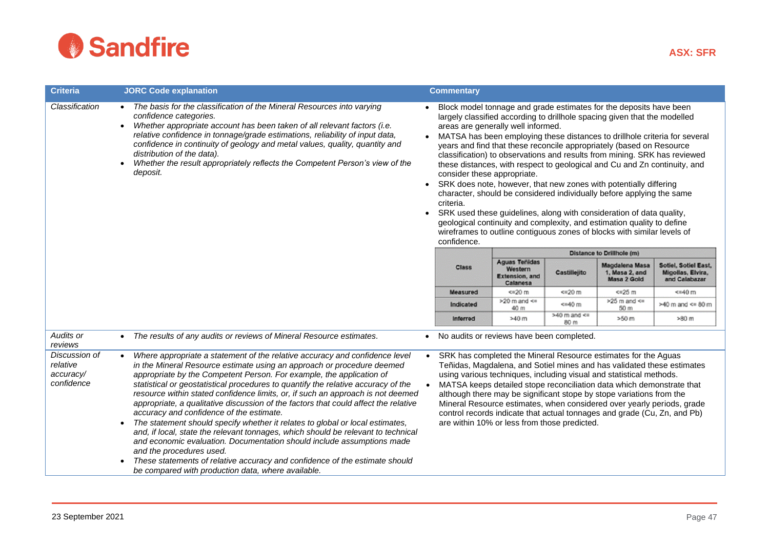

| <b>Criteria</b>                                      | <b>JORC Code explanation</b>                                                                                                                                                                                                                                                                                                                                                                                                                                                                                                                                                                                                                                                                                                                                                                                                                                                                                                                                           |                        | <b>Commentary</b>                                                                                                                                                                                                                                                                                                                                                                                                                                                                                                                                                                                                                                                                                                                                                                                                                                                                                                                           |                                                                      |                         |                                                                                                                                                                                                                                                                                                                                                                                                                                                                                                                        |                                                            |  |
|------------------------------------------------------|------------------------------------------------------------------------------------------------------------------------------------------------------------------------------------------------------------------------------------------------------------------------------------------------------------------------------------------------------------------------------------------------------------------------------------------------------------------------------------------------------------------------------------------------------------------------------------------------------------------------------------------------------------------------------------------------------------------------------------------------------------------------------------------------------------------------------------------------------------------------------------------------------------------------------------------------------------------------|------------------------|---------------------------------------------------------------------------------------------------------------------------------------------------------------------------------------------------------------------------------------------------------------------------------------------------------------------------------------------------------------------------------------------------------------------------------------------------------------------------------------------------------------------------------------------------------------------------------------------------------------------------------------------------------------------------------------------------------------------------------------------------------------------------------------------------------------------------------------------------------------------------------------------------------------------------------------------|----------------------------------------------------------------------|-------------------------|------------------------------------------------------------------------------------------------------------------------------------------------------------------------------------------------------------------------------------------------------------------------------------------------------------------------------------------------------------------------------------------------------------------------------------------------------------------------------------------------------------------------|------------------------------------------------------------|--|
| Classification                                       | The basis for the classification of the Mineral Resources into varying<br>$\bullet$<br>confidence categories.<br>Whether appropriate account has been taken of all relevant factors (i.e.<br>$\bullet$<br>relative confidence in tonnage/grade estimations, reliability of input data,<br>confidence in continuity of geology and metal values, quality, quantity and<br>distribution of the data).<br>Whether the result appropriately reflects the Competent Person's view of the<br>deposit.                                                                                                                                                                                                                                                                                                                                                                                                                                                                        | $\bullet$<br>$\bullet$ | Block model tonnage and grade estimates for the deposits have been<br>largely classified according to drillhole spacing given that the modelled<br>areas are generally well informed.<br>MATSA has been employing these distances to drillhole criteria for several<br>years and find that these reconcile appropriately (based on Resource<br>classification) to observations and results from mining. SRK has reviewed<br>these distances, with respect to geological and Cu and Zn continuity, and<br>consider these appropriate.<br>SRK does note, however, that new zones with potentially differing<br>character, should be considered individually before applying the same<br>criteria.<br>SRK used these guidelines, along with consideration of data quality,<br>geological continuity and complexity, and estimation quality to define<br>wireframes to outline contiguous zones of blocks with similar levels of<br>confidence. |                                                                      |                         |                                                                                                                                                                                                                                                                                                                                                                                                                                                                                                                        |                                                            |  |
|                                                      |                                                                                                                                                                                                                                                                                                                                                                                                                                                                                                                                                                                                                                                                                                                                                                                                                                                                                                                                                                        |                        |                                                                                                                                                                                                                                                                                                                                                                                                                                                                                                                                                                                                                                                                                                                                                                                                                                                                                                                                             |                                                                      |                         | Distance to Drillhole (m)                                                                                                                                                                                                                                                                                                                                                                                                                                                                                              |                                                            |  |
|                                                      |                                                                                                                                                                                                                                                                                                                                                                                                                                                                                                                                                                                                                                                                                                                                                                                                                                                                                                                                                                        |                        | <b>Class</b>                                                                                                                                                                                                                                                                                                                                                                                                                                                                                                                                                                                                                                                                                                                                                                                                                                                                                                                                | <b>Aguas Teñidas</b><br>Western<br><b>Extension, and</b><br>Calanesa | Castillejito            | Magdalena Masa<br>1, Masa 2, and<br>Masa 2 Gold                                                                                                                                                                                                                                                                                                                                                                                                                                                                        | Sotiel, Sotiel East,<br>Migolias, Elvira,<br>and Calabazar |  |
|                                                      |                                                                                                                                                                                                                                                                                                                                                                                                                                                                                                                                                                                                                                                                                                                                                                                                                                                                                                                                                                        |                        | <b>Measured</b>                                                                                                                                                                                                                                                                                                                                                                                                                                                                                                                                                                                                                                                                                                                                                                                                                                                                                                                             | <= 20 m                                                              | <= 20 m                 | $<$ =25 $m$                                                                                                                                                                                                                                                                                                                                                                                                                                                                                                            | $\leq$ =40 m                                               |  |
|                                                      |                                                                                                                                                                                                                                                                                                                                                                                                                                                                                                                                                                                                                                                                                                                                                                                                                                                                                                                                                                        |                        | Indicated                                                                                                                                                                                                                                                                                                                                                                                                                                                                                                                                                                                                                                                                                                                                                                                                                                                                                                                                   | $>20$ m and $<$<br>40 m                                              | <=40 m                  | >25 m and $\ltimes$<br>50 m                                                                                                                                                                                                                                                                                                                                                                                                                                                                                            | $>40$ m and $\leq$ 80 m                                    |  |
|                                                      |                                                                                                                                                                                                                                                                                                                                                                                                                                                                                                                                                                                                                                                                                                                                                                                                                                                                                                                                                                        |                        | Inferred                                                                                                                                                                                                                                                                                                                                                                                                                                                                                                                                                                                                                                                                                                                                                                                                                                                                                                                                    | >40 <sub>m</sub>                                                     | $>40$ m and $<$<br>80 m | >50 m                                                                                                                                                                                                                                                                                                                                                                                                                                                                                                                  | >80 m                                                      |  |
| Audits or<br>reviews                                 | The results of any audits or reviews of Mineral Resource estimates.                                                                                                                                                                                                                                                                                                                                                                                                                                                                                                                                                                                                                                                                                                                                                                                                                                                                                                    |                        |                                                                                                                                                                                                                                                                                                                                                                                                                                                                                                                                                                                                                                                                                                                                                                                                                                                                                                                                             | No audits or reviews have been completed.                            |                         |                                                                                                                                                                                                                                                                                                                                                                                                                                                                                                                        |                                                            |  |
| Discussion of<br>relative<br>accuracy/<br>confidence | Where appropriate a statement of the relative accuracy and confidence level<br>in the Mineral Resource estimate using an approach or procedure deemed<br>appropriate by the Competent Person. For example, the application of<br>statistical or geostatistical procedures to quantify the relative accuracy of the<br>resource within stated confidence limits, or, if such an approach is not deemed<br>appropriate, a qualitative discussion of the factors that could affect the relative<br>accuracy and confidence of the estimate.<br>The statement should specify whether it relates to global or local estimates,<br>$\bullet$<br>and, if local, state the relevant tonnages, which should be relevant to technical<br>and economic evaluation. Documentation should include assumptions made<br>and the procedures used.<br>These statements of relative accuracy and confidence of the estimate should<br>be compared with production data, where available. | $\bullet$<br>$\bullet$ |                                                                                                                                                                                                                                                                                                                                                                                                                                                                                                                                                                                                                                                                                                                                                                                                                                                                                                                                             | are within 10% or less from those predicted.                         |                         | SRK has completed the Mineral Resource estimates for the Aguas<br>Teñidas, Magdalena, and Sotiel mines and has validated these estimates<br>using various techniques, including visual and statistical methods.<br>MATSA keeps detailed stope reconciliation data which demonstrate that<br>although there may be significant stope by stope variations from the<br>Mineral Resource estimates, when considered over yearly periods, grade<br>control records indicate that actual tonnages and grade (Cu, Zn, and Pb) |                                                            |  |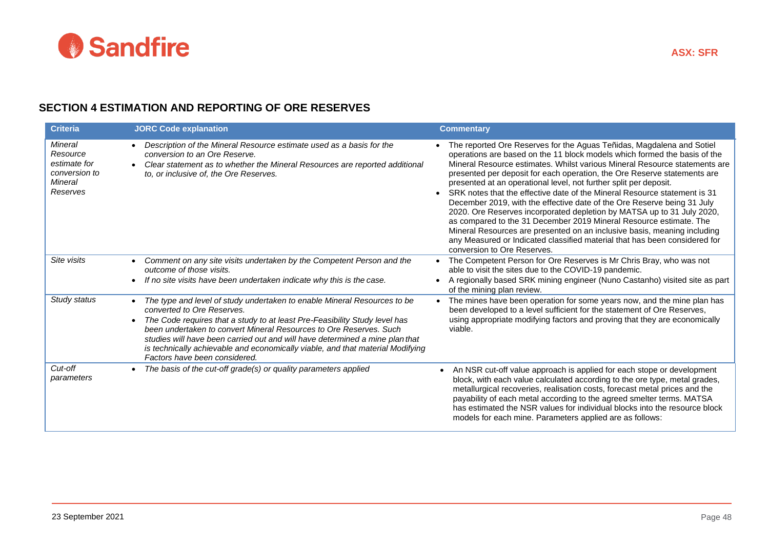

## **SECTION 4 ESTIMATION AND REPORTING OF ORE RESERVES**

| <b>Criteria</b>                                                                    | <b>JORC Code explanation</b>                                                                                                                                                                                                                                                                                                                                                                                                                                  | <b>Commentary</b>                                                                                                                                                                                                                                                                                                                                                                                                                                                                                                                                                                                                                                                                                                                                                                                                                                                                               |
|------------------------------------------------------------------------------------|---------------------------------------------------------------------------------------------------------------------------------------------------------------------------------------------------------------------------------------------------------------------------------------------------------------------------------------------------------------------------------------------------------------------------------------------------------------|-------------------------------------------------------------------------------------------------------------------------------------------------------------------------------------------------------------------------------------------------------------------------------------------------------------------------------------------------------------------------------------------------------------------------------------------------------------------------------------------------------------------------------------------------------------------------------------------------------------------------------------------------------------------------------------------------------------------------------------------------------------------------------------------------------------------------------------------------------------------------------------------------|
| Mineral<br>Resource<br>estimate for<br>conversion to<br><b>Mineral</b><br>Reserves | Description of the Mineral Resource estimate used as a basis for the<br>conversion to an Ore Reserve.<br>Clear statement as to whether the Mineral Resources are reported additional<br>to, or inclusive of, the Ore Reserves.                                                                                                                                                                                                                                | The reported Ore Reserves for the Aguas Teñidas, Magdalena and Sotiel<br>operations are based on the 11 block models which formed the basis of the<br>Mineral Resource estimates. Whilst various Mineral Resource statements are<br>presented per deposit for each operation, the Ore Reserve statements are<br>presented at an operational level, not further split per deposit.<br>SRK notes that the effective date of the Mineral Resource statement is 31<br>$\bullet$<br>December 2019, with the effective date of the Ore Reserve being 31 July<br>2020. Ore Reserves incorporated depletion by MATSA up to 31 July 2020,<br>as compared to the 31 December 2019 Mineral Resource estimate. The<br>Mineral Resources are presented on an inclusive basis, meaning including<br>any Measured or Indicated classified material that has been considered for<br>conversion to Ore Reserves. |
| Site visits                                                                        | Comment on any site visits undertaken by the Competent Person and the<br>outcome of those visits.<br>If no site visits have been undertaken indicate why this is the case.                                                                                                                                                                                                                                                                                    | The Competent Person for Ore Reserves is Mr Chris Bray, who was not<br>$\bullet$<br>able to visit the sites due to the COVID-19 pandemic.<br>A regionally based SRK mining engineer (Nuno Castanho) visited site as part<br>$\bullet$<br>of the mining plan review.                                                                                                                                                                                                                                                                                                                                                                                                                                                                                                                                                                                                                             |
| Study status                                                                       | The type and level of study undertaken to enable Mineral Resources to be<br>converted to Ore Reserves.<br>The Code requires that a study to at least Pre-Feasibility Study level has<br>been undertaken to convert Mineral Resources to Ore Reserves. Such<br>studies will have been carried out and will have determined a mine plan that<br>is technically achievable and economically viable, and that material Modifying<br>Factors have been considered. | The mines have been operation for some years now, and the mine plan has<br>been developed to a level sufficient for the statement of Ore Reserves,<br>using appropriate modifying factors and proving that they are economically<br>viable.                                                                                                                                                                                                                                                                                                                                                                                                                                                                                                                                                                                                                                                     |
| Cut-off<br>parameters                                                              | The basis of the cut-off grade(s) or quality parameters applied                                                                                                                                                                                                                                                                                                                                                                                               | An NSR cut-off value approach is applied for each stope or development<br>$\bullet$<br>block, with each value calculated according to the ore type, metal grades,<br>metallurgical recoveries, realisation costs, forecast metal prices and the<br>payability of each metal according to the agreed smelter terms. MATSA<br>has estimated the NSR values for individual blocks into the resource block<br>models for each mine. Parameters applied are as follows:                                                                                                                                                                                                                                                                                                                                                                                                                              |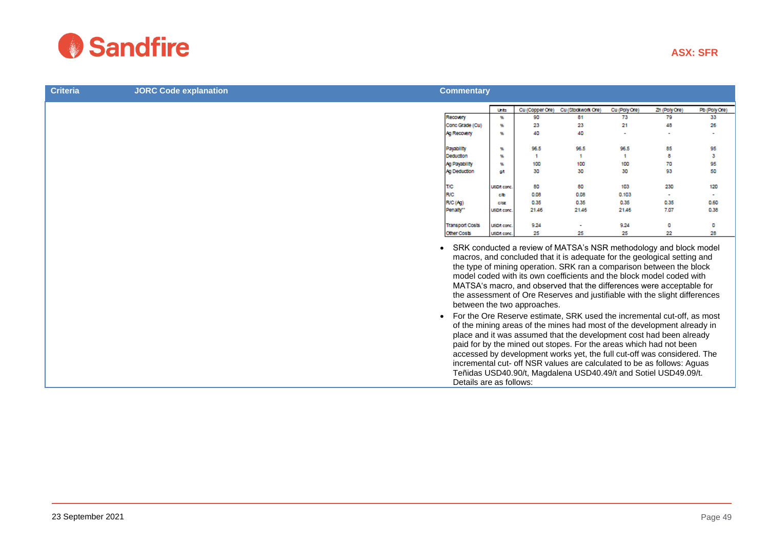

| <b>Criteria</b> | <b>JORC Code explanation</b> | <b>Commentary</b>       |                    |                             |                                                                                                                                                                                                                                                                                                                                                                                                                                                                                                                                                                                                                                                                                                                                                        |               |               |               |
|-----------------|------------------------------|-------------------------|--------------------|-----------------------------|--------------------------------------------------------------------------------------------------------------------------------------------------------------------------------------------------------------------------------------------------------------------------------------------------------------------------------------------------------------------------------------------------------------------------------------------------------------------------------------------------------------------------------------------------------------------------------------------------------------------------------------------------------------------------------------------------------------------------------------------------------|---------------|---------------|---------------|
|                 |                              |                         | Units              | Cu (Copper Ore)             | Cu (Stockwork Ore)                                                                                                                                                                                                                                                                                                                                                                                                                                                                                                                                                                                                                                                                                                                                     | Cu (Poly Ore) | Zn (Poly Ore) | Pb (Poly Ore) |
|                 |                              | Recovery                | 96                 | 90                          | 81                                                                                                                                                                                                                                                                                                                                                                                                                                                                                                                                                                                                                                                                                                                                                     | 73            | 79            | 33            |
|                 |                              | Conc Grade (Cu)         | 弘                  | 23                          | 23                                                                                                                                                                                                                                                                                                                                                                                                                                                                                                                                                                                                                                                                                                                                                     | 21            | 48            | 26            |
|                 |                              | Ag Recovery             | 弘                  | 40                          | 40                                                                                                                                                                                                                                                                                                                                                                                                                                                                                                                                                                                                                                                                                                                                                     | ÷             |               |               |
|                 |                              | Payability              | 张                  | 96.5                        | 96.5                                                                                                                                                                                                                                                                                                                                                                                                                                                                                                                                                                                                                                                                                                                                                   | 96.5          | 85            | 95            |
|                 |                              | Deduction               | 弘                  | 1                           | $\mathbf{f}$                                                                                                                                                                                                                                                                                                                                                                                                                                                                                                                                                                                                                                                                                                                                           | $\mathbf{1}$  | я             | з             |
|                 |                              | Ag Payability           | 蜢                  | 100                         | 100                                                                                                                                                                                                                                                                                                                                                                                                                                                                                                                                                                                                                                                                                                                                                    | 100           | 70            | 95            |
|                 |                              | Ag Deduction            | ot                 | 30                          | 30                                                                                                                                                                                                                                                                                                                                                                                                                                                                                                                                                                                                                                                                                                                                                     | 30            | 93            | 50            |
|                 |                              | T/C                     | <b>USD/t conc.</b> | 80                          | 80                                                                                                                                                                                                                                                                                                                                                                                                                                                                                                                                                                                                                                                                                                                                                     | 103           | 230           | 120           |
|                 |                              | <b>R/C</b>              | c/b                | 0.08                        | 0.08                                                                                                                                                                                                                                                                                                                                                                                                                                                                                                                                                                                                                                                                                                                                                   | 0.103         | $\sim$        |               |
|                 |                              | R/C(Aq)                 | claz               | 0.35                        | 0.35                                                                                                                                                                                                                                                                                                                                                                                                                                                                                                                                                                                                                                                                                                                                                   | 0.35          | 0.35          | 0.60          |
|                 |                              | Penalty"                | USDA conc.         | 21.46                       | 21.46                                                                                                                                                                                                                                                                                                                                                                                                                                                                                                                                                                                                                                                                                                                                                  | 21.46         | 7.07          | 0.38          |
|                 |                              | <b>Transport Costs</b>  | USD/t conc.        | 9.24                        |                                                                                                                                                                                                                                                                                                                                                                                                                                                                                                                                                                                                                                                                                                                                                        | 9.24          | o             | o             |
|                 |                              | Other Costs             | USD/t conc.        | 25                          | 25                                                                                                                                                                                                                                                                                                                                                                                                                                                                                                                                                                                                                                                                                                                                                     | 25            | 22            | 28            |
|                 |                              | $\bullet$               |                    | between the two approaches. | SRK conducted a review of MATSA's NSR methodology and block model<br>macros, and concluded that it is adequate for the geological setting and<br>the type of mining operation. SRK ran a comparison between the block<br>model coded with its own coefficients and the block model coded with<br>MATSA's macro, and observed that the differences were acceptable for<br>the assessment of Ore Reserves and justifiable with the slight differences<br>For the Ore Reserve estimate, SRK used the incremental cut-off, as most<br>of the mining areas of the mines had most of the development already in<br>place and it was assumed that the development cost had been already<br>paid for by the mined out stopes. For the areas which had not been |               |               |               |
|                 |                              | Details are as follows: |                    |                             | accessed by development works yet, the full cut-off was considered. The<br>incremental cut- off NSR values are calculated to be as follows: Aguas<br>Teñidas USD40.90/t, Magdalena USD40.49/t and Sotiel USD49.09/t.                                                                                                                                                                                                                                                                                                                                                                                                                                                                                                                                   |               |               |               |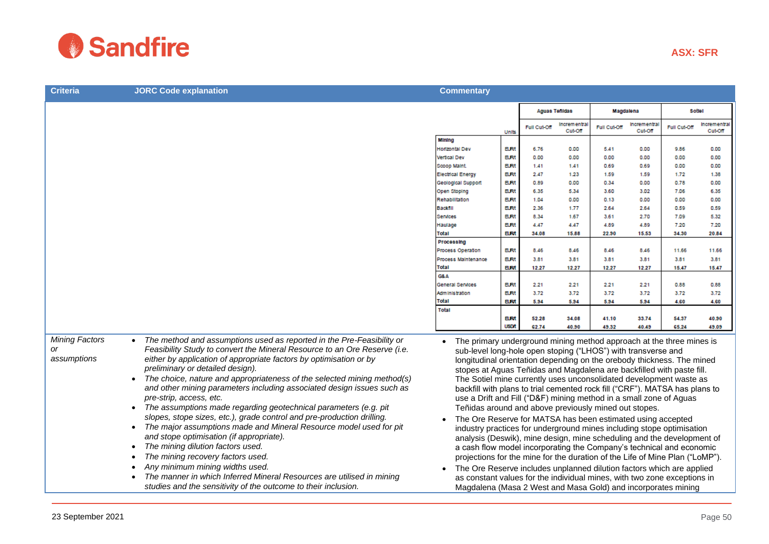

| <b>Criteria</b>                            | <b>JORC Code explanation</b>                                                                                                                                                                                                                                                                                                                                                                                                                                                                                                                                                                                                                                                                                                                                                                                                                                                                                                                                                                                             | <b>Commentary</b>                                                                                                                                                                                                                                                                                                                                                                                                                                                                                                                                                                                                                                                                                                                                                                                                                                                                                                                                                                                                                                                                                                                                                            |                                         |                       |                        |                       |                        |                       |                        |
|--------------------------------------------|--------------------------------------------------------------------------------------------------------------------------------------------------------------------------------------------------------------------------------------------------------------------------------------------------------------------------------------------------------------------------------------------------------------------------------------------------------------------------------------------------------------------------------------------------------------------------------------------------------------------------------------------------------------------------------------------------------------------------------------------------------------------------------------------------------------------------------------------------------------------------------------------------------------------------------------------------------------------------------------------------------------------------|------------------------------------------------------------------------------------------------------------------------------------------------------------------------------------------------------------------------------------------------------------------------------------------------------------------------------------------------------------------------------------------------------------------------------------------------------------------------------------------------------------------------------------------------------------------------------------------------------------------------------------------------------------------------------------------------------------------------------------------------------------------------------------------------------------------------------------------------------------------------------------------------------------------------------------------------------------------------------------------------------------------------------------------------------------------------------------------------------------------------------------------------------------------------------|-----------------------------------------|-----------------------|------------------------|-----------------------|------------------------|-----------------------|------------------------|
|                                            |                                                                                                                                                                                                                                                                                                                                                                                                                                                                                                                                                                                                                                                                                                                                                                                                                                                                                                                                                                                                                          |                                                                                                                                                                                                                                                                                                                                                                                                                                                                                                                                                                                                                                                                                                                                                                                                                                                                                                                                                                                                                                                                                                                                                                              |                                         | <b>Aguas Tenidas</b>  |                        | Magdalena             |                        | Sotiel                |                        |
|                                            |                                                                                                                                                                                                                                                                                                                                                                                                                                                                                                                                                                                                                                                                                                                                                                                                                                                                                                                                                                                                                          |                                                                                                                                                                                                                                                                                                                                                                                                                                                                                                                                                                                                                                                                                                                                                                                                                                                                                                                                                                                                                                                                                                                                                                              | Units                                   | <b>Full Cut-Off</b>   | Incrementra<br>Cut Off | Full Cut Off          | Incrementra<br>Cut-Off | Full Cut-Off          | Incrementra<br>Cut-Off |
|                                            |                                                                                                                                                                                                                                                                                                                                                                                                                                                                                                                                                                                                                                                                                                                                                                                                                                                                                                                                                                                                                          | Mining<br><b>Iorizontal Dev</b>                                                                                                                                                                                                                                                                                                                                                                                                                                                                                                                                                                                                                                                                                                                                                                                                                                                                                                                                                                                                                                                                                                                                              | <b>BUM</b>                              | 6.76                  | 0.00                   | 5.41                  | 0.00                   | 9.86                  | 0.00                   |
|                                            |                                                                                                                                                                                                                                                                                                                                                                                                                                                                                                                                                                                                                                                                                                                                                                                                                                                                                                                                                                                                                          | Vertical Dev<br>Scoop Maint.<br><b>Electrical Energy</b>                                                                                                                                                                                                                                                                                                                                                                                                                                                                                                                                                                                                                                                                                                                                                                                                                                                                                                                                                                                                                                                                                                                     | <b>BUR</b><br><b>BUM</b><br><b>BUR</b>  | 0.00<br>1.41<br>2.47  | 0.00<br>1.41<br>1.23   | 0.00<br>0.69<br>1.59  | 0.00<br>0.69<br>1.59   | 0.00<br>0.00<br>1.72  | 0.00<br>0.00<br>1.38   |
|                                            |                                                                                                                                                                                                                                                                                                                                                                                                                                                                                                                                                                                                                                                                                                                                                                                                                                                                                                                                                                                                                          | Geological Support<br>Open Stoping                                                                                                                                                                                                                                                                                                                                                                                                                                                                                                                                                                                                                                                                                                                                                                                                                                                                                                                                                                                                                                                                                                                                           | <b>BUR</b><br><b>BUM</b>                | 0.89<br>6.35          | 0.00<br>5.34           | 0.34<br>3.60          | 0.00<br>3.02           | 0.78<br>7.06          | 0.00<br>6.35           |
|                                            |                                                                                                                                                                                                                                                                                                                                                                                                                                                                                                                                                                                                                                                                                                                                                                                                                                                                                                                                                                                                                          | Rehabilitation<br><b>Backfill</b>                                                                                                                                                                                                                                                                                                                                                                                                                                                                                                                                                                                                                                                                                                                                                                                                                                                                                                                                                                                                                                                                                                                                            | <b>BURK</b><br><b>BUM</b>               | 1.04<br>2.36          | 0.00<br>1.77           | 0.13<br>2.64          | 0.00<br>2.64           | 0.00<br>0.59          | 0.00<br>0.59           |
|                                            |                                                                                                                                                                                                                                                                                                                                                                                                                                                                                                                                                                                                                                                                                                                                                                                                                                                                                                                                                                                                                          | Services<br>laulage<br>Total                                                                                                                                                                                                                                                                                                                                                                                                                                                                                                                                                                                                                                                                                                                                                                                                                                                                                                                                                                                                                                                                                                                                                 | <b>BURK</b><br><b>BUR</b><br><b>EUM</b> | 8.34<br>4.47<br>34.08 | 1.67<br>4.47<br>15,88  | 3.61<br>4.89<br>22.90 | 2.70<br>4.89<br>15.53  | 7.09<br>7.20<br>34.30 | 5.32<br>7.20<br>20.84  |
|                                            |                                                                                                                                                                                                                                                                                                                                                                                                                                                                                                                                                                                                                                                                                                                                                                                                                                                                                                                                                                                                                          | <b>Processing</b><br>Process Operation                                                                                                                                                                                                                                                                                                                                                                                                                                                                                                                                                                                                                                                                                                                                                                                                                                                                                                                                                                                                                                                                                                                                       | <b>BUR</b>                              | 8.46                  | 8.46                   | 8.46                  | 8.46                   | 11.66                 | 11.66                  |
|                                            |                                                                                                                                                                                                                                                                                                                                                                                                                                                                                                                                                                                                                                                                                                                                                                                                                                                                                                                                                                                                                          | Process Maintenance<br>Total<br>G&A                                                                                                                                                                                                                                                                                                                                                                                                                                                                                                                                                                                                                                                                                                                                                                                                                                                                                                                                                                                                                                                                                                                                          | <b>BURK</b><br><b>BUM</b>               | 3.81<br>12.27         | 3.81<br>12.27          | 3.81<br>12.27         | 3.81<br>12.27          | 3.81<br>15.47         | 3.81<br>15.47          |
|                                            |                                                                                                                                                                                                                                                                                                                                                                                                                                                                                                                                                                                                                                                                                                                                                                                                                                                                                                                                                                                                                          | General Services<br>Administration                                                                                                                                                                                                                                                                                                                                                                                                                                                                                                                                                                                                                                                                                                                                                                                                                                                                                                                                                                                                                                                                                                                                           | <b>BUR</b><br><b>BUR</b>                | 2.21<br>3.72          | 2.21<br>3.72           | 2.21<br>3.72          | 2.21<br>3.72           | 0.88<br>3.72          | 0.88<br>3.72           |
|                                            |                                                                                                                                                                                                                                                                                                                                                                                                                                                                                                                                                                                                                                                                                                                                                                                                                                                                                                                                                                                                                          | Total<br>Total                                                                                                                                                                                                                                                                                                                                                                                                                                                                                                                                                                                                                                                                                                                                                                                                                                                                                                                                                                                                                                                                                                                                                               | <b>BUM</b><br><b>BUM</b>                | 5.94<br>52.28         | 5.94<br>34.08          | 5.94<br>41.10         | 5.94<br>33.74          | 4.60<br>54.37         | 4.60<br>40.90          |
|                                            |                                                                                                                                                                                                                                                                                                                                                                                                                                                                                                                                                                                                                                                                                                                                                                                                                                                                                                                                                                                                                          |                                                                                                                                                                                                                                                                                                                                                                                                                                                                                                                                                                                                                                                                                                                                                                                                                                                                                                                                                                                                                                                                                                                                                                              | <b>USD/t</b>                            | 62.74                 | 40.90                  | 49.32                 | 40.49                  | 65.24                 | 49.09                  |
| <b>Mining Factors</b><br>or<br>assumptions | The method and assumptions used as reported in the Pre-Feasibility or<br>Feasibility Study to convert the Mineral Resource to an Ore Reserve (i.e.<br>either by application of appropriate factors by optimisation or by<br>preliminary or detailed design).<br>The choice, nature and appropriateness of the selected mining method(s)<br>$\bullet$<br>and other mining parameters including associated design issues such as<br>pre-strip, access, etc.<br>The assumptions made regarding geotechnical parameters (e.g. pit<br>slopes, stope sizes, etc.), grade control and pre-production drilling.<br>The major assumptions made and Mineral Resource model used for pit<br>and stope optimisation (if appropriate).<br>The mining dilution factors used.<br>$\bullet$<br>The mining recovery factors used.<br>Any minimum mining widths used.<br>$\bullet$<br>The manner in which Inferred Mineral Resources are utilised in mining<br>$\bullet$<br>studies and the sensitivity of the outcome to their inclusion. | The primary underground mining method approach at the three mines is<br>sub-level long-hole open stoping ("LHOS") with transverse and<br>longitudinal orientation depending on the orebody thickness. The mined<br>stopes at Aguas Teñidas and Magdalena are backfilled with paste fill.<br>The Sotiel mine currently uses unconsolidated development waste as<br>backfill with plans to trial cemented rock fill ("CRF"). MATSA has plans to<br>use a Drift and Fill ("D&F) mining method in a small zone of Aguas<br>Teñidas around and above previously mined out stopes.<br>The Ore Reserve for MATSA has been estimated using accepted<br>industry practices for underground mines including stope optimisation<br>analysis (Deswik), mine design, mine scheduling and the development of<br>a cash flow model incorporating the Company's technical and economic<br>projections for the mine for the duration of the Life of Mine Plan ("LoMP").<br>The Ore Reserve includes unplanned dilution factors which are applied<br>as constant values for the individual mines, with two zone exceptions in<br>Magdalena (Masa 2 West and Masa Gold) and incorporates mining |                                         |                       |                        |                       |                        |                       |                        |

**ASX: SFR**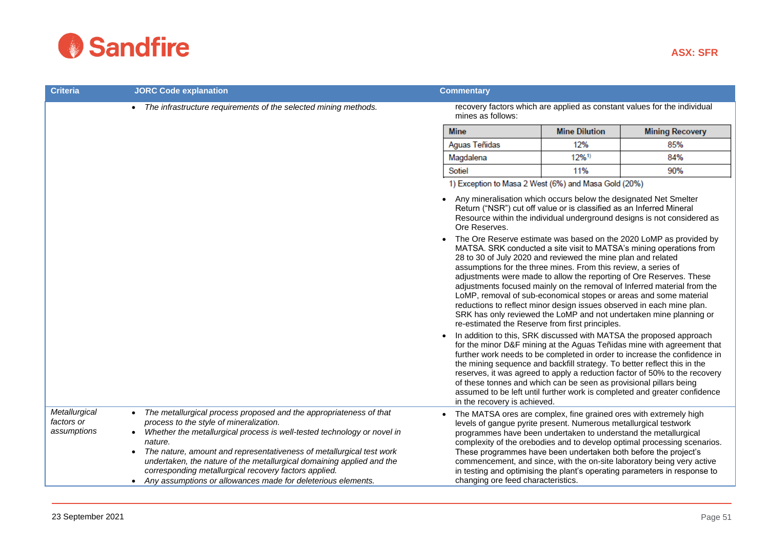

| <b>Criteria</b>                            | <b>JORC Code explanation</b>                                                                                                                                                                                                                                                                                                                                                                                                                                                                                                      | <b>Commentary</b>                                                                                                                                                                                                                                                                                                                                                                                                                                                                                            |                                                                          |                                                                                                                                                                                                                                                                                                                                                                                                                                                                                                                                                                                                                                                                                                                                                                                                                                                                                                                                                                                                                                                                 |  |  |
|--------------------------------------------|-----------------------------------------------------------------------------------------------------------------------------------------------------------------------------------------------------------------------------------------------------------------------------------------------------------------------------------------------------------------------------------------------------------------------------------------------------------------------------------------------------------------------------------|--------------------------------------------------------------------------------------------------------------------------------------------------------------------------------------------------------------------------------------------------------------------------------------------------------------------------------------------------------------------------------------------------------------------------------------------------------------------------------------------------------------|--------------------------------------------------------------------------|-----------------------------------------------------------------------------------------------------------------------------------------------------------------------------------------------------------------------------------------------------------------------------------------------------------------------------------------------------------------------------------------------------------------------------------------------------------------------------------------------------------------------------------------------------------------------------------------------------------------------------------------------------------------------------------------------------------------------------------------------------------------------------------------------------------------------------------------------------------------------------------------------------------------------------------------------------------------------------------------------------------------------------------------------------------------|--|--|
|                                            | The infrastructure requirements of the selected mining methods.<br>$\bullet$                                                                                                                                                                                                                                                                                                                                                                                                                                                      | mines as follows:                                                                                                                                                                                                                                                                                                                                                                                                                                                                                            | recovery factors which are applied as constant values for the individual |                                                                                                                                                                                                                                                                                                                                                                                                                                                                                                                                                                                                                                                                                                                                                                                                                                                                                                                                                                                                                                                                 |  |  |
|                                            |                                                                                                                                                                                                                                                                                                                                                                                                                                                                                                                                   | <b>Mine</b><br><b>Mine Dilution</b>                                                                                                                                                                                                                                                                                                                                                                                                                                                                          |                                                                          | <b>Mining Recovery</b>                                                                                                                                                                                                                                                                                                                                                                                                                                                                                                                                                                                                                                                                                                                                                                                                                                                                                                                                                                                                                                          |  |  |
|                                            |                                                                                                                                                                                                                                                                                                                                                                                                                                                                                                                                   | Aguas Teñidas                                                                                                                                                                                                                                                                                                                                                                                                                                                                                                | 12%                                                                      | 85%                                                                                                                                                                                                                                                                                                                                                                                                                                                                                                                                                                                                                                                                                                                                                                                                                                                                                                                                                                                                                                                             |  |  |
|                                            |                                                                                                                                                                                                                                                                                                                                                                                                                                                                                                                                   | Magdalena                                                                                                                                                                                                                                                                                                                                                                                                                                                                                                    | $12\%$ <sup>1)</sup>                                                     | 84%                                                                                                                                                                                                                                                                                                                                                                                                                                                                                                                                                                                                                                                                                                                                                                                                                                                                                                                                                                                                                                                             |  |  |
|                                            |                                                                                                                                                                                                                                                                                                                                                                                                                                                                                                                                   | Sotiel                                                                                                                                                                                                                                                                                                                                                                                                                                                                                                       | 11%                                                                      | 90%                                                                                                                                                                                                                                                                                                                                                                                                                                                                                                                                                                                                                                                                                                                                                                                                                                                                                                                                                                                                                                                             |  |  |
|                                            |                                                                                                                                                                                                                                                                                                                                                                                                                                                                                                                                   | 1) Exception to Masa 2 West (6%) and Masa Gold (20%)<br>Any mineralisation which occurs below the designated Net Smelter<br>Return ("NSR") cut off value or is classified as an Inferred Mineral<br>Ore Reserves.<br>28 to 30 of July 2020 and reviewed the mine plan and related<br>assumptions for the three mines. From this review, a series of<br>re-estimated the Reserve from first principles.<br>of these tonnes and which can be seen as provisional pillars being<br>in the recovery is achieved. |                                                                          | Resource within the individual underground designs is not considered as<br>The Ore Reserve estimate was based on the 2020 LoMP as provided by<br>MATSA. SRK conducted a site visit to MATSA's mining operations from<br>adjustments were made to allow the reporting of Ore Reserves. These<br>adjustments focused mainly on the removal of Inferred material from the<br>LoMP, removal of sub-economical stopes or areas and some material<br>reductions to reflect minor design issues observed in each mine plan.<br>SRK has only reviewed the LoMP and not undertaken mine planning or<br>In addition to this, SRK discussed with MATSA the proposed approach<br>for the minor D&F mining at the Aguas Teñidas mine with agreement that<br>further work needs to be completed in order to increase the confidence in<br>the mining sequence and backfill strategy. To better reflect this in the<br>reserves, it was agreed to apply a reduction factor of 50% to the recovery<br>assumed to be left until further work is completed and greater confidence |  |  |
| Metallurgical<br>factors or<br>assumptions | The metallurgical process proposed and the appropriateness of that<br>$\bullet$<br>process to the style of mineralization.<br>Whether the metallurgical process is well-tested technology or novel in<br>$\bullet$<br>nature.<br>The nature, amount and representativeness of metallurgical test work<br>$\bullet$<br>undertaken, the nature of the metallurgical domaining applied and the<br>corresponding metallurgical recovery factors applied.<br>Any assumptions or allowances made for deleterious elements.<br>$\bullet$ | The MATSA ores are complex, fine grained ores with extremely high<br>levels of gangue pyrite present. Numerous metallurgical testwork<br>programmes have been undertaken to understand the metallurgical<br>These programmes have been undertaken both before the project's<br>changing ore feed characteristics.                                                                                                                                                                                            |                                                                          | complexity of the orebodies and to develop optimal processing scenarios.<br>commencement, and since, with the on-site laboratory being very active<br>in testing and optimising the plant's operating parameters in response to                                                                                                                                                                                                                                                                                                                                                                                                                                                                                                                                                                                                                                                                                                                                                                                                                                 |  |  |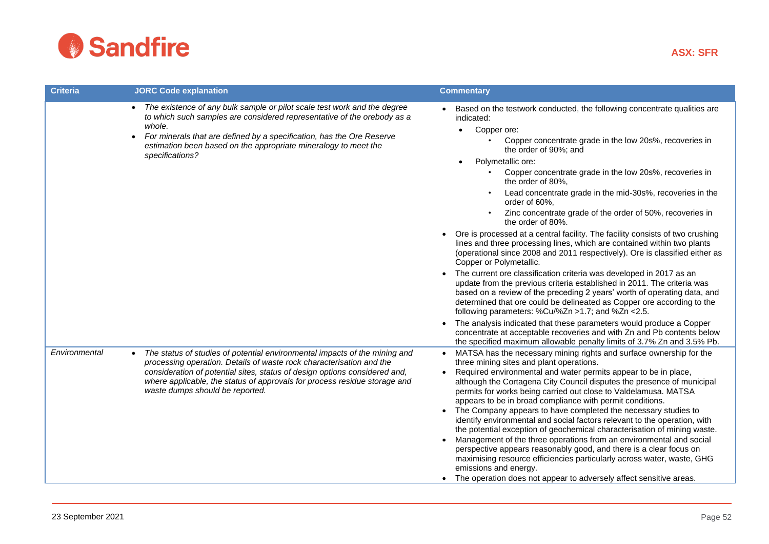

| <b>Criteria</b> | <b>JORC Code explanation</b>                                                                                                                                                                                                                                                                                                                           | <b>Commentary</b>                                                                                                                                                                                                                                                                                                                                                                                                                                                                                                                                                                                                                                                                                                                                                                                                                                                                                                                                                                                                                                                                                                                                                                                                                                                                                                                         |
|-----------------|--------------------------------------------------------------------------------------------------------------------------------------------------------------------------------------------------------------------------------------------------------------------------------------------------------------------------------------------------------|-------------------------------------------------------------------------------------------------------------------------------------------------------------------------------------------------------------------------------------------------------------------------------------------------------------------------------------------------------------------------------------------------------------------------------------------------------------------------------------------------------------------------------------------------------------------------------------------------------------------------------------------------------------------------------------------------------------------------------------------------------------------------------------------------------------------------------------------------------------------------------------------------------------------------------------------------------------------------------------------------------------------------------------------------------------------------------------------------------------------------------------------------------------------------------------------------------------------------------------------------------------------------------------------------------------------------------------------|
|                 | The existence of any bulk sample or pilot scale test work and the degree<br>$\bullet$<br>to which such samples are considered representative of the orebody as a<br>whole.<br>For minerals that are defined by a specification, has the Ore Reserve<br>$\bullet$<br>estimation been based on the appropriate mineralogy to meet the<br>specifications? | Based on the testwork conducted, the following concentrate qualities are<br>indicated:<br>Copper ore:<br>$\bullet$<br>Copper concentrate grade in the low 20s%, recoveries in<br>the order of 90%; and<br>Polymetallic ore:<br>Copper concentrate grade in the low 20s%, recoveries in<br>the order of 80%.<br>Lead concentrate grade in the mid-30s%, recoveries in the<br>order of 60%,<br>Zinc concentrate grade of the order of 50%, recoveries in<br>the order of 80%.<br>Ore is processed at a central facility. The facility consists of two crushing<br>lines and three processing lines, which are contained within two plants<br>(operational since 2008 and 2011 respectively). Ore is classified either as<br>Copper or Polymetallic.<br>The current ore classification criteria was developed in 2017 as an<br>update from the previous criteria established in 2011. The criteria was<br>based on a review of the preceding 2 years' worth of operating data, and<br>determined that ore could be delineated as Copper ore according to the<br>following parameters: %Cu/%Zn >1.7; and %Zn <2.5.<br>The analysis indicated that these parameters would produce a Copper<br>concentrate at acceptable recoveries and with Zn and Pb contents below<br>the specified maximum allowable penalty limits of 3.7% Zn and 3.5% Pb. |
| Environmental   | The status of studies of potential environmental impacts of the mining and<br>processing operation. Details of waste rock characterisation and the<br>consideration of potential sites, status of design options considered and,<br>where applicable, the status of approvals for process residue storage and<br>waste dumps should be reported.       | MATSA has the necessary mining rights and surface ownership for the<br>three mining sites and plant operations.<br>Required environmental and water permits appear to be in place,<br>although the Cortagena City Council disputes the presence of municipal<br>permits for works being carried out close to Valdelamusa. MATSA<br>appears to be in broad compliance with permit conditions.<br>The Company appears to have completed the necessary studies to<br>$\bullet$<br>identify environmental and social factors relevant to the operation, with<br>the potential exception of geochemical characterisation of mining waste.<br>Management of the three operations from an environmental and social<br>perspective appears reasonably good, and there is a clear focus on<br>maximising resource efficiencies particularly across water, waste, GHG<br>emissions and energy.<br>The operation does not appear to adversely affect sensitive areas.                                                                                                                                                                                                                                                                                                                                                                                |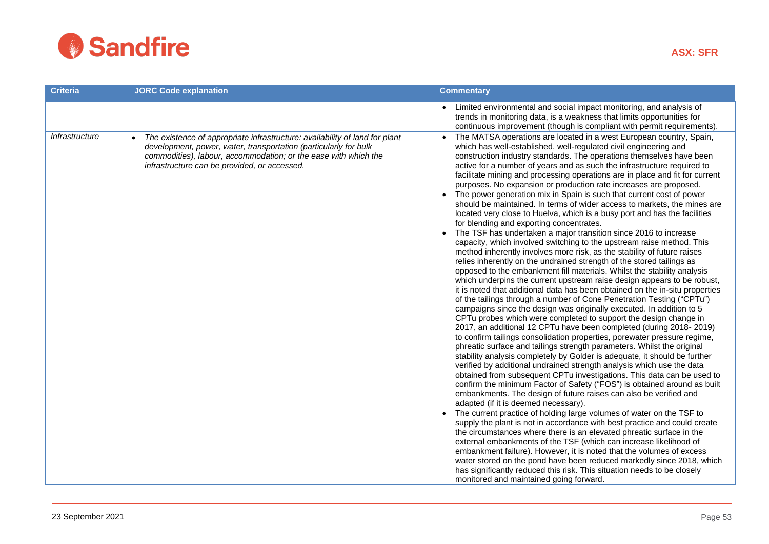

| <b>Criteria</b><br><b>JORC Code explanation</b>                                                                                                                                                                                                                                      | <b>Commentary</b>                                                                                                                                                                                                                                                                                                                                                                                                                                                                                                                                                                                                                                                                                                                                                                                                                                                                                                                                                                                                                                                                                                                                                                                                                                                                                                                                                                                                                                                                                                                                                                                                                                                                                                                                                                                                                                                                                                                                                                                                                                                                                                                                                                                                                                                                                                                                                                                                                                                                                                                                                                                                                                                                                                      |
|--------------------------------------------------------------------------------------------------------------------------------------------------------------------------------------------------------------------------------------------------------------------------------------|------------------------------------------------------------------------------------------------------------------------------------------------------------------------------------------------------------------------------------------------------------------------------------------------------------------------------------------------------------------------------------------------------------------------------------------------------------------------------------------------------------------------------------------------------------------------------------------------------------------------------------------------------------------------------------------------------------------------------------------------------------------------------------------------------------------------------------------------------------------------------------------------------------------------------------------------------------------------------------------------------------------------------------------------------------------------------------------------------------------------------------------------------------------------------------------------------------------------------------------------------------------------------------------------------------------------------------------------------------------------------------------------------------------------------------------------------------------------------------------------------------------------------------------------------------------------------------------------------------------------------------------------------------------------------------------------------------------------------------------------------------------------------------------------------------------------------------------------------------------------------------------------------------------------------------------------------------------------------------------------------------------------------------------------------------------------------------------------------------------------------------------------------------------------------------------------------------------------------------------------------------------------------------------------------------------------------------------------------------------------------------------------------------------------------------------------------------------------------------------------------------------------------------------------------------------------------------------------------------------------------------------------------------------------------------------------------------------------|
|                                                                                                                                                                                                                                                                                      | Limited environmental and social impact monitoring, and analysis of<br>trends in monitoring data, is a weakness that limits opportunities for<br>continuous improvement (though is compliant with permit requirements).                                                                                                                                                                                                                                                                                                                                                                                                                                                                                                                                                                                                                                                                                                                                                                                                                                                                                                                                                                                                                                                                                                                                                                                                                                                                                                                                                                                                                                                                                                                                                                                                                                                                                                                                                                                                                                                                                                                                                                                                                                                                                                                                                                                                                                                                                                                                                                                                                                                                                                |
| Infrastructure<br>The existence of appropriate infrastructure: availability of land for plant<br>development, power, water, transportation (particularly for bulk<br>commodities), labour, accommodation; or the ease with which the<br>infrastructure can be provided, or accessed. | The MATSA operations are located in a west European country, Spain,<br>which has well-established, well-regulated civil engineering and<br>construction industry standards. The operations themselves have been<br>active for a number of years and as such the infrastructure required to<br>facilitate mining and processing operations are in place and fit for current<br>purposes. No expansion or production rate increases are proposed.<br>The power generation mix in Spain is such that current cost of power<br>should be maintained. In terms of wider access to markets, the mines are<br>located very close to Huelva, which is a busy port and has the facilities<br>for blending and exporting concentrates.<br>The TSF has undertaken a major transition since 2016 to increase<br>capacity, which involved switching to the upstream raise method. This<br>method inherently involves more risk, as the stability of future raises<br>relies inherently on the undrained strength of the stored tailings as<br>opposed to the embankment fill materials. Whilst the stability analysis<br>which underpins the current upstream raise design appears to be robust,<br>it is noted that additional data has been obtained on the in-situ properties<br>of the tailings through a number of Cone Penetration Testing ("CPTu")<br>campaigns since the design was originally executed. In addition to 5<br>CPTu probes which were completed to support the design change in<br>2017, an additional 12 CPTu have been completed (during 2018-2019)<br>to confirm tailings consolidation properties, porewater pressure regime,<br>phreatic surface and tailings strength parameters. Whilst the original<br>stability analysis completely by Golder is adequate, it should be further<br>verified by additional undrained strength analysis which use the data<br>obtained from subsequent CPTu investigations. This data can be used to<br>confirm the minimum Factor of Safety ("FOS") is obtained around as built<br>embankments. The design of future raises can also be verified and<br>adapted (if it is deemed necessary).<br>The current practice of holding large volumes of water on the TSF to<br>supply the plant is not in accordance with best practice and could create<br>the circumstances where there is an elevated phreatic surface in the<br>external embankments of the TSF (which can increase likelihood of<br>embankment failure). However, it is noted that the volumes of excess<br>water stored on the pond have been reduced markedly since 2018, which<br>has significantly reduced this risk. This situation needs to be closely<br>monitored and maintained going forward. |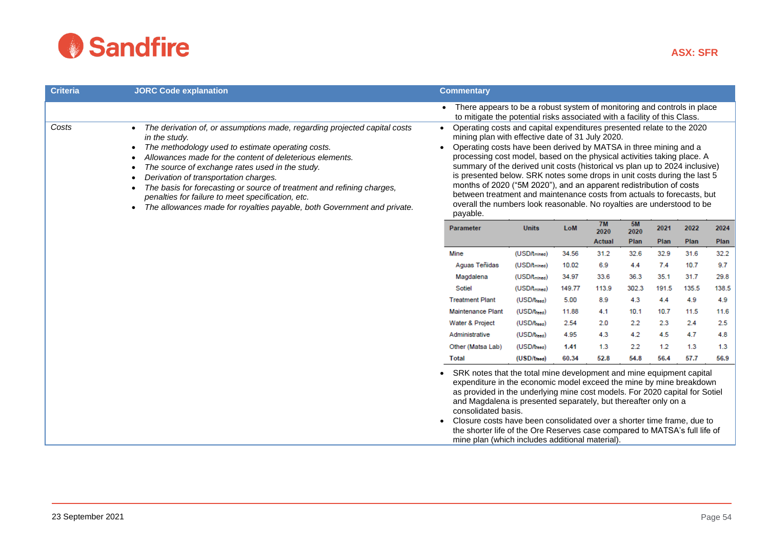

| <b>Criteria</b> | <b>JORC Code explanation</b>                                                                                                                                                                                                                                                                                                                                                                                                                                                                                                                | <b>Commentary</b>                                                                                                                                                                                                                                                                                                                                                                                                                                                                                                                                                                                                                                                                                    |                                           |                |               |                    |             |              |             |
|-----------------|---------------------------------------------------------------------------------------------------------------------------------------------------------------------------------------------------------------------------------------------------------------------------------------------------------------------------------------------------------------------------------------------------------------------------------------------------------------------------------------------------------------------------------------------|------------------------------------------------------------------------------------------------------------------------------------------------------------------------------------------------------------------------------------------------------------------------------------------------------------------------------------------------------------------------------------------------------------------------------------------------------------------------------------------------------------------------------------------------------------------------------------------------------------------------------------------------------------------------------------------------------|-------------------------------------------|----------------|---------------|--------------------|-------------|--------------|-------------|
|                 |                                                                                                                                                                                                                                                                                                                                                                                                                                                                                                                                             | • There appears to be a robust system of monitoring and controls in place<br>to mitigate the potential risks associated with a facility of this Class.                                                                                                                                                                                                                                                                                                                                                                                                                                                                                                                                               |                                           |                |               |                    |             |              |             |
| Costs           | The derivation of, or assumptions made, regarding projected capital costs<br>in the study.<br>The methodology used to estimate operating costs.<br>$\bullet$<br>Allowances made for the content of deleterious elements.<br>The source of exchange rates used in the study.<br>Derivation of transportation charges.<br>The basis for forecasting or source of treatment and refining charges,<br>penalties for failure to meet specification, etc.<br>The allowances made for royalties payable, both Government and private.<br>$\bullet$ | Operating costs and capital expenditures presented relate to the 2020<br>$\bullet$<br>mining plan with effective date of 31 July 2020.<br>Operating costs have been derived by MATSA in three mining and a<br>$\bullet$<br>processing cost model, based on the physical activities taking place. A<br>summary of the derived unit costs (historical vs plan up to 2024 inclusive)<br>is presented below. SRK notes some drops in unit costs during the last 5<br>months of 2020 ("5M 2020"), and an apparent redistribution of costs<br>between treatment and maintenance costs from actuals to forecasts, but<br>overall the numbers look reasonable. No royalties are understood to be<br>payable. |                                           |                |               |                    |             |              |             |
|                 |                                                                                                                                                                                                                                                                                                                                                                                                                                                                                                                                             | Parameter                                                                                                                                                                                                                                                                                                                                                                                                                                                                                                                                                                                                                                                                                            | <b>Units</b>                              | LoM            | 7M<br>2020    | 5M<br>2020<br>Plan | 2021        | 2022         | 2024        |
|                 |                                                                                                                                                                                                                                                                                                                                                                                                                                                                                                                                             | Mine                                                                                                                                                                                                                                                                                                                                                                                                                                                                                                                                                                                                                                                                                                 |                                           |                | <b>Actual</b> |                    | Plan        | Plan         | Plan        |
|                 |                                                                                                                                                                                                                                                                                                                                                                                                                                                                                                                                             |                                                                                                                                                                                                                                                                                                                                                                                                                                                                                                                                                                                                                                                                                                      | (USD/tmined)                              | 34.56          | 31.2<br>6.9   | 32.6               | 32.9<br>7.4 | 31.6<br>10.7 | 32.2<br>9.7 |
|                 |                                                                                                                                                                                                                                                                                                                                                                                                                                                                                                                                             | Aguas Teñidas<br>Magdalena                                                                                                                                                                                                                                                                                                                                                                                                                                                                                                                                                                                                                                                                           | (USD/tmined)<br>(USD/t <sub>mined</sub> ) | 10.02<br>34.97 | 33.6          | 4.4<br>36.3        | 35.1        | 31.7         | 29.8        |
|                 |                                                                                                                                                                                                                                                                                                                                                                                                                                                                                                                                             | Sotiel                                                                                                                                                                                                                                                                                                                                                                                                                                                                                                                                                                                                                                                                                               | (USD/t <sub>mined</sub> )                 | 149.77         | 113.9         | 302.3              | 191.5       | 135.5        | 138.5       |
|                 |                                                                                                                                                                                                                                                                                                                                                                                                                                                                                                                                             | <b>Treatment Plant</b>                                                                                                                                                                                                                                                                                                                                                                                                                                                                                                                                                                                                                                                                               | (USD/treed)                               | 5.00           | 8.9           | 4.3                | 4.4         | 4.9          | 4.9         |
|                 |                                                                                                                                                                                                                                                                                                                                                                                                                                                                                                                                             | <b>Maintenance Plant</b>                                                                                                                                                                                                                                                                                                                                                                                                                                                                                                                                                                                                                                                                             | (USD/treed)                               | 11.88          | 4.1           | 10.1               | 10.7        | 11.5         | 11.6        |
|                 |                                                                                                                                                                                                                                                                                                                                                                                                                                                                                                                                             | Water & Project                                                                                                                                                                                                                                                                                                                                                                                                                                                                                                                                                                                                                                                                                      | (USD/treed)                               | 2.54           | 2.0           | 2.2                | 2.3         | 2.4          | 2.5         |
|                 |                                                                                                                                                                                                                                                                                                                                                                                                                                                                                                                                             | Administrative                                                                                                                                                                                                                                                                                                                                                                                                                                                                                                                                                                                                                                                                                       | (USD/treed)                               | 4.95           | 4.3           | 4.2                | 4.5         | 4.7          | 4.8         |
|                 |                                                                                                                                                                                                                                                                                                                                                                                                                                                                                                                                             | Other (Matsa Lab)                                                                                                                                                                                                                                                                                                                                                                                                                                                                                                                                                                                                                                                                                    | (USD/treed)                               | 1.41           | 1.3           | 2.2                | 1.2         | 1.3          | 1.3         |
|                 |                                                                                                                                                                                                                                                                                                                                                                                                                                                                                                                                             | <b>Total</b>                                                                                                                                                                                                                                                                                                                                                                                                                                                                                                                                                                                                                                                                                         | (USD/treed)                               | 60.34          | 52.8          | 54.8               | 56.4        | 57.7         | 56.9        |
|                 |                                                                                                                                                                                                                                                                                                                                                                                                                                                                                                                                             | SRK notes that the total mine development and mine equipment capital<br>expenditure in the economic model exceed the mine by mine breakdown<br>as provided in the underlying mine cost models. For 2020 capital for Sotiel<br>and Magdalena is presented separately, but thereafter only on a<br>consolidated basis.<br>Closure costs have been consolidated over a shorter time frame, due to<br>the shorter life of the Ore Reserves case compared to MATSA's full life of<br>mine plan (which includes additional material).                                                                                                                                                                      |                                           |                |               |                    |             |              |             |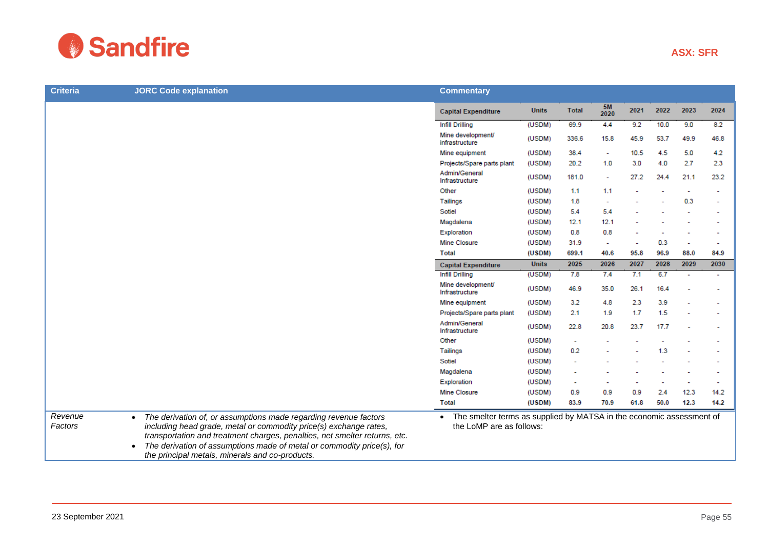

|                                 | <b>Commentary</b>                   |                   |              |                          |                          |                |                          |                          |
|---------------------------------|-------------------------------------|-------------------|--------------|--------------------------|--------------------------|----------------|--------------------------|--------------------------|
|                                 | <b>Capital Expenditure</b>          | <b>Units</b>      | <b>Total</b> | <b>5M</b><br>2020        | 2021                     | 2022           | 2023                     | 2024                     |
|                                 | <b>Infill Drilling</b>              | (USDM)            | 69.9         | 4.4                      | 9.2                      | 10.0           | 9.0                      | 8.2                      |
|                                 | Mine development/<br>infrastructure | (USDM)            | 336.6        | 15.8                     | 45.9                     | 53.7           | 49.9                     | 46.8                     |
|                                 | Mine equipment                      | (USDM)            | 38.4         | $\sim$                   | 10.5                     | 4.5            | 5.0                      | 4.2                      |
|                                 | Projects/Spare parts plant          | (USDM)            | 20.2         | 1.0                      | 3.0                      | 4.0            | 2.7                      | 2.3                      |
|                                 | Admin/General<br>Infrastructure     | (USDM)            | 181.0        | ٠                        | 27.2                     | 24.4           | 21.1                     | 23.2                     |
| Other                           |                                     | (USDM)            | 1.1          | 1.1                      | $\overline{\phantom{a}}$ | ٠              | $\overline{\phantom{a}}$ | $\overline{\phantom{a}}$ |
| Tailings                        |                                     | (USDM)            | 1.8          | $\overline{\phantom{a}}$ |                          | $\overline{a}$ | 0.3                      | $\overline{\phantom{a}}$ |
| Sotiel                          |                                     | (USDM)            | 5.4          | 5.4                      | $\overline{a}$           | $\blacksquare$ | $\overline{\phantom{a}}$ | $\overline{\phantom{a}}$ |
|                                 | Magdalena                           | (USDM)            | 12.1         | 12.1                     | ٠                        |                | $\overline{\phantom{a}}$ | $\overline{\phantom{a}}$ |
| Exploration                     |                                     | (USDM)            | 0.8          | 0.8                      | $\overline{\phantom{a}}$ |                | $\overline{\phantom{a}}$ | $\overline{\phantom{a}}$ |
| Mine Closure                    |                                     | (USDM)            | 31.9         | $\overline{\phantom{a}}$ |                          | 0.3            | $\overline{\phantom{a}}$ | $\overline{\phantom{a}}$ |
| <b>Total</b>                    |                                     | (USDM)            | 699.1        | 40.6                     | 95.8                     | 96.9           | 88.0                     | 84.9                     |
| the contract of the contract of |                                     | $1.1 - 2.4 - 1.0$ | <b>DOOP</b>  | 0.000                    | nony.                    | nono.          | none.                    | nnon.                    |

|                    |                                                                                                                                                                                                                                                                                                                                                               | Infill Drilling                                                                                               | (USDM)       | 69.9   | 4.4    | 9.2  | 10.0 | 9.0            | 8.2  |
|--------------------|---------------------------------------------------------------------------------------------------------------------------------------------------------------------------------------------------------------------------------------------------------------------------------------------------------------------------------------------------------------|---------------------------------------------------------------------------------------------------------------|--------------|--------|--------|------|------|----------------|------|
|                    |                                                                                                                                                                                                                                                                                                                                                               | Mine development/<br>infrastructure                                                                           | (USDM)       | 336.6  | 15.8   | 45.9 | 53.7 | 49.9           | 46.8 |
|                    |                                                                                                                                                                                                                                                                                                                                                               | Mine equipment                                                                                                | (USDM)       | 38.4   |        | 10.5 | 4.5  | 5.0            | 4.2  |
|                    |                                                                                                                                                                                                                                                                                                                                                               | Projects/Spare parts plant                                                                                    | (USDM)       | 20.2   | 1.0    | 3.0  | 4.0  | 2.7            | 2.3  |
|                    |                                                                                                                                                                                                                                                                                                                                                               | Admin/General<br>Infrastructure                                                                               | (USDM)       | 181.0  | $\sim$ | 27.2 | 24.4 | 21.1           | 23.2 |
|                    |                                                                                                                                                                                                                                                                                                                                                               | Other                                                                                                         | (USDM)       | 1.1    | 1.1    |      |      |                |      |
|                    |                                                                                                                                                                                                                                                                                                                                                               | Tailings                                                                                                      | (USDM)       | 1.8    |        |      |      | 0.3            |      |
|                    |                                                                                                                                                                                                                                                                                                                                                               | Sotiel                                                                                                        | (USDM)       | 5.4    | 5.4    |      |      |                |      |
|                    |                                                                                                                                                                                                                                                                                                                                                               | Magdalena                                                                                                     | (USDM)       | 12.1   | 12.1   |      |      |                |      |
|                    |                                                                                                                                                                                                                                                                                                                                                               | Exploration                                                                                                   | (USDM)       | 0.8    | 0.8    |      |      |                |      |
|                    |                                                                                                                                                                                                                                                                                                                                                               | Mine Closure                                                                                                  | (USDM)       | 31.9   |        |      | 0.3  | ۰              |      |
|                    |                                                                                                                                                                                                                                                                                                                                                               | <b>Total</b>                                                                                                  | (USDM)       | 699.1  | 40.6   | 95.8 | 96.9 | 88.0           | 84.9 |
|                    |                                                                                                                                                                                                                                                                                                                                                               | <b>Capital Expenditure</b>                                                                                    | <b>Units</b> | 2025   | 2026   | 2027 | 2028 | 2029           | 2030 |
|                    |                                                                                                                                                                                                                                                                                                                                                               | Infill Drilling                                                                                               | (USDM)       | 7.8    | 7.4    | 7.1  | 6.7  | $\overline{a}$ |      |
|                    |                                                                                                                                                                                                                                                                                                                                                               | Mine development/<br>Infrastructure                                                                           | (USDM)       | 46.9   | 35.0   | 26.1 | 16.4 |                |      |
|                    |                                                                                                                                                                                                                                                                                                                                                               | Mine equipment                                                                                                | (USDM)       | 3.2    | 4.8    | 2.3  | 3.9  |                |      |
|                    |                                                                                                                                                                                                                                                                                                                                                               | Projects/Spare parts plant                                                                                    | (USDM)       | 2.1    | 1.9    | 1.7  | 1.5  |                |      |
|                    |                                                                                                                                                                                                                                                                                                                                                               | Admin/General<br>Infrastructure                                                                               | (USDM)       | 22.8   | 20.8   | 23.7 | 17.7 |                |      |
|                    |                                                                                                                                                                                                                                                                                                                                                               | Other                                                                                                         | (USDM)       | $\sim$ |        |      |      |                |      |
|                    |                                                                                                                                                                                                                                                                                                                                                               | <b>Tailings</b>                                                                                               | (USDM)       | 0.2    |        |      | 1.3  |                |      |
|                    |                                                                                                                                                                                                                                                                                                                                                               | Sotiel                                                                                                        | (USDM)       |        |        |      |      |                |      |
|                    |                                                                                                                                                                                                                                                                                                                                                               | Magdalena                                                                                                     | (USDM)       |        |        |      |      |                |      |
|                    |                                                                                                                                                                                                                                                                                                                                                               | Exploration                                                                                                   | (USDM)       |        |        |      |      |                |      |
|                    |                                                                                                                                                                                                                                                                                                                                                               | Mine Closure                                                                                                  | (USDM)       | 0.9    | 0.9    | 0.9  | 2.4  | 12.3           | 14.2 |
|                    |                                                                                                                                                                                                                                                                                                                                                               | Total                                                                                                         | (USDM)       | 83.9   | 70.9   | 61.8 | 50.0 | 12.3           | 14.2 |
| Revenue<br>Factors | The derivation of, or assumptions made regarding revenue factors<br>$\bullet$<br>including head grade, metal or commodity price(s) exchange rates,<br>transportation and treatment charges, penalties, net smelter returns, etc.<br>The derivation of assumptions made of metal or commodity price(s), for<br>the principal metals, minerals and co-products. | The smelter terms as supplied by MATSA in the economic assessment of<br>$\bullet$<br>the LoMP are as follows: |              |        |        |      |      |                |      |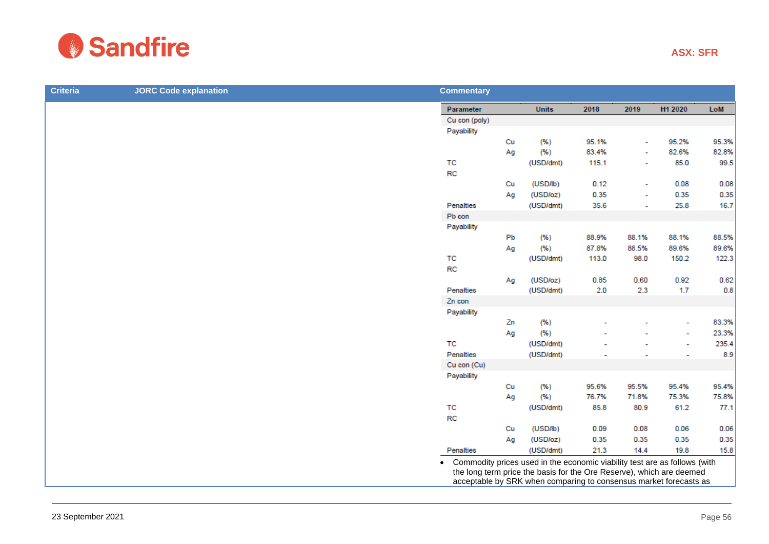

| <b>JORC Code explanation</b> | <b>Commentary</b> |    |                        |       |                          |         |       |
|------------------------------|-------------------|----|------------------------|-------|--------------------------|---------|-------|
|                              | Parameter         |    | <b>Units</b>           | 2018  | 2019                     | H1 2020 | LoM   |
|                              | Cu con (poly)     |    |                        |       |                          |         |       |
|                              | Payability        |    |                        |       |                          |         |       |
|                              |                   | Cu | (% )                   | 95.1% |                          | 95.2%   | 95.3% |
|                              |                   | Ag | (% )                   | 83.4% | $\overline{\phantom{0}}$ | 82.6%   | 82.8% |
|                              | TC                |    | (USD/dmt)              | 115.1 | $\overline{\phantom{a}}$ | 85.0    | 99.5  |
|                              | <b>RC</b>         |    |                        |       |                          |         |       |
|                              |                   | Cu | (USD <sub>1</sub>   b) | 0.12  | $\tilde{\phantom{a}}$    | 0.08    | 0.08  |
|                              |                   | Ag | (USD/oz)               | 0.35  | $\tilde{\phantom{a}}$    | 0.35    | 0.35  |
|                              | Penalties         |    | (USD/dmt)              | 35.6  | $\sim$                   | 25.8    | 16.7  |
|                              | Pb con            |    |                        |       |                          |         |       |
|                              | Payability        |    |                        |       |                          |         |       |
|                              |                   | Pb | (% )                   | 88.9% | 88.1%                    | 88.1%   | 88.5% |
|                              |                   | Ag | (% )                   | 87.8% | 88.5%                    | 89.6%   | 89.6% |
|                              | TC                |    | (USD/dmt)              | 113.0 | 98.0                     | 150.2   | 122.3 |
|                              | <b>RC</b>         |    |                        |       |                          |         |       |
|                              |                   | Ag | (USD/oz)               | 0.85  | 0.60                     | 0.92    | 0.62  |
|                              | Penalties         |    | (USD/dmt)              | 2.0   | 2.3                      | 1.7     | 0.8   |
|                              | Zn con            |    |                        |       |                          |         |       |
|                              | Payability        |    |                        |       |                          |         |       |
|                              |                   | Zn | (% )                   |       |                          | ٠       | 83.3% |
|                              |                   | Ag | (% )                   |       |                          |         | 23.3% |
|                              | TC                |    | (USD/dmt)              |       |                          |         | 235.4 |
|                              | Penalties         |    | (USD/dmt)              |       |                          |         | 8.9   |
|                              | Cu con (Cu)       |    |                        |       |                          |         |       |
|                              | Payability        |    |                        |       |                          |         |       |
|                              |                   | Cu | (% )                   | 95.6% | 95.5%                    | 95.4%   | 95.4% |
|                              |                   | Ag | (% )                   | 76.7% | 71.8%                    | 75.3%   | 75.8% |
|                              | TC                |    | (USD/dmt)              | 85.8  | 80.9                     | 61.2    | 77.1  |
|                              | <b>RC</b>         |    |                        |       |                          |         |       |
|                              |                   | Cu | (USD/lb)               | 0.09  | 0.08                     | 0.06    | 0.06  |
|                              |                   | Ag | (USD/oz)               | 0.35  | 0.35                     | 0.35    | 0.35  |
|                              | Penalties         |    | (USD/dmt)              | 21.3  | 14.4                     | 19.8    | 15.8  |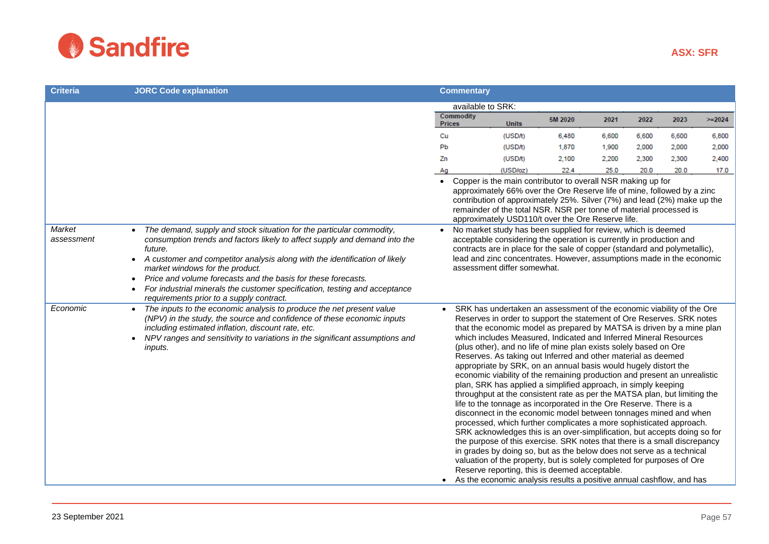

| <b>Criteria</b>      | <b>JORC Code explanation</b>                                                                                                                                                                                                                                                                                                                                                                                                                                                                                     |           | <b>Commentary</b>                 |                                                                                                                                                                                                                                                                                                                                                                                                                                                                                                                                                                                                                                                                                                                                                                                                                                                                                                                                                                                                                                                                                                                                                                                                                                                                                                                                                                                          |         |       |       |       |          |
|----------------------|------------------------------------------------------------------------------------------------------------------------------------------------------------------------------------------------------------------------------------------------------------------------------------------------------------------------------------------------------------------------------------------------------------------------------------------------------------------------------------------------------------------|-----------|-----------------------------------|------------------------------------------------------------------------------------------------------------------------------------------------------------------------------------------------------------------------------------------------------------------------------------------------------------------------------------------------------------------------------------------------------------------------------------------------------------------------------------------------------------------------------------------------------------------------------------------------------------------------------------------------------------------------------------------------------------------------------------------------------------------------------------------------------------------------------------------------------------------------------------------------------------------------------------------------------------------------------------------------------------------------------------------------------------------------------------------------------------------------------------------------------------------------------------------------------------------------------------------------------------------------------------------------------------------------------------------------------------------------------------------|---------|-------|-------|-------|----------|
|                      |                                                                                                                                                                                                                                                                                                                                                                                                                                                                                                                  |           |                                   | available to SRK:                                                                                                                                                                                                                                                                                                                                                                                                                                                                                                                                                                                                                                                                                                                                                                                                                                                                                                                                                                                                                                                                                                                                                                                                                                                                                                                                                                        |         |       |       |       |          |
|                      |                                                                                                                                                                                                                                                                                                                                                                                                                                                                                                                  |           | <b>Commodity</b><br><b>Prices</b> | <b>Units</b>                                                                                                                                                                                                                                                                                                                                                                                                                                                                                                                                                                                                                                                                                                                                                                                                                                                                                                                                                                                                                                                                                                                                                                                                                                                                                                                                                                             | 5M 2020 | 2021  | 2022  | 2023  | $>=2024$ |
|                      |                                                                                                                                                                                                                                                                                                                                                                                                                                                                                                                  | Cu        |                                   | (USD/t)                                                                                                                                                                                                                                                                                                                                                                                                                                                                                                                                                                                                                                                                                                                                                                                                                                                                                                                                                                                                                                                                                                                                                                                                                                                                                                                                                                                  | 6,480   | 6,600 | 6,600 | 6,600 | 6,800    |
|                      |                                                                                                                                                                                                                                                                                                                                                                                                                                                                                                                  | Pb        |                                   | (USD/t)                                                                                                                                                                                                                                                                                                                                                                                                                                                                                                                                                                                                                                                                                                                                                                                                                                                                                                                                                                                                                                                                                                                                                                                                                                                                                                                                                                                  | 1,870   | 1,900 | 2,000 | 2,000 | 2,000    |
|                      |                                                                                                                                                                                                                                                                                                                                                                                                                                                                                                                  | Zn        |                                   | (USD/t)                                                                                                                                                                                                                                                                                                                                                                                                                                                                                                                                                                                                                                                                                                                                                                                                                                                                                                                                                                                                                                                                                                                                                                                                                                                                                                                                                                                  | 2,100   | 2,200 | 2,300 | 2.300 | 2,400    |
|                      |                                                                                                                                                                                                                                                                                                                                                                                                                                                                                                                  | Ag        |                                   | (USD/oz)                                                                                                                                                                                                                                                                                                                                                                                                                                                                                                                                                                                                                                                                                                                                                                                                                                                                                                                                                                                                                                                                                                                                                                                                                                                                                                                                                                                 | 22.4    | 25.0  | 20.0  | 20.0  | 17.0     |
|                      |                                                                                                                                                                                                                                                                                                                                                                                                                                                                                                                  | $\bullet$ |                                   | Copper is the main contributor to overall NSR making up for<br>approximately 66% over the Ore Reserve life of mine, followed by a zinc<br>contribution of approximately 25%. Silver (7%) and lead (2%) make up the<br>remainder of the total NSR. NSR per tonne of material processed is<br>approximately USD110/t over the Ore Reserve life.                                                                                                                                                                                                                                                                                                                                                                                                                                                                                                                                                                                                                                                                                                                                                                                                                                                                                                                                                                                                                                            |         |       |       |       |          |
| Market<br>assessment | The demand, supply and stock situation for the particular commodity,<br>consumption trends and factors likely to affect supply and demand into the<br>future.<br>A customer and competitor analysis along with the identification of likely<br>$\bullet$<br>market windows for the product.<br>Price and volume forecasts and the basis for these forecasts.<br>$\bullet$<br>For industrial minerals the customer specification, testing and acceptance<br>$\bullet$<br>requirements prior to a supply contract. | $\bullet$ |                                   | No market study has been supplied for review, which is deemed<br>acceptable considering the operation is currently in production and<br>contracts are in place for the sale of copper (standard and polymetallic),<br>lead and zinc concentrates. However, assumptions made in the economic<br>assessment differ somewhat.                                                                                                                                                                                                                                                                                                                                                                                                                                                                                                                                                                                                                                                                                                                                                                                                                                                                                                                                                                                                                                                               |         |       |       |       |          |
| Economic             | The inputs to the economic analysis to produce the net present value<br>(NPV) in the study, the source and confidence of these economic inputs<br>including estimated inflation, discount rate, etc.<br>NPV ranges and sensitivity to variations in the significant assumptions and<br>$\bullet$<br><i>inputs.</i>                                                                                                                                                                                               |           |                                   | SRK has undertaken an assessment of the economic viability of the Ore<br>Reserves in order to support the statement of Ore Reserves. SRK notes<br>that the economic model as prepared by MATSA is driven by a mine plan<br>which includes Measured, Indicated and Inferred Mineral Resources<br>(plus other), and no life of mine plan exists solely based on Ore<br>Reserves. As taking out Inferred and other material as deemed<br>appropriate by SRK, on an annual basis would hugely distort the<br>economic viability of the remaining production and present an unrealistic<br>plan, SRK has applied a simplified approach, in simply keeping<br>throughput at the consistent rate as per the MATSA plan, but limiting the<br>life to the tonnage as incorporated in the Ore Reserve. There is a<br>disconnect in the economic model between tonnages mined and when<br>processed, which further complicates a more sophisticated approach.<br>SRK acknowledges this is an over-simplification, but accepts doing so for<br>the purpose of this exercise. SRK notes that there is a small discrepancy<br>in grades by doing so, but as the below does not serve as a technical<br>valuation of the property, but is solely completed for purposes of Ore<br>Reserve reporting, this is deemed acceptable.<br>As the economic analysis results a positive annual cashflow, and has |         |       |       |       |          |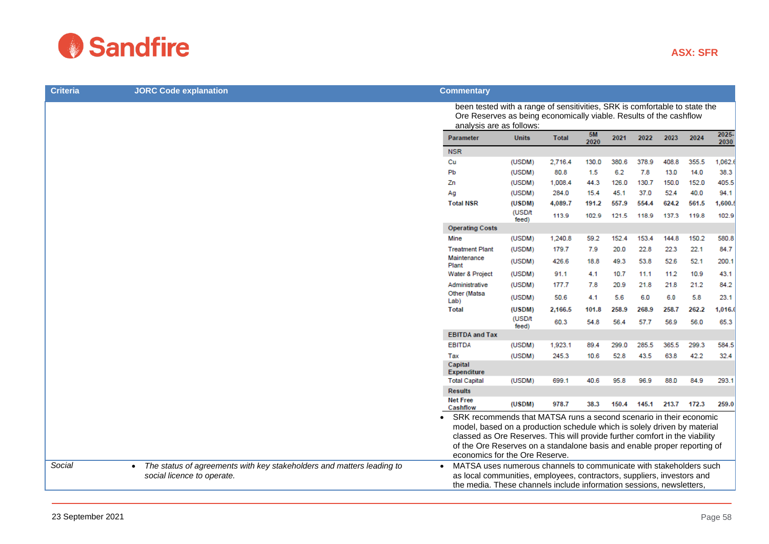

| <b>Criteria</b> | <b>JORC Code explanation</b>                                                       | <b>Commentary</b>                                                                                                                                                                                                                                                                                                                                                                                                              |                                                                                                                                                                              |              |            |       |       |       |               |         |
|-----------------|------------------------------------------------------------------------------------|--------------------------------------------------------------------------------------------------------------------------------------------------------------------------------------------------------------------------------------------------------------------------------------------------------------------------------------------------------------------------------------------------------------------------------|------------------------------------------------------------------------------------------------------------------------------------------------------------------------------|--------------|------------|-------|-------|-------|---------------|---------|
|                 |                                                                                    |                                                                                                                                                                                                                                                                                                                                                                                                                                | been tested with a range of sensitivities, SRK is comfortable to state the<br>Ore Reserves as being economically viable. Results of the cashflow<br>analysis are as follows: |              |            |       |       |       |               |         |
|                 |                                                                                    | Parameter                                                                                                                                                                                                                                                                                                                                                                                                                      | <b>Units</b>                                                                                                                                                                 | <b>Total</b> | 5M<br>2020 | 2021  | 2022  | 2023  | 2025-<br>2030 |         |
|                 |                                                                                    | <b>NSR</b>                                                                                                                                                                                                                                                                                                                                                                                                                     |                                                                                                                                                                              |              |            |       |       |       |               |         |
|                 |                                                                                    | Cu                                                                                                                                                                                                                                                                                                                                                                                                                             | (USDM)                                                                                                                                                                       | 2,716.4      | 130.0      | 380.6 | 378.9 | 408.8 | 355.5         | 1,062.  |
|                 |                                                                                    | Pb                                                                                                                                                                                                                                                                                                                                                                                                                             | (USDM)                                                                                                                                                                       | 80.8         | 1.5        | 6.2   | 7.8   | 13.0  | 14.0          | 38.3    |
|                 |                                                                                    | Zn                                                                                                                                                                                                                                                                                                                                                                                                                             | (USDM)                                                                                                                                                                       | 1,008.4      | 44.3       | 126.0 | 130.7 | 150.0 | 152.0         | 405.5   |
|                 |                                                                                    | Ag                                                                                                                                                                                                                                                                                                                                                                                                                             | (USDM)                                                                                                                                                                       | 284.0        | 15.4       | 45.1  | 37.0  | 52.4  | 40.0          | 94.1    |
|                 |                                                                                    | <b>Total NSR</b>                                                                                                                                                                                                                                                                                                                                                                                                               | (USDM)                                                                                                                                                                       | 4,089.7      | 191.2      | 557.9 | 554.4 | 624.2 | 561.5         | 1,600.9 |
|                 |                                                                                    |                                                                                                                                                                                                                                                                                                                                                                                                                                | (USD/t<br>feed)                                                                                                                                                              | 113.9        | 102.9      | 121.5 | 118.9 | 137.3 | 119.8         | 102.9   |
|                 |                                                                                    | <b>Operating Costs</b>                                                                                                                                                                                                                                                                                                                                                                                                         |                                                                                                                                                                              |              |            |       |       |       |               |         |
|                 |                                                                                    | Mine                                                                                                                                                                                                                                                                                                                                                                                                                           | (USDM)                                                                                                                                                                       | 1,240.8      | 59.2       | 152.4 | 153.4 | 144.8 | 150.2         | 580.8   |
|                 |                                                                                    | <b>Treatment Plant</b>                                                                                                                                                                                                                                                                                                                                                                                                         | (USDM)                                                                                                                                                                       | 179.7        | 7.9        | 20.0  | 22.8  | 22.3  | 22.1          | 84.7    |
|                 |                                                                                    | Maintenance<br>Plant                                                                                                                                                                                                                                                                                                                                                                                                           | (USDM)                                                                                                                                                                       | 426.6        | 18.8       | 49.3  | 53.8  | 52.6  | 52.1          | 200.1   |
|                 |                                                                                    | Water & Project                                                                                                                                                                                                                                                                                                                                                                                                                | (USDM)                                                                                                                                                                       | 91.1         | 4.1        | 10.7  | 11.1  | 11.2  | 10.9          | 43.1    |
|                 |                                                                                    | Administrative                                                                                                                                                                                                                                                                                                                                                                                                                 | (USDM)                                                                                                                                                                       | 177.7        | 7.8        | 20.9  | 21.8  | 21.8  | 21.2          | 84.2    |
|                 |                                                                                    | Other (Matsa<br>Lab)                                                                                                                                                                                                                                                                                                                                                                                                           | (USDM)                                                                                                                                                                       | 50.6         | 4.1        | 5.6   | 6.0   | 6.0   | 5.8           | 23.1    |
|                 |                                                                                    | <b>Total</b>                                                                                                                                                                                                                                                                                                                                                                                                                   | (USDM)                                                                                                                                                                       | 2,166.5      | 101.8      | 258.9 | 268.9 | 258.7 | 262.2         | 1,016.  |
|                 |                                                                                    |                                                                                                                                                                                                                                                                                                                                                                                                                                | (USD/t<br>feed)                                                                                                                                                              | 60.3         | 54.8       | 56.4  | 57.7  | 56.9  | 56.0          | 65.3    |
|                 |                                                                                    | <b>EBITDA and Tax</b>                                                                                                                                                                                                                                                                                                                                                                                                          |                                                                                                                                                                              |              |            |       |       |       |               |         |
|                 |                                                                                    | <b>EBITDA</b>                                                                                                                                                                                                                                                                                                                                                                                                                  | (USDM)                                                                                                                                                                       | 1,923.1      | 89.4       | 299.0 | 285.5 | 365.5 | 299.3         | 584.5   |
|                 |                                                                                    | Tax                                                                                                                                                                                                                                                                                                                                                                                                                            | (USDM)                                                                                                                                                                       | 245.3        | 10.6       | 52.8  | 43.5  | 63.8  | 42.2          | 32.4    |
|                 |                                                                                    | Capital<br><b>Expenditure</b>                                                                                                                                                                                                                                                                                                                                                                                                  |                                                                                                                                                                              |              |            |       |       |       |               |         |
|                 |                                                                                    | <b>Total Capital</b>                                                                                                                                                                                                                                                                                                                                                                                                           | (USDM)                                                                                                                                                                       | 699.1        | 40.6       | 95.8  | 96.9  | 88.0  | 84.9          | 293.1   |
|                 |                                                                                    | <b>Results</b>                                                                                                                                                                                                                                                                                                                                                                                                                 |                                                                                                                                                                              |              |            |       |       |       |               |         |
|                 |                                                                                    | <b>Net Free</b><br>Cashflow                                                                                                                                                                                                                                                                                                                                                                                                    | (USDM)                                                                                                                                                                       | 978.7        | 38.3       | 150.4 | 145.1 | 213.7 | 172.3         | 259.0   |
| Social          | The status of agreements with key stakeholders and matters leading to<br>$\bullet$ | SRK recommends that MATSA runs a second scenario in their economic<br>model, based on a production schedule which is solely driven by material<br>classed as Ore Reserves. This will provide further comfort in the viability<br>of the Ore Reserves on a standalone basis and enable proper reporting of<br>economics for the Ore Reserve.<br>MATSA uses numerous channels to communicate with stakeholders such<br>$\bullet$ |                                                                                                                                                                              |              |            |       |       |       |               |         |
|                 | social licence to operate.                                                         | as local communities, employees, contractors, suppliers, investors and<br>the media. These channels include information sessions, newsletters,                                                                                                                                                                                                                                                                                 |                                                                                                                                                                              |              |            |       |       |       |               |         |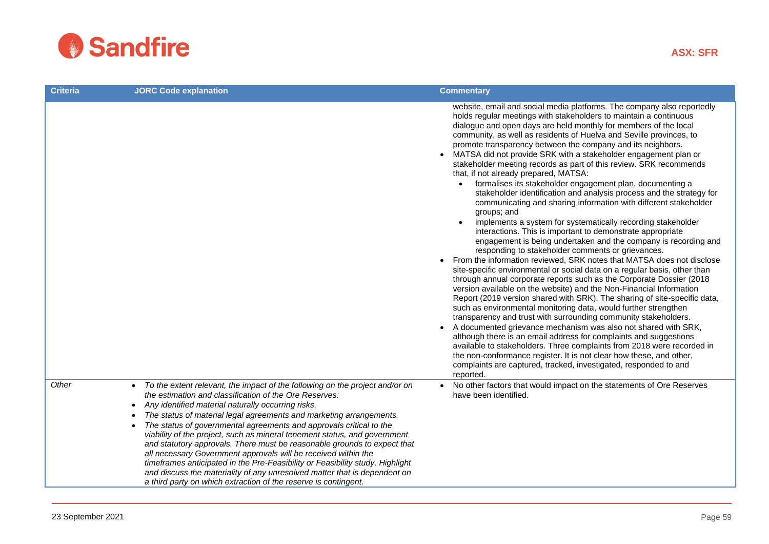

| <b>Criteria</b> | <b>JORC Code explanation</b>                                                                                                                                                                                                                                                                                                                                                                                                                                                                                                                                                                                                                                                                                                                                                                                                     | <b>Commentary</b>                                                                                                                                                                                                                                                                                                                                                                                                                                                                                                                                                                                                                                                                                                                                                                                                                                                                                                                                                                                                                                                                                                                                                                                                                                                                                                                                                                                                                                                                                                                                                                                                                                                                                                                                                                                                                                                                                                      |
|-----------------|----------------------------------------------------------------------------------------------------------------------------------------------------------------------------------------------------------------------------------------------------------------------------------------------------------------------------------------------------------------------------------------------------------------------------------------------------------------------------------------------------------------------------------------------------------------------------------------------------------------------------------------------------------------------------------------------------------------------------------------------------------------------------------------------------------------------------------|------------------------------------------------------------------------------------------------------------------------------------------------------------------------------------------------------------------------------------------------------------------------------------------------------------------------------------------------------------------------------------------------------------------------------------------------------------------------------------------------------------------------------------------------------------------------------------------------------------------------------------------------------------------------------------------------------------------------------------------------------------------------------------------------------------------------------------------------------------------------------------------------------------------------------------------------------------------------------------------------------------------------------------------------------------------------------------------------------------------------------------------------------------------------------------------------------------------------------------------------------------------------------------------------------------------------------------------------------------------------------------------------------------------------------------------------------------------------------------------------------------------------------------------------------------------------------------------------------------------------------------------------------------------------------------------------------------------------------------------------------------------------------------------------------------------------------------------------------------------------------------------------------------------------|
|                 |                                                                                                                                                                                                                                                                                                                                                                                                                                                                                                                                                                                                                                                                                                                                                                                                                                  | website, email and social media platforms. The company also reportedly<br>holds regular meetings with stakeholders to maintain a continuous<br>dialogue and open days are held monthly for members of the local<br>community, as well as residents of Huelva and Seville provinces, to<br>promote transparency between the company and its neighbors.<br>MATSA did not provide SRK with a stakeholder engagement plan or<br>stakeholder meeting records as part of this review. SRK recommends<br>that, if not already prepared, MATSA:<br>formalises its stakeholder engagement plan, documenting a<br>stakeholder identification and analysis process and the strategy for<br>communicating and sharing information with different stakeholder<br>groups; and<br>implements a system for systematically recording stakeholder<br>interactions. This is important to demonstrate appropriate<br>engagement is being undertaken and the company is recording and<br>responding to stakeholder comments or grievances.<br>From the information reviewed, SRK notes that MATSA does not disclose<br>site-specific environmental or social data on a regular basis, other than<br>through annual corporate reports such as the Corporate Dossier (2018<br>version available on the website) and the Non-Financial Information<br>Report (2019 version shared with SRK). The sharing of site-specific data,<br>such as environmental monitoring data, would further strengthen<br>transparency and trust with surrounding community stakeholders.<br>A documented grievance mechanism was also not shared with SRK,<br>although there is an email address for complaints and suggestions<br>available to stakeholders. Three complaints from 2018 were recorded in<br>the non-conformance register. It is not clear how these, and other,<br>complaints are captured, tracked, investigated, responded to and<br>reported. |
| Other           | To the extent relevant, the impact of the following on the project and/or on<br>$\bullet$<br>the estimation and classification of the Ore Reserves:<br>Any identified material naturally occurring risks.<br>$\bullet$<br>The status of material legal agreements and marketing arrangements.<br>The status of governmental agreements and approvals critical to the<br>viability of the project, such as mineral tenement status, and government<br>and statutory approvals. There must be reasonable grounds to expect that<br>all necessary Government approvals will be received within the<br>timeframes anticipated in the Pre-Feasibility or Feasibility study. Highlight<br>and discuss the materiality of any unresolved matter that is dependent on<br>a third party on which extraction of the reserve is contingent. | No other factors that would impact on the statements of Ore Reserves<br>have been identified.                                                                                                                                                                                                                                                                                                                                                                                                                                                                                                                                                                                                                                                                                                                                                                                                                                                                                                                                                                                                                                                                                                                                                                                                                                                                                                                                                                                                                                                                                                                                                                                                                                                                                                                                                                                                                          |